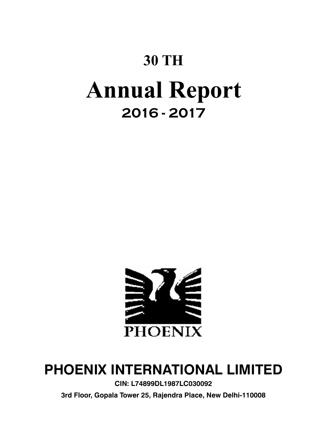# **30 TH**

# **Annual Report 2016 - 2017**



# **Phoenix International Limited**

**CIN: L74899DL1987LC030092**

**3rd Floor, Gopala Tower 25, Rajendra Place, New Delhi-110008**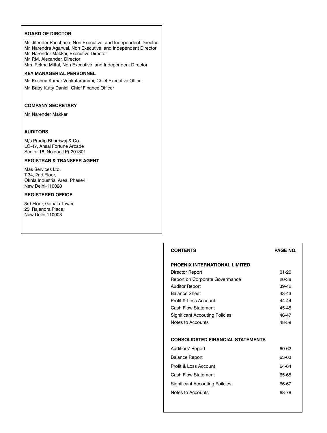## **BOARD OF DIRCTOR**

- Mr. Jitender Pancharia, Non Executive and Independent Director Mr. Narendra Agarwal, Non Executive and Independent Director
- Mr. Narender Makkar, Executive Director
- Mr. P.M. Alexander, Director

Mrs. Rekha Mittal, Non Executive and Independent Director

#### **KEY MANAGERIAL PERSONNEL**

Mr. Krishna Kumar Venkataramani, Chief Executive Officer Mr. Baby Kutty Daniel, Chief Finance Officer

## **COMPANY SECRETARY**

Mr. Narender Makkar

## **AUDITORS**

M/s Pradip Bhardwaj & Co. LG-47, Ansal Fortune Arcade Sector-18, Noida(U.P)-201301

## **REGISTRAR & TRANSFER AGENT**

Mas Services Ltd. T-34, 2nd Floor, Okhla Industrial Area, Phase-II New Delhi-110020

#### **REGISTERED OFFICE**

3rd Floor, Gopala Tower 25, Rajendra Place, New Delhi-110008

#### **CONTENTS PAGE NO.**

| <b>PHOENIX INTERNATIONAL LIMITED</b>     |           |
|------------------------------------------|-----------|
| Director Report                          | $01-20$   |
| Report on Corporate Govermance           | 20-38     |
| <b>Auditor Report</b>                    | $39-42$   |
| <b>Balance Sheet</b>                     | $43 - 43$ |
| Profit & Loss Account                    | 44-44     |
| Cash Flow Statement                      | 45-45     |
| <b>Significant Accouting Poilcies</b>    | 46-47     |
| Notes to Accounts                        | 48-59     |
|                                          |           |
| <b>CONSOLIDATED FINANCIAL STATEMENTS</b> |           |
| Auditiors' Report                        | 60-62     |
| <b>Balance Report</b>                    | 63-63     |
| Profit & Loss Account                    | 64-64     |
| Cash Flow Statement                      | 65-65     |
| Significant Accouting Poilcies           | 66-67     |

Notes to Accounts 68-78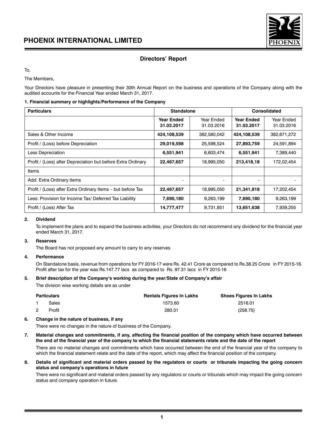

# **Directors' Report**

To,

The Members,

Your Directors have pleasure in presenting their 30th Annual Report on the business and operations of the Company along with the audited accounts for the Financial Year ended March 31, 2017.

#### **1. Financial summary or highlights/Performance of the Company**

| <b>Particulars</b>                                           | <b>Standalone</b>               |                          | Consolidated                    |                          |  |
|--------------------------------------------------------------|---------------------------------|--------------------------|---------------------------------|--------------------------|--|
|                                                              | <b>Year Ended</b><br>31.03.2017 | Year Ended<br>31.03.2016 | <b>Year Ended</b><br>31.03.2017 | Year Ended<br>31.03.2016 |  |
| Sales & Other Income                                         | 424,108,539                     | 382,580,042              | 424,108,539                     | 382,671,272              |  |
| Profit / (Loss) before Depreciation                          | 29,019,598                      | 25,598,524               | 27,893,759                      | 24,591,894               |  |
| Less Depreciation                                            | 6,551,941                       | 6,603,474                | 6,551,941                       | 7,389,440                |  |
| Profit / (Loss) after Depreciation but before Extra Ordinary | 22,467,657                      | 18,995,050               | 213,418,18                      | 172,02,454               |  |
| Items                                                        |                                 |                          |                                 |                          |  |
| Add: Extra Ordinary Items                                    |                                 | $\overline{\phantom{a}}$ |                                 |                          |  |
| Profit / (Loss) after Extra Ordinary Items - but before Tax  | 22,467,657                      | 18,995,050               | 21,341,818                      | 17,202,454               |  |
| Less: Provision for Income Tax/ Deferred Tax Liability       | 7,690,180                       | 9,263,199                | 7,690,180                       | 9,263,199                |  |
| Profit / (Loss) After Tax                                    | 14,777,477                      | 9,731,851                | 13,651,638                      | 7,939,255                |  |

#### **2. Dividend**

To implement the plans and to expand the business activities, your Directors do not recommend any dividend for the financial year ended March 31, 2017.

#### **3. Reserves**

The Board has not proposed any amount to carry to any reserves

#### **4. Performance**

On Standalone basis, revenue from operations for FY 2016-17 were Rs. 42.41 Crore as compared to Rs.38.25 Crore in FY 2015-16. Profit after tax for the year was Rs.147.77 lacs as compared to Rs. 97.31 lacs in FY 2015-16

#### **5. Brief description of the Company's working during the year/State of Company's affair**

The division wise working details are as under

| Particulars | <b>Rentals Figures In Lakhs</b> | <b>Shoes Figures In Lakhs</b> |
|-------------|---------------------------------|-------------------------------|
| Sales       | 1573.60                         | 2516.01                       |
| Profit      | 280.31                          | (258.75)                      |

#### **6. Change in the nature of business, if any**

There were no changes in the nature of business of the Company.

**7. Material changes and commitments, if any, affecting the financial position of the company which have occurred between the end of the financial year of the company to which the financial statements relate and the date of the report**

There are no material changes and commitments which have occurred between the end of the financial year of the company to which the financial statement relate and the date of the report, which may affect the financial position of the company.

**8. Details of significant and material orders passed by the regulators or courts or tribunals impacting the going concern status and company's operations in future**

There were no significant and material orders passed by any regulators or courts or tribunals which may impact the going concern status and company operation in future.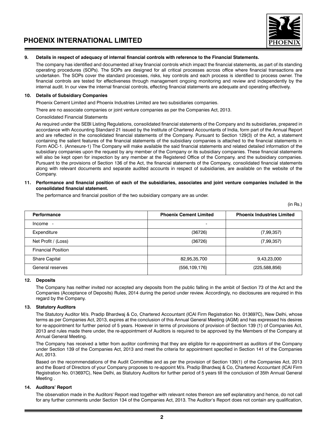

#### **9. Details in respect of adequacy of internal financial controls with reference to the Financial Statements.**

The company has identified and documented all key financial controls which impact the financial statements, as part of its standing operating procedures (SOPs). The SOPs are designed for all critical processes across office where financial transactions are undertaken. The SOPs cover the standard processes, risks, key controls and each process is identified to process owner. The financial controls are tested for effectiveness through management ongoing monitoring and review and independently by the internal audit. In our view the internal financial controls, effecting financial statements are adequate and operating effectively.

#### **10. Details of Subsidiary Companies**

Phoenix Cement Limited and Phoenix Industries Limited are two subsidiaries companies.

There are no associate companies or joint venture companies as per the Companies Act, 2013.

Consolidated Financial Statements

As required under the SEBI Listing Regulations, consolidated financial statements of the Company and its subsidiaries, prepared in accordance with Accounting Standard 21 issued by the Institute of Chartered Accountants of India, form part of the Annual Report and are reflected in the consolidated financial statements of the Company. Pursuant to Section 129(3) of the Act, a statement containing the salient features of the financial statements of the subsidiary companies is attached to the financial statements in Form AOC-1. (Annexure-1) The Company will make available the said financial statements and related detailed information of the subsidiary companies upon the request by any member of the Company or its subsidiary companies. These financial statements will also be kept open for inspection by any member at the Registered Office of the Company. and the subsidiary companies. Pursuant to the provisions of Section 136 of the Act, the financial statements of the Company, consolidated financial statements along with relevant documents and separate audited accounts in respect of subsidiaries, are available on the website of the Company.

**11. Performance and financial position of each of the subsidiaries, associates and joint venture companies included in the consolidated financial statement.**

The performance and financial position of the two subsidiary company are as under.

(in Rs.)

| Performance               | <b>Phoenix Cement Limited</b> | <b>Phoenix Industries Limited</b> |
|---------------------------|-------------------------------|-----------------------------------|
| Income -                  | $\overline{\phantom{0}}$      |                                   |
| Expenditure               | (36726)                       | (7,99,357)                        |
| Net Profit / (Loss)       | (36726)                       | (7,99,357)                        |
| <b>Financial Position</b> |                               |                                   |
| <b>Share Capital</b>      | 82,95,35,700                  | 9,43,23,000                       |
| General reserves          | (556, 109, 176)               | (225,588,856)                     |

#### **12. Deposits**

The Company has neither invited nor accepted any deposits from the public falling in the ambit of Section 73 of the Act and the Companies (Acceptance of Deposits) Rules, 2014 during the period under review. Accordingly, no disclosures are required in this regard by the Company.

#### **13. Statutory Auditors**

The Statutory Auditor M/s. Pradip Bhardwaj & Co, Chartered Accountant (ICAI Firm Registration No. 013697C), New Delhi, whose terms as per Companies Act, 2013, expires at the conclusion of this Annual General Meeting (AGM) and has expressed his desires for re-appointment for further period of 5 years. However in terms of provisions of provision of Section 139 (1) of Companies Act, 2013 and rules made there under, the re-appointment of Auditors is required to be approved by the Members of the Company at Annual General Meeting.

The Company has received a letter from auditor confirming that they are eligible for re-appointment as auditors of the Company under Section 139 of the Companies Act, 2013 and meet the criteria for appointment specified in Section 141 of the Companies Act, 2013.

Based on the recommendations of the Audit Committee and as per the provision of Section 139(1) of the Companies Act, 2013 and the Board of Directors of your Company proposes to re-appoint M/s. Pradip Bhardwaj & Co, Chartered Accountant (ICAI Firm Registration No. 013697C), New Delhi, as Statutory Auditors for further period of 5 years till the conclusion of 35th Annual General Meeting .

#### **14. Auditors' Report**

The observation made in the Auditors' Report read together with relevant notes thereon are self explanatory and hence, do not call for any further comments under Section 134 of the Companies Act, 2013. The Auditor's Report does not contain any qualification,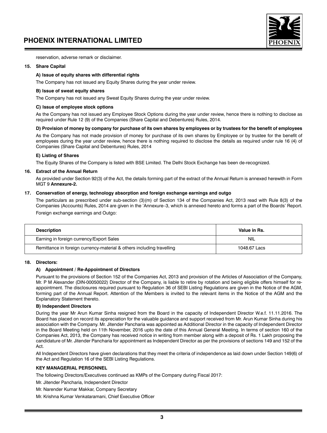

reservation, adverse remark or disclaimer.

#### **15. Share Capital**

#### **A) Issue of equity shares with differential rights**

The Company has not issued any Equity Shares during the year under review.

#### **B) Issue of sweat equity shares**

The Company has not issued any Sweat Equity Shares during the year under review.

#### **C) Issue of employee stock options**

As the Company has not issued any Employee Stock Options during the year under review, hence there is nothing to disclose as required under Rule 12 (9) of the Companies (Share Capital and Debentures) Rules, 2014.

#### **D) Provision of money by company for purchase of its own shares by employees or by trustees for the benefit of employees**

As the Company has not made provision of money for purchase of its own shares by Employee or by trustee for the benefit of employees during the year under review, hence there is nothing required to disclose the details as required under rule 16 (4) of Companies (Share Capital and Debentures) Rules, 2014

#### **E) Listing of Shares**

The Equity Shares of the Company is listed with BSE Limited. The Delhi Stock Exchange has been de-recognized.

#### **16. Extract of the Annual Return**

As provided under Section 92(3) of the Act, the details forming part of the extract of the Annual Return is annexed herewith in Form MGT 9 **Annexure-2.**

#### **17. Conservation of energy, technology absorption and foreign exchange earnings and outgo**

The particulars as prescribed under sub-section (3)(m) of Section 134 of the Companies Act, 2013 read with Rule 8(3) of the Companies (Accounts) Rules, 2014 are given in the 'Annexure–3, which is annexed hereto and forms a part of the Boards' Report. Foreign exchange earnings and Outgo:

| <b>Description</b>                                                    | Value in Rs. |
|-----------------------------------------------------------------------|--------------|
| Earning in foreign currency/Export Sales                              | <b>NIL</b>   |
| Remittance in foreign currency-material & others including travelling | 1048.67 Lacs |

#### **18. Directors:**

#### **A) Appointment / Re-Appointment of Directors**

Pursuant to the provisions of Section 152 of the Companies Act, 2013 and provision of the Articles of Association of the Company, Mr. P M Alexander (DIN-00050022) Director of the Company, is liable to retire by rotation and being eligible offers himself for reappointment. The disclosures required pursuant to Regulation 36 of SEBI Listing Regulations are given in the Notice of the AGM, forming part of the Annual Report. Attention of the Members is invited to the relevant items in the Notice of the AGM and the Explanatory Statement thereto.

#### **B) Independent Directors**

During the year Mr Arun Kumar Sinha resigned from the Board in the capacity of Independent Director W.e.f. 11.11.2016. The Board has placed on record its appreciation for the valuable guidance and support received from Mr. Arun Kumar Sinha during his association with the Company. Mr. Jitender Pancharia was appointed as Additional Director in the capacity of Independent Director in the Board Meeting held on 11th November, 2016 upto the date of this Annual General Meeting. In terms of section 160 of the Companies Act, 2013, the Company has received notice in writing from member along with a deposit of Rs. 1 Lakh proposing the candidature of Mr. Jitender Pancharia for appointment as Independent Director as per the provisions of sections 149 and 152 of the  $Act$ 

All Independent Directors have given declarations that they meet the criteria of independence as laid down under Section 149(6) of the Act and Regulation 16 of the SEBI Listing Regulations.

#### **KEY MANAGERIAL PERSONNEL**

The following Directors/Executives continued as KMPs of the Company during Fiscal 2017:

Mr. Jitender Pancharia, Independent Director

- Mr. Narender Kumar Makkar, Company Secretary
- Mr. Krishna Kumar Venkataramani, Chief Executive Officer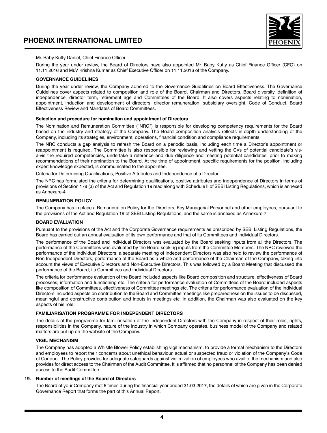

#### Mr. Baby Kutty Daniel, Chief Finance Officer

During the year under review, the Board of Directors have also appointed Mr. Baby Kutty as Chief Finance Officer (CFO) on 11.11.2016 and Mr.V Krishna Kumar as Chief Executive Officer on 11.11.2016 of the Company.

#### **GOVERNANCE GUIDELINES**

During the year under review, the Company adhered to the Governance Guidelines on Board Effectiveness. The Governance Guidelines cover aspects related to composition and role of the Board, Chairman and Directors, Board diversity, definition of independence, director term, retirement age and Committees of the Board. It also covers aspects relating to nomination, appointment, induction and development of directors, director remuneration, subsidiary oversight, Code of Conduct, Board Effectiveness Review and Mandates of Board Committees.

#### **Selection and procedure for nomination and appointment of Directors**

The Nomination and Remuneration Committee ("NRC") is responsible for developing competency requirements for the Board based on the industry and strategy of the Company. The Board composition analysis reflects in-depth understanding of the Company, including its strategies, environment, operations, financial condition and compliance requirements.

The NRC conducts a gap analysis to refresh the Board on a periodic basis, including each time a Director's appointment or reappointment is required. The Committee is also responsible for reviewing and vetting the CVs of potential candidate's visà-vis the required competencies, undertake a reference and due diligence and meeting potential candidates, prior to making recommendations of their nomination to the Board. At the time of appointment, specific requirements for the position, including expert knowledge expected, is communicated to the appointee.

Criteria for Determining Qualifications, Positive Attributes and Independence of a Director

The NRC has formulated the criteria for determining qualifications, positive attributes and independence of Directors in terms of provisions of Section 178 (3) of the Act and Regulation 19 read along with Schedule II of SEBI Listing Regulations, which is annexed as Annexure-4

#### **REMUNERATION POLICY**

The Company has in place a Remuneration Policy for the Directors, Key Managerial Personnel and other employees, pursuant to the provisions of the Act and Regulation 19 of SEBI Listing Regulations, and the same is annexed as Annexure-7

#### **BOARD EVALUATION**

Pursuant to the provisions of the Act and the Corporate Governance requirements as prescribed by SEBI Listing Regulations, the Board has carried out an annual evaluation of its own performance and that of its Committees and individual Directors.

The performance of the Board and individual Directors was evaluated by the Board seeking inputs from all the Directors. The performance of the Committees was evaluated by the Board seeking inputs from the Committee Members. The NRC reviewed the performance of the individual Directors, a separate meeting of Independent Directors was also held to review the performance of Non-Independent Directors, performance of the Board as a whole and performance of the Chairman of the Company, taking into account the views of Executive Directors and Non-Executive Directors. This was followed by a Board Meeting that discussed the performance of the Board, its Committees and individual Directors.

The criteria for performance evaluation of the Board included aspects like Board composition and structure, effectiveness of Board processes, information and functioning etc. The criteria for performance evaluation of Committees of the Board included aspects like composition of Committees, effectiveness of Committee meetings etc. The criteria for performance evaluation of the individual Directors included aspects on contribution to the Board and Committee meetings like preparedness on the issues to be discussed, meaningful and constructive contribution and inputs in meetings etc. In addition, the Chairman was also evaluated on the key aspects of his role.

#### **FAMILIARISATION PROGRAMME FOR INDEPENDENT DIRECTORS**

The details of the programme for familiarisation of the Independent Directors with the Company in respect of their roles, rights, responsibilities in the Company, nature of the industry in which Company operates, business model of the Company and related matters are put up on the website of the Company.

#### **VIGIL MECHANISM**

The Company has adopted a Whistle Blower Policy establishing vigil mechanism, to provide a formal mechanism to the Directors and employees to report their concerns about unethical behaviour, actual or suspected fraud or violation of the Company's Code of Conduct. The Policy provides for adequate safeguards against victimization of employees who avail of the mechanism and also provides for direct access to the Chairman of the Audit Committee. It is affirmed that no personnel of the Company has been denied access to the Audit Committee.

#### **19. Number of meetings of the Board of Directors**

The Board of your Company met 6 times during the financial year ended 31.03.2017, the details of which are given in the Corporate Governance Report that forms the part of this Annual Report.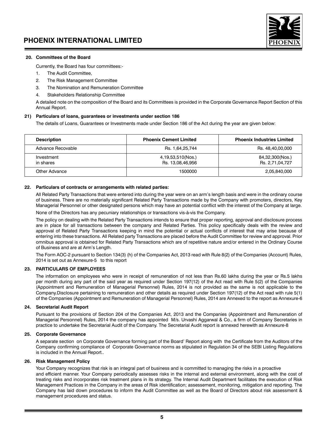

#### **20. Committees of the Board**

Currently, the Board has four committees:-

- 1. The Audit Committee,
- 2. The Risk Management Committee
- 3. The Nomination and Remuneration Committee
- 4. Stakeholders Relationship Committee

A detailed note on the composition of the Board and its Committees is provided in the Corporate Governance Report Section of this Annual Report.

#### **21) Particulars of loans, guarantees or investments under section 186**

The details of Loans, Guarantees or Investments made under Section 186 of the Act during the year are given below:

| <b>Description</b>      | <b>Phoenix Cement Limited</b>         | <b>Phoenix Industries Limited</b>  |
|-------------------------|---------------------------------------|------------------------------------|
| Advance Recovable       | Rs. 1,64,25,744                       | Rs. 48,40,00,000                   |
| Investment<br>in shares | 4,19,53,510(Nos.)<br>Rs. 13.08.46.956 | 84,32,300(Nos.)<br>Rs. 2.71.04.727 |
| Other Advance           | 1500000                               | 2.05.840.000                       |

#### **22. Particulars of contracts or arrangements with related parties:**

All Related Party Transactions that were entered into during the year were on an arm's length basis and were in the ordinary course of business. There are no materially significant Related Party Transactions made by the Company with promoters, directors, Key Managerial Personnel or other designated persons which may have an potential conflict with the interest of the Company at large.

None of the Directors has any pecuniary relationships or transactions vis-à-vis the Company.

The policy on dealing with the Related Party Transactions intends to ensure that proper reporting, approval and disclosure process are in place for all transactions between the company and Related Parties. This policy specifically deals with the review and approval of Related Party Transactions keeping in mind the potential or actual conflicts of interest that may arise because of entering into these transactions. All Related party Transactions are placed before the Audit Committee for review and approval. Prior omnibus approval is obtained for Related Party Transactions which are of repetitive nature and/or entered in the Ordinary Course of Business and are at Arm's Length.

The Form AOC-2 pursuant to Section 134(3) (h) of the Companies Act, 2013 read with Rule 8(2) of the Companies (Account) Rules, 2014 is set out as Annexure-5 to this report

#### **23. PARTICULARS OF EMPLOYEES**

The information on employees who were in receipt of remuneration of not less than Rs.60 lakhs during the year or Rs.5 lakhs per month during any part of the said year as required under Section 197(12) of the Act read with Rule 5(2) of the Companies (Appointment and Remuneration of Managerial Personnel) Rules, 2014 is not provided as the same is not applicable to the Company.Disclosure pertaining to remuneration and other details as required under Section 197(12) of the Act read with rule 5(1) of the Companies (Appointment and Remuneration of Managerial Personnel) Rules, 2014 are Annexed to the report as Annexure-6

#### **24. Secretarial Audit Report**

Pursuant to the provisions of Section 204 of the Companies Act, 2013 and the Companies (Appointment and Remuneration of Managerial Personnel) Rules, 2014 the company has appointed M/s. Urvashi Aggarwal & Co., a firm of Company Secretaries in practice to undertake the Secretarial Audit of the Company. The Secretarial Audit report is annexed herewith as Annexure-8

#### **25. Corporate Governance**

A separate section on Corporate Governance forming part of the Board' Report along with the Certificate from the Auditors of the Company confirming compliance of Corporate Governance norms as stipulated in Regulation 34 of the SEBI Listing Regulations is included in the Annual Report..

## **26. Risk Management Policy**

Your Company recognizes that risk is an integral part of business and is committed to managing the risks in a proactive and efficient manner. Your Company periodically assesses risks in the internal and external environment, along with the cost of treating risks and incorporates risk treatment plans in its strategy. The Internal Audit Department facilitates the execution of Risk Management Practices in the Company in the areas of Risk identification; assessement, monitoring, mitigation and reporting. The Company has laid down procedures to inform the Audit Committee as well as the Board of Directors about risk assessment & management procedures and status.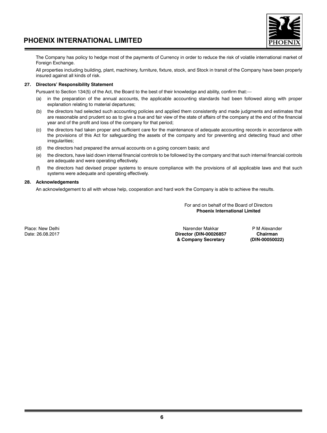

The Company has policy to hedge most of the payments of Currency in order to reduce the risk of volatile international market of Foreign Exchange.

All properties including building, plant, machinery, furniture, fixture, stock, and Stock in transit of the Company have been properly insured against all kinds of risk.

#### **27. Directors' Responsibility Statement**

Pursuant to Section 134(5) of the Act, the Board to the best of their knowledge and ability, confirm that:—

- (a) in the preparation of the annual accounts, the applicable accounting standards had been followed along with proper explanation relating to material departures;
- (b) the directors had selected such accounting policies and applied them consistently and made judgments and estimates that are reasonable and prudent so as to give a true and fair view of the state of affairs of the company at the end of the financial year and of the profit and loss of the company for that period;
- (c) the directors had taken proper and sufficient care for the maintenance of adequate accounting records in accordance with the provisions of this Act for safeguarding the assets of the company and for preventing and detecting fraud and other irregularities;
- (d) the directors had prepared the annual accounts on a going concern basis; and
- (e) the directors, have laid down internal financial controls to be followed by the company and that such internal financial controls are adequate and were operating effectively.
- (f) the directors had devised proper systems to ensure compliance with the provisions of all applicable laws and that such systems were adequate and operating effectively.

#### **28. Acknowledgements**

An acknowledgement to all with whose help, cooperation and hard work the Company is able to achieve the results.

For and on behalf of the Board of Directors **Phoenix International Limited**

Place: New Delhi **Place: New Delhi Narender Makkar** PM Alexander Makkar PM Alexander PM Alexander PM Alexander<br>Director (DIN-00026857 Chairman Date: 26.08.2017 **Director (DIN-00026857 Chairman**  $& Company$  **Secretary**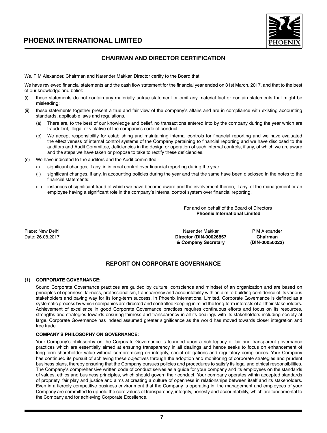



# **CHAIRMAN AND DIRECTOR CERTIFICATION**

We, P M Alexander, Chairman and Narender Makkar, Director certify to the Board that:

We have reviewed financial statements and the cash flow statement for the financial year ended on 31st March, 2017, and that to the best of our knowledge and belief:

- these statements do not contain any materially untrue statement or omit any material fact or contain statements that might be misleading;
- (ii) these statements together present a true and fair view of the company's affairs and are in compliance with existing accounting standards, applicable laws and regulations.
	- (a) There are, to the best of our knowledge and belief, no transactions entered into by the company during the year which are fraudulent, illegal or violative of the company's code of conduct.
	- (b) We accept responsibility for establishing and maintaining internal controls for financial reporting and we have evaluated the effectiveness of internal control systems of the Company pertaining to financial reporting and we have disclosed to the auditors and Audit Committee, deficiencies in the design or operation of such internal controls, if any, of which we are aware and the steps we have taken or propose to take to rectify these deficiencies.
- (c) We have indicated to the auditors and the Audit committee:
	- significant changes, if any, in internal control over financial reporting during the year:
	- (ii) significant changes, if any, in accounting policies during the year and that the same have been disclosed in the notes to the financial statements:
	- (iii) instances of significant fraud of which we have become aware and the involvement therein, if any, of the management or an employee having a significant role in the company's internal control system over financial reporting.

 For and on behalf of the Board of Directors **Phoenix International Limited**

Place: New Delhi **Place: New Delhi Narender Makkar** PM Alexander Makkar PM Alexander PM Alexander PM Alexander<br>Director (DIN-00026857 Chairman  $Director$  (DIN-00026857 **& Company Secretary (DIN-00050022)**

# **REPORT ON CORPORATE GOVERNANCE**

#### **(1) CORPORATE GOVERNANCE:**

Sound Corporate Governance practices are guided by culture, conscience and mindset of an organization and are based on principles of openness, fairness, professionalism, transparency and accountability with an aim to building confidence of its various stakeholders and paving way for its long-term success. In Phoenix International Limited, Corporate Governance is defined as a systematic process by which companies are directed and controlled keeping in mind the long-term interests of all their stakeholders. Achievement of excellence in good Corporate Governance practices requires continuous efforts and focus on its resources, strengths and strategies towards ensuring fairness and transparency in all its dealings with its stakeholders including society at large. Corporate Governance has indeed assumed greater significance as the world has moved towards closer integration and free trade.

#### **COMPANY'S PHILOSOPHY ON GOVERNANCE:**

Your Company's philosophy on the Corporate Governance is founded upon a rich legacy of fair and transparent governance practices which are essentially aimed at ensuring transparency in all dealings and hence seeks to focus on enhancement of long-term shareholder value without compromising on integrity, social obligations and regulatory compliances. Your Company has continued its pursuit of achieving these objectives through the adoption and monitoring of corporate strategies and prudent business plans, thereby ensuring that the Company pursues policies and procedures to satisfy its legal and ethical responsibilities. The Company's comprehensive written code of conduct serves as a guide for your company and its employees on the standards of values, ethics and business principles, which should govern their conduct. Your company operates within accepted standards of propriety, fair play and justice and aims at creating a culture of openness in relationships between itself and its stakeholders. Even in a fiercely competitive business environment that the Company is operating in, the management and employees of your Company are committed to uphold the core values of transparency, integrity, honesty and accountability, which are fundamental to the Company and for achieving Corporate Excellence.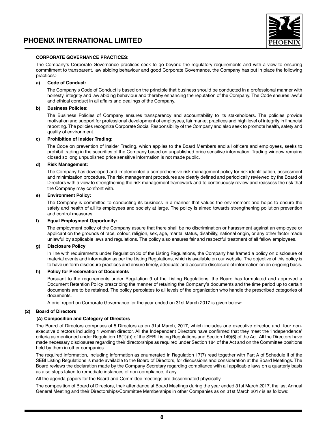

#### **CORPORATE GOVERNANCE PRACTICES:**

The Company's Corporate Governance practices seek to go beyond the regulatory requirements and with a view to ensuring commitment to transparent, law abiding behaviour and good Corporate Governance, the Company has put in place the following practices:-

#### **a) Code of Conduct:**

The Company's Code of Conduct is based on the principle that business should be conducted in a professional manner with honesty, integrity and law abiding behaviour and thereby enhancing the reputation of the Company. The Code ensures lawful and ethical conduct in all affairs and dealings of the Company.

#### **b) Business Policies:**

The Business Policies of Company ensures transparency and accountability to its stakeholders. The policies provide motivation and support for professional development of employees, fair market practices and high level of integrity in financial reporting. The policies recognize Corporate Social Responsibility of the Company and also seek to promote health, safety and quality of environment.

#### **c) Prohibition of Insider Trading:**

The Code on prevention of Insider Trading, which applies to the Board Members and all officers and employees, seeks to prohibit trading in the securities of the Company based on unpublished price sensitive information. Trading window remains closed so long unpublished price sensitive information is not made public.

#### **d) Risk Management:**

The Company has developed and implemented a comprehensive risk management policy for risk identification, assessment and minimization procedure. The risk management procedures are clearly defined and periodically reviewed by the Board of Directors with a view to strengthening the risk management framework and to continuously review and reassess the risk that the Company may confront with.

#### **e) Environment Policy:**

The Company is committed to conducting its business in a manner that values the environment and helps to ensure the safety and health of all its employees and society at large. The policy is aimed towards strengthening pollution prevention and control measures.

#### **f) Equal Employment Opportunity:**

The employment policy of the Company assure that there shall be no discrimination or harassment against an employee or applicant on the grounds of race, colour, religion, sex, age, marital status, disability, national origin, or any other factor made unlawful by applicable laws and regulations. The policy also ensures fair and respectful treatment of all fellow employees.

#### **g) Disclosure Policy**

In line with requirements under Regulation 30 of the Listing Regulations, the Company has framed a policy on disclosure of material events and information as per the Listing Regulations, which is available on our website. The objective of this policy is to have uniform disclosure practices and ensure timely, adequate and accurate disclosure of information on an ongoing basis.

#### **h) Policy for Preservation of Documents**

Pursuant to the requirements under Regulation 9 of the Listing Regulations, the Board has formulated and approved a Document Retention Policy prescribing the manner of retaining the Company's documents and the time period up to certain documents are to be retained. The policy percolates to all levels of the organization who handle the prescribed categories of documents.

A brief report on Corporate Governance for the year ended on 31st March 2017 is given below:

#### **(2) Board of Directors**

#### **(A) Composition and Category of Directors**

The Board of Directors comprises of 5 Directors as on 31st March, 2017, which includes one executive director, and four nonexecutive directors including 1 woman director. All the Independent Directors have confirmed that they meet the 'independence' criteria as mentioned under Regulation 16(1)(b) of the SEBI Listing Regulations and Section 149(6) of the Act. All the Directors have made necessary disclosures regarding their directorships as required under Section 184 of the Act and on the Committee positions held by them in other companies.

The required information, including information as enumerated in Regulation 17(7) read together with Part A of Schedule II of the SEBI Listing Regulations is made available to the Board of Directors, for discussions and consideration at the Board Meetings. The Board reviews the declaration made by the Company Secretary regarding compliance with all applicable laws on a quarterly basis as also steps taken to remediate instances of non-compliance, if any.

All the agenda papers for the Board and Committee meetings are disseminated physically.

The composition of Board of Directors, their attendance at Board Meetings during the year ended 31st March 2017, the last Annual General Meeting and their Directorships/Committee Memberships in other Companies as on 31st March 2017 is as follows: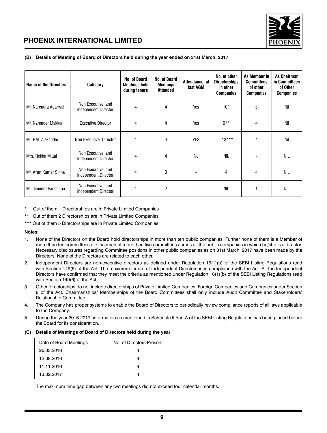

#### **(B) Details of Meeting of Board of Directors held during the year ended on 31st March, 2017**

| <b>Name of the Directors</b> | Category                                         | No. of Board<br>Meetings held<br>during tenure | No. of Board<br>Meetings<br>Attended | Attendance at<br>last AGM | No. of other<br><b>Directorships</b><br>in other<br><b>Companies</b> | As Member in<br><b>Committees</b><br>of other<br><b>Companies</b> | <b>As Chairman</b><br>in Committees<br>of Other<br><b>Companies</b> |
|------------------------------|--------------------------------------------------|------------------------------------------------|--------------------------------------|---------------------------|----------------------------------------------------------------------|-------------------------------------------------------------------|---------------------------------------------------------------------|
| Mr. Narendra Agarwal         | Non Executive and<br>Independent Director        | 4                                              | 4                                    | Yes                       | $10*$                                                                | 3                                                                 | Nil                                                                 |
| Mr. Narender Makkar          | <b>Executive Director</b>                        | 4                                              | 4                                    | Yes                       | $9***$                                                               | 4                                                                 | Nil                                                                 |
| Mr. P.M. Alexander           | Non Executive Director                           | 4                                              | 4                                    | <b>YES</b>                | $13***$                                                              | 4                                                                 | Nil                                                                 |
| Mrs. Rekha Mittal            | Non Executive and<br>Independent Director        | 4                                              | 4                                    | N <sub>0</sub>            | NIL                                                                  |                                                                   | <b>NIL</b>                                                          |
| Mr. Arun Kumar Sinha         | Non Executive and<br><b>Independent Director</b> | 4                                              | 0                                    |                           | 4                                                                    | 4                                                                 | <b>NIL</b>                                                          |
| Mr. Jitendra Pancharia       | Non Executive and<br>Independent Director        | 4                                              | $\overline{c}$                       |                           | <b>NIL</b>                                                           |                                                                   | <b>NIL</b>                                                          |

- Out of them 1 Directorships are in Private Limited Companies
- \*\* Out of them 2 Directorships are in Private Limited Companies
- \*\*\* Out of them 5 Directorships are in Private Limited Companies

#### **Notes:**

- 1. None of the Directors on the Board hold directorships in more than ten public companies. Further none of them is a Member of more than ten committees or Chairman of more than five committees across all the public companies in which he/she is a director. Necessary disclosures regarding Committee positions in other public companies as on 31st March, 2017 have been made by the Directors. None of the Directors are related to each other.
- 2. Independent Directors are non-executive directors as defined under Regulation 16(1)(b) of the SEBI Listing Regulations read with Section 149(6) of the Act. The maximum tenure of Independent Directors is in compliance with the Act. All the Independent Directors have confirmed that they meet the criteria as mentioned under Regulation 16(1)(b) of the SEBI Listing Regulations read with Section 149(6) of the Act.
- 3. Other directorships do not include directorships of Private Limited Companies, Foreign Companies and Companies under Section 8 of the Act. Chairmanships/ Memberships of the Board Committees shall only include Audit Committee and Stakeholders' Relationship Committee.
- 4. The Company has proper systems to enable the Board of Directors to periodically review compliance reports of all laws applicable to the Company.
- 5. During the year 2016-2017, information as mentioned in Schedule II Part A of the SEBI Listing Regulations has been placed before the Board for its consideration.

#### **(C) Details of Meetings of Board of Directors held during the year**

| No. of Directors Present |
|--------------------------|
|                          |
|                          |
|                          |
|                          |
|                          |

The maximum time gap between any two meetings did not exceed four calendar months.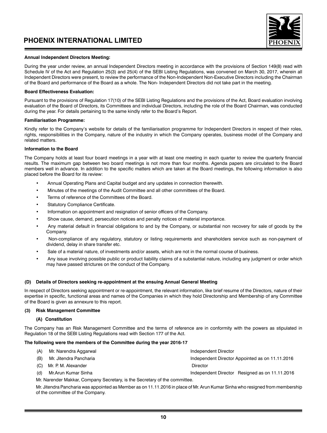

#### **Annual Independent Directors Meeting:**

During the year under review, an annual Independent Directors meeting in accordance with the provisions of Section 149(8) read with Schedule IV of the Act and Regulation 25(3) and 25(4) of the SEBI Listing Regulations, was convened on March 30, 2017, wherein all Independent Directors were present, to review the performance of the Non-Independent Non-Executive Directors including the Chairman of the Board and performance of the Board as a whole. The Non- Independent Directors did not take part in the meeting.

#### **Board Effectiveness Evaluation:**

Pursuant to the provisions of Regulation 17(10) of the SEBI Listing Regulations and the provisions of the Act, Board evaluation involving evaluation of the Board of Directors, its Committees and individual Directors, including the role of the Board Chairman, was conducted during the year. For details pertaining to the same kindly refer to the Board's Report.

#### **Familiarisation Programme:**

Kindly refer to the Company's website for details of the familiarisation programme for Independent Directors in respect of their roles, rights, responsibilities in the Company, nature of the industry in which the Company operates, business model of the Company and related matters.

#### **Information to the Board**

The Company holds at least four board meetings in a year with at least one meeting in each quarter to review the quarterly financial results. The maximum gap between two board meetings is not more than four months. Agenda papers are circulated to the Board members well in advance. In addition to the specific matters which are taken at the Board meetings, the following information is also placed before the Board for its review:

- Annual Operating Plans and Capital budget and any updates in connection therewith.
- Minutes of the meetings of the Audit Committee and all other committees of the Board.
- Terms of reference of the Committees of the Board.
- Statutory Compliance Certificate.
- Information on appointment and resignation of senior officers of the Company.
- Show cause, demand, persecution notices and penalty notices of material importance.
- Any material default in financial obligations to and by the Company, or substantial non recovery for sale of goods by the Company.
- Non-compliance of any regulatory, statutory or listing requirements and shareholders service such as non-payment of dividend, delay in share transfer etc.
- Sale of a material nature, of investments and/or assets, which are not in the normal course of business.
- Any issue involving possible public or product liability claims of a substantial nature, including any judgment or order which may have passed strictures on the conduct of the Company.

#### **(D) Details of Directors seeking re-appointment at the ensuing Annual General Meeting**

In respect of Directors seeking appointment or re-appointment, the relevant information, like brief resume of the Directors, nature of their expertise in specific, functional areas and names of the Companies in which they hold Directorship and Membership of any Committee of the Board is given as annexure to this report.

#### **(3) Risk Management Committee**

#### **(A) Constitution**

The Company has an Risk Management Committee and the terms of reference are in conformity with the powers as stipulated in Regulation 18 of the SEBI Listing Regulations read with Section 177 of the Act.

#### **The following were the members of the Committee during the year 2016-17**

|     | Mr. Narendra Aggarwal   | Independent Director                            |
|-----|-------------------------|-------------------------------------------------|
| (B) | Mr. Jitendra Pancharia  | Independent Director Appointed as on 11.11.2016 |
|     | (C) Mr. P. M. Alexander | Director                                        |

(d) Mr.Arun Kumar Sinha Independent Director Resigned as on 11.11.2016

Mr. Narender Makkar, Company Secretary, is the Secretary of the committee.

Mr. Jitendra Pancharia was appointed as Member as on 11.11.2016 in place of Mr. Arun Kumar Sinha who resigned from membership of the committee of the Company.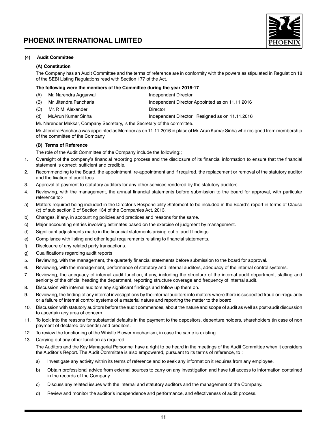

#### **(4) Audit Committee**

#### **(A) Constitution**

The Company has an Audit Committee and the terms of reference are in conformity with the powers as stipulated in Regulation 18 of the SEBI Listing Regulations read with Section 177 of the Act.

## **The following were the members of the Committee during the year 2016-17**

- (A) Mr. Narendra Aggarwal Independent Director
- 
- (B) Mr. Jitendra Pancharia Independent Director Appointed as on 11.11.2016
- (C) Mr. P. M. Alexander Director
- (d) Mr.Arun Kumar Sinha Independent Director Resigned as on 11.11.2016
- Mr. Narender Makkar, Company Secretary, is the Secretary of the committee.

 Mr. Jitendra Pancharia was appointed as Member as on 11.11.2016 in place of Mr. Arun Kumar Sinha who resigned from membership of the committee of the Company

## **(B) Terms of Reference**

The role of the Audit Committee of the Company include the following:;

- 1. Oversight of the company's financial reporting process and the disclosure of its financial information to ensure that the financial statement is correct, sufficient and credible.
- 2. Recommending to the Board, the appointment, re-appointment and if required, the replacement or removal of the statutory auditor and the fixation of audit fees.
- 3. Approval of payment to statutory auditors for any other services rendered by the statutory auditors.
- 4. Reviewing, with the management, the annual financial statements before submission to the board for approval, with particular reference to:-
- a) Matters required being included in the Director's Responsibility Statement to be included in the Board's report in terms of Clause (c) of sub section 3 of Section 134 of the Companies Act, 2013.
- b) Changes, if any, in accounting policies and practices and reasons for the same.
- c) Major accounting entries involving estimates based on the exercise of judgment by management.
- d) Significant adjustments made in the financial statements arising out of audit findings.
- e) Compliance with listing and other legal requirements relating to financial statements.
- f) Disclosure of any related party transactions.
- g) Qualifications regarding audit reports
- 5. Reviewing, with the management, the quarterly financial statements before submission to the board for approval.
- 6. Reviewing, with the management, performance of statutory and internal auditors, adequacy of the internal control systems.
- 7. Reviewing, the adequacy of internal audit function, if any, including the structure of the internal audit department, staffing and seniority of the official heading the department, reporting structure coverage and frequency of internal audit.
- 8. Discussion with internal auditors any significant findings and follow up there on.
- 9. Reviewing, the finding of any internal investigations by the internal auditors into matters where there is suspected fraud or irregularity or a failure of internal control systems of a material nature and reporting the matter to the board.
- 10. Discussion with statutory auditors before the audit commences, about the nature and scope of audit as well as post-audit discussion to ascertain any area of concern.
- 11. To look into the reasons for substantial defaults in the payment to the depositors, debenture holders, shareholders (in case of non payment of declared dividends) and creditors.
- 12. To review the functioning of the Whistle Blower mechanism, in case the same is existing.
- 13. Carrying out any other function as required.

The Auditors and the Key Managerial Personnel have a right to be heard in the meetings of the Audit Committee when it considers the Auditor's Report. The Audit Committee is also empowered, pursuant to its terms of reference, to :

- a) Investigate any activity within its terms of reference and to seek any information it requires from any employee.
- b) Obtain professional advice from external sources to carry on any investigation and have full access to information contained in the records of the Company.
- c) Discuss any related issues with the internal and statutory auditors and the management of the Company.
- d) Review and monitor the auditor's independence and performance, and effectiveness of audit process.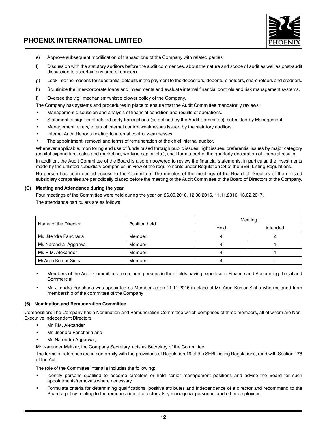

- e) Approve subsequent modification of transactions of the Company with related parties.
- f) Discussion with the statutory auditors before the audit commences, about the nature and scope of audit as well as post-audit discussion to ascertain any area of concern.
- g) Look into the reasons for substantial defaults in the payment to the depositors, debenture holders, shareholders and creditors.
- h) Scrutinize the inter-corporate loans and investments and evaluate internal financial controls and risk management systems.

i) Oversee the vigil mechanism/whistle blower policy of the Company.

The Company has systems and procedures in place to ensure that the Audit Committee mandatorily reviews:

- Management discussion and analysis of financial condition and results of operations.
- Statement of significant related party transactions (as defined by the Audit Committee), submitted by Management.
- Management letters/letters of internal control weaknesses issued by the statutory auditors.
- Internal Audit Reports relating to internal control weaknesses.
- The appointment, removal and terms of remuneration of the chief internal auditor.

Whenever applicable, monitoring end use of funds raised through public issues, right issues, preferential issues by major category (capital expenditure, sales and marketing, working capital etc.), shall form a part of the quarterly declaration of financial results. In addition, the Audit Committee of the Board is also empowered to review the financial statements, in particular, the investments made by the unlisted subsidiary companies, in view of the requirements under Regulation 24 of the SEBI Listing Regulations.

No person has been denied access to the Committee. The minutes of the meetings of the Board of Directors of the unlisted subsidiary companies are periodically placed before the meeting of the Audit Committee of the Board of Directors of the Company.

#### **(C) Meeting and Attendance during the year**

Four meetings of the Committee were held during the year on 26.05.2016, 12.08.2016, 11.11.2016, 13.02.2017. The attendance particulars are as follows:

| Name of the Director   |               | Meeting |          |  |
|------------------------|---------------|---------|----------|--|
|                        | Position held | Held    | Attended |  |
| Mr. Jitendra Pancharia | Member        |         |          |  |
| Mr. Narendra Aggarwal  | Member        |         |          |  |
| Mr. P. M. Alexander    | Member        |         |          |  |
| Mr. Arun Kumar Sinha   | Member        |         | -        |  |

- Members of the Audit Committee are eminent persons in their fields having expertise in Finance and Accounting. Legal and Commercial
- Mr. Jitendra Pancharia was appointed as Member as on 11.11.2016 in place of Mr. Arun Kumar Sinha who resigned from membership of the committee of the Company

#### **(5) Nomination and Remuneration Committee**

Composition: The Company has a Nomination and Remuneration Committee which comprises of three members, all of whom are Non-Executive Independent Directors.

- Mr. P.M. Alexander,
- Mr. Jitendra Pancharia and
- Mr. Narendra Aggarwal,

Mr. Narender Makkar, the Company Secretary, acts as Secretary of the Committee.

The terms of reference are in conformity with the provisions of Regulation 19 of the SEBI Listing Regulations, read with Section 178 of the Act.

The role of the Committee inter alia includes the following:

- Identify persons qualified to become directors or hold senior management positions and advise the Board for such appointments/removals where necessary.
- Formulate criteria for determining qualifications, positive attributes and independence of a director and recommend to the Board a policy relating to the remuneration of directors, key managerial personnel and other employees.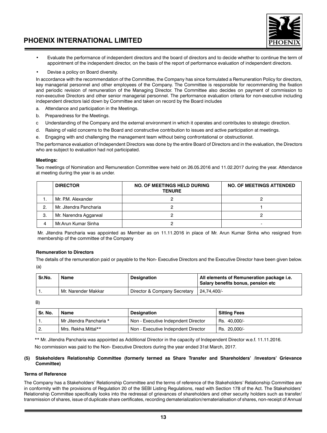

- Evaluate the performance of independent directors and the board of directors and to decide whether to continue the term of appointment of the independent director, on the basis of the report of performance evaluation of independent directors.
- Devise a policy on Board diversity.

In accordance with the recommendation of the Committee, the Company has since formulated a Remuneration Policy for directors, key managerial personnel and other employees of the Company. The Committee is responsible for recommending the fixation and periodic revision of remuneration of the Managing Director. The Committee also decides on payment of commission to non-executive Directors and other senior managerial personnel. The performance evaluation criteria for non-executive including independent directors laid down by Committee and taken on record by the Board includes

- a. Attendance and participation in the Meetings.
- b. Preparedness for the Meetings.
- c Understanding of the Company and the external environment in which it operates and contributes to strategic direction.
- d. Raising of valid concerns to the Board and constructive contribution to issues and active participation at meetings.
- e. Engaging with and challenging the management team without being confrontational or obstructionist.

The performance evaluation of Independent Directors was done by the entire Board of Directors and in the evaluation, the Directors who are subject to evaluation had not participated.

#### **Meetings:**

Two meetings of Nomination and Remuneration Committee were held on 26.05.2016 and 11.02.2017 during the year. Attendance at meeting during the year is as under.

|    | <b>DIRECTOR</b>        | NO. OF MEETINGS HELD DURING<br><b>TENURE</b> | <b>NO. OF MEETINGS ATTENDED</b> |
|----|------------------------|----------------------------------------------|---------------------------------|
|    | Mr. P.M. Alexander     |                                              |                                 |
| 2. | Mr. Jitendra Pancharia |                                              |                                 |
| 3. | Mr. Narendra Aggarwal  |                                              |                                 |
| Δ  | Mr. Arun Kumar Sinha   |                                              | -                               |

Mr. Jitendra Pancharia was appointed as Member as on 11.11.2016 in place of Mr. Arun Kumar Sinha who resigned from membership of the committee of the Company

## **Remuneration to Directors**

The details of the remuneration paid or payable to the Non- Executive Directors and the Executive Director have been given below. (a)

| Sr.No. | Name                | <b>Designation</b>           | All elements of Remuneration package i.e.<br>Salary benefits bonus, pension etc |
|--------|---------------------|------------------------------|---------------------------------------------------------------------------------|
| . .    | Mr. Narender Makkar | Director & Company Secretary | 24.74.400/-                                                                     |

B)

| Sr. No. | Name                    | Designation                         | <b>Sitting Fees</b> |
|---------|-------------------------|-------------------------------------|---------------------|
|         | Mr Jitendra Pancharia * | Non - Executive Indepndent Director | ็ Rs. 40.000/-      |
| c.      | Mrs. Rekha Mittal**     | Non - Executive Indepndent Director | ' Rs. 20,000/-      |

\*\* Mr. Jitendra Pancharia was appointed as Additional Director in the capacity of Independent Director w.e.f. 11.11.2016.

No commission was paid to the Non- Executive Directors during the year ended 31st March, 2017.

#### **(5) Stakeholders Relationship Committee (formerly termed as Share Transfer and Shareholders' /Investors' Grievance Committee)**

#### **Terms of Reference**

The Company has a Stakeholders' Relationship Committee and the terms of reference of the Stakeholders' Relationship Committee are in conformity with the provisions of Regulation 20 of the SEBI Listing Regulations, read with Section 178 of the Act. The Stakeholders' Relationship Committee specifically looks into the redressal of grievances of shareholders and other security holders such as transfer/ transmission of shares, issue of duplicate share certificates, recording dematerialization/rematerialisation of shares, non-receipt of Annual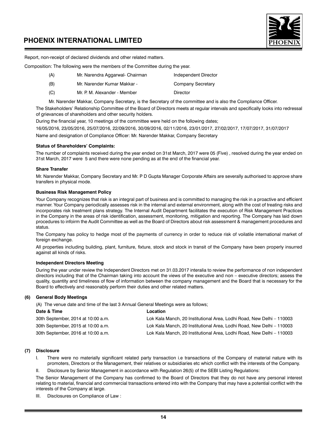



Report, non-receipt of declared dividends and other related matters.

Composition: The following were the members of the Committee during the year.

| (A) | Mr. Narendra Aggarwal- Chairman | Independent Director |
|-----|---------------------------------|----------------------|
| (B) | Mr. Narender Kumar Makkar -     | Company Secretary    |
| (C) | Mr. P. M. Alexander - Member    | Director             |

Mr. Narender Makkar, Company Secretary, is the Secretary of the committee and is also the Compliance Officer.

The Stakeholders' Relationship Committee of the Board of Directors meets at regular intervals and specifically looks into redressal of grievances of shareholders and other security holders.

During the financial year, 10 meetings of the committee were held on the following dates;

 16/05/2016, 23/05/2016, 25/07/2016, 22/09/2016, 30/09/2016, 02/11/2016, 23/01/2017, 27/02/2017, 17/07/2017, 31/07/2017 Name and designation of Compliance Officer: Mr. Narender Makkar, Company Secretary

#### **Status of Shareholders' Complaints:**

The number of complaints received during the year ended on 31st March, 2017 were 05 (Five) , resolved during the year ended on 31st March, 2017 were 5 and there were none pending as at the end of the financial year.

#### **Share Transfer**

Mr. Narender Makkar, Company Secretary and Mr. P D Gupta Manager Corporate Affairs are severally authorised to approve share transfers in physical mode.

#### **Business Risk Management Policy**

Your Company recognizes that risk is an integral part of business and is committed to managing the risk in a proactive and efficient manner. Your Company periodically assesses risk in the internal and external environment, along with the cost of treating risks and incorporates risk treatment plans strategy. The Internal Audit Department facilitates the execution of Risk Management Practices in the Company in the areas of risk identification, assessment, monitoring, mitigation and reporting. The Company has laid down procedures to infoirm the Audit Committee as well as the Board of Directors about risk assessment & management procedures and status.

The Company has policy to hedge most of the payments of currency in order to reduce risk of voilatile international market of foreign exchange.

All properties including building, plant, furniture, fixture, stock and stock in transit of the Company have been properly insurred against all kinds of risks.

#### **Independent Directors Meeting**

During the year under review the Independent Directors met on 31.03.2017 interalia to review the performance of non independent directors including that of the Chairman taking into account the views of the executive and non – executive directors; assess the quality, quantity and timeliness of flow of information between the company management and the Board that is necessary for the Board to effectively and reasonably perform their duties and other related matters.

#### **(6) General Body Meetings**

(A) The venue date and time of the last 3 Annual General Meetings were as follows;

| Date & Time                        | Location                                                              |
|------------------------------------|-----------------------------------------------------------------------|
| 30th September, 2014 at 10:00 a.m. | Lok Kala Manch, 20 Institutional Area, Lodhi Road, New Delhi – 110003 |
| 30th September, 2015 at 10:00 a.m. | Lok Kala Manch, 20 Institutional Area, Lodhi Road, New Delhi - 110003 |
| 30th September, 2016 at 10:00 a.m. | Lok Kala Manch, 20 Institutional Area, Lodhi Road, New Delhi - 110003 |

#### **(7) Disclosure**

- I. There were no materially significant related party transaction i.e transactions of the Company of material nature with its promoters, Directors or the Management, their relatives or subsidiaries etc which conflict with the interests of the Company.
- II. Disclosure by Senior Management in accordance with Regulation 26(5) of the SEBI Listing Regulations:

The Senior Management of the Company has confirmed to the Board of Directors that they do not have any personal interest relating to material, financial and commercial transactions entered into with the Company that may have a potential conflict with the interests of the Company at large.

III. Disclosures on Compliance of Law :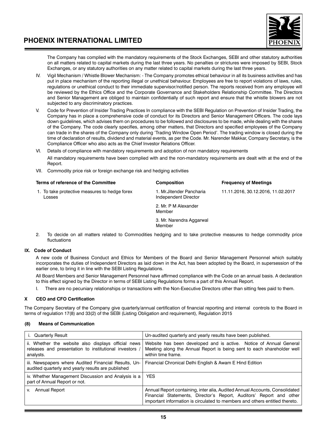

The Company has complied with the mandatory requirements of the Stock Exchanges, SEBI and other statutory authorities on all matters related to capital markets during the last three years. No penalties or strictures were imposed by SEBI, Stock Exchanges, or any statutory authorities on any matter related to capital markets during the last three years.

- IV. Vigil Mechanism / Whistle Blower Mechanism: The Company promotes ethical behaviour in all its business activities and has put in place mechanism of the reporting illegal or unethical behaviour. Employees are free to report violations of laws, rules, regulations or unethical conduct to their immediate supervisor/notified person. The reports received from any employee will be reviewed by the Ethics Office and the Corporate Governance and Stakeholders Relationship Committee. The Directors and Senior Management are obliged to maintain confidentially of such report and ensure that the whistle blowers are not subjected to any discriminatory practices.
- V. Code for Prevention of Insider Trading Practices In compliance with the SEBI Regulation on Prevention of Insider Trading, the Company has in place a comprehensive code of conduct for its Directors and Senior Management Officers. The code lays down guidelines, which advises them on procedures to be followed and disclosures to be made, while dealing with the shares of the Company. The code clearly specifies, among other matters, that Directors and specified employees of the Company can trade in the shares of the Company only during 'Trading Window Open Period'. The trading window is closed during the time of declaration of results, dividend and material events, as per the Code. Mr. Narender Makkar, Company Secretary, is the Compliance Officer who also acts as the Chief Investor Relations Officer.
- VI. Details of compliance with mandatory requirements and adoption of non mandatory requirements All mandatory requirements have been complied with and the non-mandatory requirements are dealt with at the end of the Report.
- VII. Commodity price risk or foreign exchange risk and hedging activities

| Terms of reference of the Committee                     | Composition                                       | <b>Frequency of Meetings</b>       |
|---------------------------------------------------------|---------------------------------------------------|------------------------------------|
| 1. To take protective measures to hedge forex<br>Losses | 1. Mr. Jitender Pancharia<br>Independent Director | 11.11.2016, 30.12.2016, 11.02.2017 |
|                                                         | 2. Mr. P M Alexander<br>Member                    |                                    |
|                                                         | 3. Mr. Narendra Aggarwal<br>Member                |                                    |

2. To decide on all matters related to Commodities hedging and to take protective measures to hedge commodity price fluctuations

#### **IX. Code of Conduct**

A new code of Business Conduct and Ethics for Members of the Board and Senior Management Personnel which suitably incorporates the duties of Independent Directors as laid down in the Act, has been adopted by the Board, in supersession of the earlier one, to bring it in line with the SEBI Listing Regulations.

All Board Members and Senior Management Personnel have affirmed compliance with the Code on an annual basis. A declaration to this effect signed by the Director in terms of SEBI Listing Regulations forms a part of this Annual Report.

I. There are no pecuniary relationships or transactions with the Non-Executive Directors other than sitting fees paid to them.

#### **X CEO and CFO Certification**

The Company Secretary of the Company give quarterly/annual certification of financial reporting and internal controls to the Board in terms of regulation 17(8) and 33(2) of the SEBI (Listing Obligation and requirement), Regulation 2015

#### **(8) Means of Communication**

| i. Quarterly Result                                                                                                      | Un-audited quarterly and yearly results have been published.                                                                                                                                                                      |  |
|--------------------------------------------------------------------------------------------------------------------------|-----------------------------------------------------------------------------------------------------------------------------------------------------------------------------------------------------------------------------------|--|
| ii. Whether the website also displays official news<br>releases and presentation to institutional investors<br>analysts. | Website has been developed and is active. Notice of Annual General<br>Meeting along the Annual Report is being sent to each shareholder well<br>within time frame.                                                                |  |
| iii. Newspapers where Audited Financial Results, Un-<br>audited quarterly and yearly results are published               | Financial Chronical Delhi English & Awam E Hind Edition                                                                                                                                                                           |  |
| iv. Whether Management Discussion and Analysis is a<br>part of Annual Report or not.                                     | <b>YES</b>                                                                                                                                                                                                                        |  |
| Annual Report<br>V.                                                                                                      | Annual Report containing, inter alia, Audited Annual Accounts, Consolidated<br>Financial Statements, Director's Report, Auditors' Report and other<br>important information is circulated to members and others entitled thereto. |  |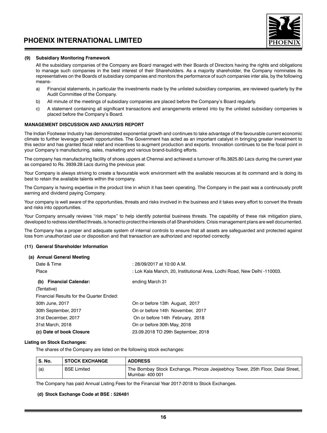

#### **(9) Subsidiary Monitoring Framework**

All the subsidiary companies of the Company are Board managed with their Boards of Directors having the rights and obligations to manage such companies in the best interest of their Shareholders. As a majority shareholder, the Company nominates its representatives on the Boards of subsidiary companies and monitors the performance of such companies inter alia, by the following means-

- a) Financial statements, in particular the investments made by the unlisted subsidiary companies, are reviewed quarterly by the Audit Committee of the Company.
- b) All minute of the meetings of subsidiary companies are placed before the Company's Board regularly.
- c) A statement containing all significant transactions and arrangements entered into by the unlisted subsidiary companies is placed before the Company's Board.

#### **MANAGEMENT DISCUSSION AND ANALYSIS REPORT**

The Indian Footwear Industry has demonstrated exponential growth and continues to take advantage of the favourable current economic climate to further leverage growth opportunities. The Government has acted as an important catalyst in bringing greater investment to this sector and has granted fiscal relief and incentives to augment production and exports. Innovation continues to be the focal point in your Company's manufacturing, sales, marketing and various brand-building efforts.

The company has manufacturing facility of shoes uppers at Chennai and achieved a turnover of Rs.3825.80 Lacs during the current year as compared to Rs. 3939.28 Lacs during the previous year.

Your Company is always striving to create a favourable work environment with the available resources at its command and is doing its best to retain the available talents within the company.

The Company is having expertise in the product line in which it has been operating. The Company in the past was a continuously profit earning and dividend paying Company.

Your company is well aware of the opportunities, threats and risks involved in the business and it takes every effort to convert the threats and risks into opportunities.

Your Company annually reviews "risk maps" to help identify potential business threats. The capability of these risk mitigation plans, developed to redress identified threats, is honed to protect the interests of all Shareholders. Crisis management plans are well documented.

The Company has a proper and adequate system of internal controls to ensure that all assets are safeguarded and protected against loss from unauthorized use or disposition and that transaction are authorized and reported correctly.

#### **(11) General Shareholder Information**

#### **(a) Annual General Meeting**

| Date & Time                              | : 28/09/2017 at 10:00 A.M.                                               |
|------------------------------------------|--------------------------------------------------------------------------|
| Place                                    | : Lok Kala Manch, 20, Institutional Area, Lodhi Road, New Delhi -110003. |
| <b>Financial Calendar:</b><br>(b)        | ending March 31                                                          |
| (Tentative)                              |                                                                          |
| Financial Results for the Quarter Ended: |                                                                          |
| 30th June, 2017                          | On or before 13th August, 2017                                           |
| 30th September, 2017                     | On or before 14th November, 2017                                         |
| 31st December, 2017                      | On or before 14th February, 2018                                         |
| 31st March, 2018                         | On or before 30th May, 2018                                              |
| (c) Date of book Closure                 | 23.09.2018 TO 29th September, 2018                                       |
|                                          |                                                                          |

#### **Listing on Stock Exchanges:**

The shares of the Company are listed on the following stock exchanges:

| <b>่ S. No.</b> | <b>STOCK EXCHANGE</b> | <b>ADDRESS</b>                                                                                    |
|-----------------|-----------------------|---------------------------------------------------------------------------------------------------|
| (a)             | <b>BSE Limited</b>    | The Bombay Stock Exchange, Phiroze Jeejeebhoy Tower, 25th Floor, Dalal Street,<br>Mumbai- 400 001 |

The Company has paid Annual Listing Fees for the Financial Year 2017-2018 to Stock Exchanges.

#### **(d) Stock Exchange Code at BSE : 526481**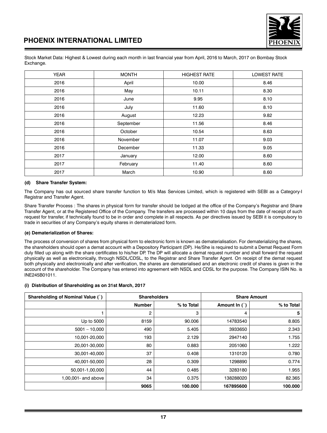

Stock Market Data: Highest & Lowest during each month in last financial year from April, 2016 to March, 2017 on Bombay Stock Exchange.

| <b>YEAR</b> | <b>MONTH</b> | <b>HIGHEST RATE</b> | <b>LOWEST RATE</b> |
|-------------|--------------|---------------------|--------------------|
| 2016        | April        | 10.00               | 8.46               |
| 2016        | May          | 10.11               | 8.30               |
| 2016        | June         | 9.95                | 8.10               |
| 2016        | July         | 11.60               | 8.10               |
| 2016        | August       | 12.23               | 9.82               |
| 2016        | September    | 11.56               | 8.46               |
| 2016        | October      | 10.54               | 8.63               |
| 2016        | November     | 11.07               | 9.03               |
| 2016        | December     | 11.33               | 9.05               |
| 2017        | January      | 12.00               | 8.60               |
| 2017        | February     | 11.40               | 8.60               |
| 2017        | March        | 10.90               | 8.60               |

#### **(d) Share Transfer System:**

The Company has out sourced share transfer function to M/s Mas Services Limited, which is registered with SEBI as a Category-I Registrar and Transfer Agent.

Share Transfer Process : The shares in physical form for transfer should be lodged at the office of the Company's Registrar and Share Transfer Agent, or at the Registered Office of the Company. The transfers are processed within 10 days from the date of receipt of such request for transfer, if technically found to be in order and complete in all respects. As per directives issued by SEBI it is compulsory to trade in securities of any Company's equity shares in dematerialized form.

#### **(e) Dematerialization of Shares:**

The process of conversion of shares from physical form to electronic form is known as dematerialisation. For dematerializing the shares, the shareholders should open a demat account with a Depository Participant (DP). He/She is required to submit a Demat Request Form duly filled up along with the share certificates to his/her DP. The DP will allocate a demat request number and shall forward the request physically as well as electronically, through NSDL/CDSL, to the Registrar and Share Transfer Agent. On receipt of the demat request both physically and electronically and after verification, the shares are dematerialised and an electronic credit of shares is given in the account of the shareholder. The Company has entered into agreement with NSDL and CDSL for the purpose. The Company ISIN No. is INE245B01011.

#### **(i) Distribution of Shareholding as on 31st March, 2017**

| <b>Shareholding of Nominal Value (')</b> | <b>Shareholders</b> |            | <b>Share Amount</b>         |            |
|------------------------------------------|---------------------|------------|-----------------------------|------------|
|                                          | <b>Number</b>       | % to Total | Amount $\ln$ ( $\dot{\ }$ ) | % to Total |
|                                          | 2                   | 3          | 4                           | 5          |
| Up to 5000                               | 8159                | 90,006     | 14783540                    | 8.805      |
| $5001 - 10,000$                          | 490                 | 5.405      | 3933650                     | 2.343      |
| 10,001-20,000                            | 193                 | 2.129      | 2947140                     | 1.755      |
| 20,001-30,000                            | 80                  | 0.883      | 2051060                     | 1.222      |
| 30,001-40,000                            | 37                  | 0.408      | 1310120                     | 0.780      |
| 40.001-50.000                            | 28                  | 0.309      | 1298890                     | 0.774      |
| 50,001-1,00,000                          | 44                  | 0.485      | 3283180                     | 1.955      |
| 1,00,001- and above                      | 34                  | 0.375      | 138288020                   | 82.365     |
|                                          | 9065                | 100,000    | 167895600                   | 100,000    |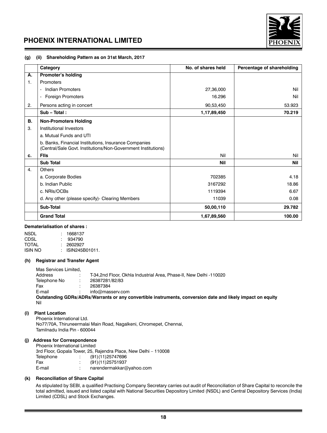

#### **(g) (ii) Shareholding Pattern as on 31st March, 2017**

|                | Category                                                                                                               | No. of shares held | Percentage of shareholding |
|----------------|------------------------------------------------------------------------------------------------------------------------|--------------------|----------------------------|
| А.             | <b>Promoter's holding</b>                                                                                              |                    |                            |
| $\mathbf{1}$ . | Promoters                                                                                                              |                    |                            |
|                | Indian Promoters<br>$\blacksquare$                                                                                     | 27,36,000          | Nil                        |
|                | <b>Foreign Promoters</b><br>$\blacksquare$                                                                             | 16.296             | Nil                        |
| 2.             | Persons acting in concert                                                                                              | 90,53,450          | 53.923                     |
|                | Sub - Total:                                                                                                           | 1,17,89,450        | 70.219                     |
| В.             | <b>Non-Promoters Holding</b>                                                                                           |                    |                            |
| 3.             | Institutional Investors                                                                                                |                    |                            |
|                | a. Mutual Funds and UTI                                                                                                |                    |                            |
|                | b. Banks, Financial Institutions, Insurance Companies<br>(Central/Sale Govt. Institutions/Non-Government Institutions) |                    |                            |
| c.             | <b>FIIs</b>                                                                                                            | Nil                | Nil                        |
|                | <b>Sub Total</b>                                                                                                       | <b>Nil</b>         | <b>Nil</b>                 |
| 4.             | <b>Others</b>                                                                                                          |                    |                            |
|                | a. Corporate Bodies                                                                                                    | 702385             | 4.18                       |
|                | b. Indian Public                                                                                                       | 3167292            | 18.86                      |
|                | c. NRIs/OCBs                                                                                                           | 1119394            | 6.67                       |
|                | d. Any other (please specify)- Clearing Members                                                                        | 11039              | 0.08                       |
|                | Sub-Total                                                                                                              | 50,00,110          | 29.782                     |
|                | <b>Grand Total</b>                                                                                                     | 1,67,89,560        | 100.00                     |

#### **Dematerialisation of shares :**

NSDL : 1668137<br>CDSL : 034790 CDSL : 934790<br>TOTAL : 2602927 TOTAL : 2602927<br>ISIN NO : ISIN245E : ISIN 245 B01011.

#### **(h) Registrar and Transfer Agent**

Mas Services Limited,<br>Address Address : T-34,2nd Floor, Okhla Industrial Area, Phase-II, New Delhi -110020<br>Telephone No : 26387281/82/83 : 26387281/82/83 Fax : 26387384<br>E-mail : info@mas info@masserv.com **Outstanding GDRs/ADRs/Warrants or any convertible instruments, conversion date and likely impact on equity** Nil

#### **(i) Plant Location**

Phoenix International Ltd. No77/70A, Thiruneermalai Main Road, Nagalkeni, Chromepet, Chennai, Tamilnadu India Pin - 600044

#### **(j) Address for Correspondence**

Phoenix International Limited 3rd Floor, Gopala Tower, 25, Rajendra Place, New Delhi – 110008  $(91)(11)25747696$ Fax : (91)(11)25751937

E-mail : narendermakkar@yahoo.com

#### **(k) Reconciliation of Share Capital**

As stipulated by SEBI, a qualified Practising Company Secretary carries out audit of Reconciliation of Share Capital to reconcile the total admitted, issued and listed capital with National Securities Depository Limited (NSDL) and Central Depository Services (India) Limited (CDSL) and Stock Exchanges.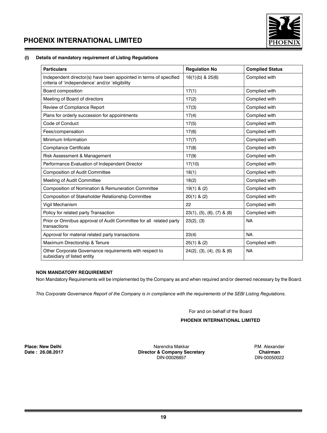

## **(l) Details of mandatory requirement of Listing Regulations**

| <b>Particulars</b>                                                                                                  | <b>Regulation No</b>                    | <b>Complied Status</b> |
|---------------------------------------------------------------------------------------------------------------------|-----------------------------------------|------------------------|
| Independent director(s) have been appointed in terms of specified<br>criteria of 'independence' and/or 'eligibility | 16(1)(b) & 25(6)                        | Complied with          |
| Board composition                                                                                                   | 17(1)                                   | Complied with          |
| Meeting of Board of directors                                                                                       | 17(2)                                   | Complied with          |
| Review of Compliance Report                                                                                         | 17(3)                                   | Complied with          |
| Plans for orderly succession for appointments                                                                       | 17(4)                                   | Complied with          |
| Code of Conduct                                                                                                     | 17(5)                                   | Complied with          |
| Fees/compensation                                                                                                   | 17(6)                                   | Complied with          |
| Minimum Information                                                                                                 | 17(7)                                   | Complied with          |
| <b>Compliance Certificate</b>                                                                                       | 17(8)                                   | Complied with          |
| Risk Assessment & Management                                                                                        | 17(9)                                   | Complied with          |
| Performance Evaluation of Independent Director                                                                      | 17(10)                                  | Complied with          |
| <b>Composition of Audit Committee</b>                                                                               | 18(1)                                   | Complied with          |
| Meeting of Audit Committee                                                                                          | 18(2)                                   | Complied with          |
| Composition of Nomination & Remuneration Committee                                                                  | $19(1)$ & (2)                           | Complied with          |
| Composition of Stakeholder Relationship Committee                                                                   | $20(1)$ & $(2)$                         | Complied with          |
| Vigil Mechanism                                                                                                     | 22                                      | Complied with          |
| Policy for related party Transaction                                                                                | $23(1), (5), (6), (7)$ & $(8)$          | Complied with          |
| Prior or Omnibus approval of Audit Committee for all related party<br>transactions                                  | 23(2), (3)                              | <b>NA</b>              |
| Approval for material related party transactions                                                                    | 23(4)                                   | <b>NA</b>              |
| Maximum Directorship & Tenure                                                                                       | $25(1)$ & $(2)$                         | Complied with          |
| Other Corporate Governance requirements with respect to<br>subsidiary of listed entity                              | $24(2)$ , $(3)$ , $(4)$ , $(5)$ & $(6)$ | <b>NA</b>              |

# **NON MANDATORY REQUIREMENT**

Non Mandatory Requirements will be implemented by the Company as and when required and/or deemed necessary by the Board.

*This Corporate Governance Report of the Company is in compliance with the requirements of the SEBI Listing Regulations.*

For and on behalf of the Board

# **PHOENIX INTERNATIONAL LIMITED**

**Place: New Delhi** Narendra Makkar Narendra Makkar P.M. Alexander<br>Director & Company Secretary Chairman Chairman **Director & Company Secretary**<br>DIN-00026857

DIN-00050022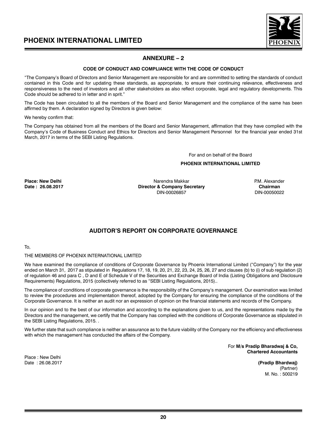

# **ANNEXURE – 2**

## **CODE OF CONDUCT AND COMPLIANCE WITH THE CODE OF CONDUCT**

"The Company's Board of Directors and Senior Management are responsible for and are committed to setting the standards of conduct contained in this Code and for updating these standards, as appropriate, to ensure their continuing relevance, effectiveness and responsiveness to the need of investors and all other stakeholders as also reflect corporate, legal and regulatory developments. This Code should be adhered to in letter and in sprit."

The Code has been circulated to all the members of the Board and Senior Management and the compliance of the same has been affirmed by them. A declaration signed by Directors is given below:

We hereby confirm that:

The Company has obtained from all the members of the Board and Senior Management, affirmation that they have complied with the Company's Code of Business Conduct and Ethics for Directors and Senior Management Personnel for the financial year ended 31st March, 2017 in terms of the SEBI Listing Regulations.

For and on behalf of the Board

#### **PHOENIX INTERNATIONAL LIMITED**

**Place: New Delhi** Narendra Makkar P.M. Alexander Narendra Makkar P.M. Alexander P.M. Alexander **Date : 26.08.2017 Director & Company Secretary Chairman** DIN-00026857

# **AUDITOR'S REPORT ON CORPORATE GOVERNANCE**

To,

#### THE MEMBERS OF PHOENIX INTERNATIONAL LIMITED

We have examined the compliance of conditions of Corporate Governance by Phoenix International Limited ("Company") for the year ended on March 31, 2017 as stipulated in Regulations 17, 18, 19, 20, 21, 22, 23, 24, 25, 26, 27 and clauses (b) to (i) of sub regulation (2) of regulation 46 and para C , D and E of Schedule V of the Securities and Exchange Board of India (Listing Obligations and Disclosure Requirements) Regulations, 2015 (collectively referred to as "SEBI Listing Regulations, 2015)..

The compliance of conditions of corporate governance is the responsibility of the Company's management. Our examination was limited to review the procedures and implementation thereof, adopted by the Company for ensuring the compliance of the conditions of the Corporate Governance. It is neither an audit nor an expression of opinion on the financial statements and records of the Company.

In our opinion and to the best of our information and according to the explanations given to us, and the representations made by the Directors and the management, we certify that the Company has complied with the conditions of Corporate Governance as stipulated in the SEBI Listing Regulations, 2015. .

We further state that such compliance is neither an assurance as to the future viability of the Company nor the efficiency and effectiveness with which the management has conducted the affairs of the Company.

> For **M/s Pradip Bharadwaj & Co, Chartered Accountants**

Place : New Delhi Date : 26.08.2017 **(Pradip Bhardwaj)**

 (Partner) M. No. : 500219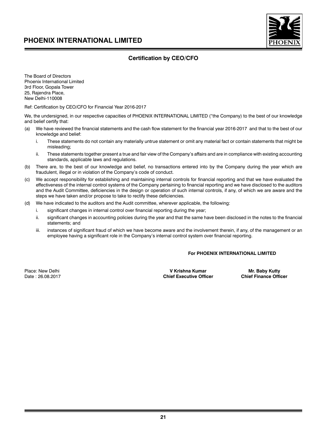

# **Certification by CEO/CFO**

The Board of Directors Phoenix International Limited 3rd Floor, Gopala Tower 25, Rajendra Place, New Delhi-110008

Ref: Certification by CEO/CFO for Financial Year 2016-2017

We, the undersigned, in our respective capacities of PHOENIX INTERNATIONAL LIMITED ("the Company) to the best of our knowledge and belief certify that:

- (a) We have reviewed the financial statements and the cash flow statement for the financial year 2016-2017 and that to the best of our knowledge and belief:
	- i. These statements do not contain any materially untrue statement or omit any material fact or contain statements that might be misleading;
	- ii. These statements together present a true and fair view of the Company's affairs and are in compliance with existing accounting standards, applicable laws and regulations.
- (b) There are, to the best of our knowledge and belief, no transactions entered into by the Company during the year which are fraudulent, illegal or in violation of the Company's code of conduct.
- (c) We accept responsibility for establishing and maintaining internal controls for financial reporting and that we have evaluated the effectiveness of the internal control systems of the Company pertaining to financial reporting and we have disclosed to the auditors and the Audit Committee, deficiencies in the design or operation of such internal controls, if any, of which we are aware and the steps we have taken and/or propose to take to rectify these deficiencies.
- (d) We have indicated to the auditors and the Audit committee, wherever applicable, the following:
	- i. significant changes in internal control over financial reporting during the year;
	- ii. significant changes in accounting policies during the year and that the same have been disclosed in the notes to the financial statements; and
	- iii. instances of significant fraud of which we have become aware and the involvement therein, if any, of the management or an employee having a significant role in the Company's internal control system over financial reporting.

#### **For PHOENIX INTERNATIONAL LIMITED**

Place: New Delhi **New Delhi Research Control of Control Control Chief Executive Officer Mr. Baby Kutty Chief Finance Officer**<br>
Chief Executive Officer Chief Finance Officer Date : 26.08.2017 **Chief Executive Officer Chief Finance Officer**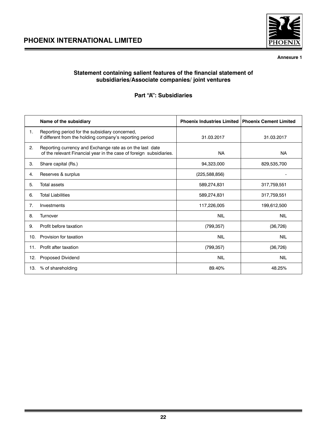

**Annexure 1**

# **Statement containing salient features of the financial statement of subsidiaries/Associate companies/ joint ventures**

# **Part "A": Subsidiaries**

|                | Name of the subsidiary                                                                                                          | <b>Phoenix Industries Limited</b> | <b>Phoenix Cement Limited</b> |
|----------------|---------------------------------------------------------------------------------------------------------------------------------|-----------------------------------|-------------------------------|
| 1.             | Reporting period for the subsidiary concerned,<br>if different from the holding company's reporting period                      | 31.03.2017                        | 31.03.2017                    |
| 2.             | Reporting currency and Exchange rate as on the last date<br>of the relevant Financial year in the case of foreign subsidiaries. | <b>NA</b>                         | <b>NA</b>                     |
| 3.             | Share capital (Rs.)                                                                                                             | 94,323,000                        | 829,535,700                   |
| 4.             | Reserves & surplus                                                                                                              | (225, 588, 856)                   |                               |
| 5.             | Total assets                                                                                                                    | 589,274,831                       | 317,759,551                   |
| 6.             | <b>Total Liabilities</b>                                                                                                        | 589,274,831                       | 317,759,551                   |
| 7 <sub>1</sub> | Investments                                                                                                                     | 117,226,005                       | 199,612,500                   |
| 8.             | Turnover                                                                                                                        | <b>NIL</b>                        | <b>NIL</b>                    |
| 9.             | Profit before taxation                                                                                                          | (799, 357)                        | (36, 726)                     |
| 10.            | Provision for taxation                                                                                                          | <b>NIL</b>                        | <b>NIL</b>                    |
| 11.            | Profit after taxation                                                                                                           | (799, 357)                        | (36, 726)                     |
| 12.            | Proposed Dividend                                                                                                               | <b>NIL</b>                        | <b>NIL</b>                    |
| 13.            | % of shareholding                                                                                                               | 89.40%                            | 48.25%                        |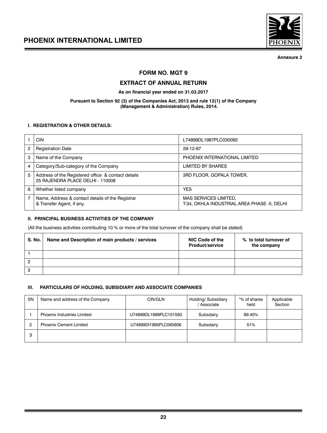

**Annexure 2**

# **FORM NO. MGT 9**

# **EXTRACT OF ANNUAL RETURN**

**As on financial year ended on 31.03.2017** 

#### **Pursuant to Section 92 (3) of the Companies Act, 2013 and rule 12(1) of the Company (Management & Administration) Rules, 2014.**

#### **I. REGISTRATION & OTHER DETAILS:**

|   | CIN                                                                                    | L74899DL1987PLC030092                                                        |
|---|----------------------------------------------------------------------------------------|------------------------------------------------------------------------------|
| 2 | <b>Registration Date</b>                                                               | 28-12-87                                                                     |
| 3 | Name of the Company                                                                    | PHOENIX INTERNATIONAL LIMITED                                                |
| 4 | Category/Sub-category of the Company                                                   | LIMITED BY SHARES                                                            |
| 5 | Address of the Registered office & contact details<br>25 RAJENDRA PLACE DELHI - 110008 | 3RD FLOOR, GOPALA TOWER,                                                     |
| 6 | Whether listed company                                                                 | <b>YES</b>                                                                   |
|   | Name, Address & contact details of the Registrar<br>& Transfer Agent, if any.          | <b>MAS SERVICES LIMITED,</b><br>T-34, OKHLA INDUSTRIAL AREA PHASE -II, DELHI |

### **II. PRINCIPAL BUSINESS ACTIVITIES OF THE COMPANY**

(All the business activities contributing 10 % or more of the total turnover of the company shall be stated)

| S. No. | Name and Description of main products / services | NIC Code of the<br><b>Product/service</b> | % to total turnover of<br>the company |
|--------|--------------------------------------------------|-------------------------------------------|---------------------------------------|
|        |                                                  |                                           |                                       |
|        |                                                  |                                           |                                       |
|        |                                                  |                                           |                                       |

## **III. PARTICULARS OF HOLDING, SUBSIDIARY AND ASSOCIATE COMPANIES**

| <b>SN</b> | Name and address of the Company   | CIN/GLN               | Holding/ Subsidiary<br>/ Associate | "% of shares<br>held | Applicable<br>Section |
|-----------|-----------------------------------|-----------------------|------------------------------------|----------------------|-----------------------|
|           | <b>Phoenix Industries Limited</b> | U74899DL1999PLC101593 | Subsdairy                          | 89.40%               |                       |
|           | <b>Phoenix Cement Limited</b>     | U74899DI1995PLC065806 | Subsdairy                          | 51%                  |                       |
| з         |                                   |                       |                                    |                      |                       |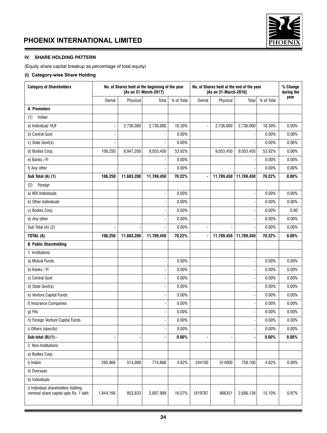



# **IV. SHARE HOLDING PATTERN**

(Equity share capital breakup as percentage of total equity)

# **(i) Category-wise Share Holding**

| <b>Category of Shareholders</b>                                             |                          |            | No. of Shares held at the beginning of the year<br>[As on 31-March-2017] |            | No. of Shares held at the end of the year<br>[As on 31-March-2016] |            | % Change<br>during the   |            |          |
|-----------------------------------------------------------------------------|--------------------------|------------|--------------------------------------------------------------------------|------------|--------------------------------------------------------------------|------------|--------------------------|------------|----------|
|                                                                             | Demat                    | Physical   | Total                                                                    | % of Total | Demat                                                              | Physical   | Total                    | % of Total | year     |
| A. Promoters                                                                |                          |            |                                                                          |            |                                                                    |            |                          |            |          |
| Indian<br>(1)                                                               |                          |            |                                                                          |            |                                                                    |            |                          |            |          |
| a) Individual/HUF                                                           | $\overline{\phantom{a}}$ | 2,736,000  | 2,736,000                                                                | 16.30%     |                                                                    | 2,736,000  | 2,736,000                | 16.30%     | 0.00%    |
| b) Central Govt                                                             |                          |            |                                                                          | 0.00%      |                                                                    |            |                          | 0.00%      | 0.00%    |
| c) State Govt(s)                                                            |                          |            |                                                                          | 0.00%      |                                                                    |            |                          | 0.00%      | 0.00%    |
| d) Bodies Corp.                                                             | 106,250                  | 8,947,200  | 9,053,450                                                                | 53.92%     |                                                                    | 9,053,450  | 9,053,450                | 53.92%     | 0.00%    |
| e) Banks / Fl                                                               |                          |            |                                                                          | 0.00%      |                                                                    |            |                          | 0.00%      | 0.00%    |
| f) Any other                                                                |                          |            |                                                                          | 0.00%      |                                                                    |            |                          | 0.00%      | 0.00%    |
| Sub Total (A) (1)                                                           | 106,250                  | 11,683,200 | 11,789,450                                                               | 70.22%     |                                                                    | 11,789,450 | 11,789,450               | 70.22%     | 0.00%    |
| (2)<br>Foreign                                                              |                          |            |                                                                          |            |                                                                    |            |                          |            |          |
| a) NRI Individuals                                                          |                          |            |                                                                          | 0.00%      |                                                                    |            |                          | 0.00%      | 0.00%    |
| b) Other Individuals                                                        |                          |            |                                                                          | 0.00%      |                                                                    |            |                          | 0.00%      | 0.00%    |
| c) Bodies Corp.                                                             |                          |            |                                                                          | 0.00%      |                                                                    |            |                          | 0.00%      | 0.00     |
| d) Any other                                                                |                          |            |                                                                          | 0.00%      |                                                                    |            |                          | 0.00%      | 0.00%    |
| Sub Total (A) (2)                                                           | Ĭ.                       |            |                                                                          | 0.00%      | $\overline{\phantom{a}}$                                           |            | $\overline{a}$           | 0.00%      | 0.00%    |
| TOTAL (A)                                                                   | 106,250                  | 11,683,200 | 11,789,450                                                               | 70.22%     |                                                                    | 11,789,450 | 11,789,450               | 70.22%     | $0.00\%$ |
| <b>B. Public Shareholding</b>                                               |                          |            |                                                                          |            |                                                                    |            |                          |            |          |
| 1. Institutions                                                             |                          |            |                                                                          |            |                                                                    |            |                          |            |          |
| a) Mutual Funds                                                             |                          |            |                                                                          | 0.00%      |                                                                    |            |                          | 0.00%      | 0.00%    |
| b) Banks / Fl                                                               |                          |            |                                                                          | 0.00%      |                                                                    |            |                          | 0.00%      | 0.00%    |
| c) Central Govt                                                             |                          |            |                                                                          | 0.00%      |                                                                    |            |                          | 0.00%      | 0.00%    |
| d) State Govt(s)                                                            |                          |            |                                                                          | 0.00%      |                                                                    |            |                          | 0.00%      | 0.00%    |
| e) Venture Capital Funds                                                    |                          |            |                                                                          | 0.00%      |                                                                    |            |                          | 0.00%      | 0.00%    |
| f) Insurance Companies                                                      |                          |            | ٠                                                                        | 0.00%      |                                                                    |            | $\overline{\phantom{a}}$ | 0.00%      | 0.00%    |
| g) Flls                                                                     |                          |            |                                                                          | 0.00%      |                                                                    |            |                          | 0.00%      | 0.00%    |
| h) Foreign Venture Capital Funds                                            |                          |            |                                                                          | 0.00%      |                                                                    |            |                          | 0.00%      | 0.00%    |
| i) Others (specify)                                                         |                          |            |                                                                          | 0.00%      |                                                                    |            |                          | 0.00%      | 0.00%    |
| Sub-total $(B)(1)$ :-                                                       |                          |            |                                                                          | $0.00\%$   |                                                                    |            | ۰                        | $0.00\%$   | $0.00\%$ |
| 2. Non-Institutions                                                         |                          |            |                                                                          |            |                                                                    |            |                          |            |          |
| a) Bodies Corp.                                                             |                          |            |                                                                          |            |                                                                    |            |                          |            |          |
| i) Indian                                                                   | 260,866                  | 514.000    | 774,866                                                                  | 4.62%      | 244100                                                             | 514000     | 758,100                  | 4.62%      | 0.00%    |
| ii) Overseas                                                                |                          |            |                                                                          |            |                                                                    |            |                          |            |          |
| b) Individuals                                                              |                          |            |                                                                          |            |                                                                    |            |                          |            |          |
| i) Individual shareholders holding<br>nominal share capital upto Rs. 1 lakh | 1,844,166                | 853,833    | 2,697,999                                                                | 16.07%     | 1819787                                                            | 866351     | 2,686,138                | 15.10%     | 0.97%    |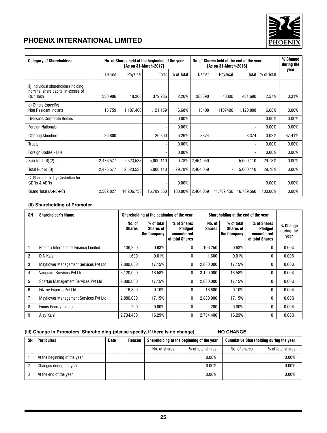

| <b>Category of Shareholders</b>                                                        | No. of Shares held at the beginning of the year<br>[As on 31-March-2017] |            |            | No. of Shares held at the end of the year<br>[As on 31-March-2016] | % Change<br>during the<br>year |            |            |            |           |
|----------------------------------------------------------------------------------------|--------------------------------------------------------------------------|------------|------------|--------------------------------------------------------------------|--------------------------------|------------|------------|------------|-----------|
|                                                                                        | Demat                                                                    | Physical   | Total      | % of Total                                                         | Demat                          | Physical   | Total      | % of Total |           |
| ii) Individual shareholders holding<br>nominal share capital in excess of<br>Rs 1 lakh | 330,986                                                                  | 48.300     | 379,286    | 2.26%                                                              | 383390                         | 48300      | 431.690    | 2.57%      | 0.31%     |
| c) Others (specify)<br>Non Resident Indians                                            | 13.759                                                                   | 1,107,400  | 1,121,159  | 6.68%                                                              | 13408                          | 1107400    | 1,120,808  | 6.68%      | 0.00%     |
| <b>Overseas Corporate Bodies</b>                                                       |                                                                          |            |            | 0.00%                                                              |                                |            |            | 0.00%      | 0.00%     |
| <b>Foreign Nationals</b>                                                               |                                                                          |            |            | $0.00\%$                                                           |                                |            |            | $0.00\%$   | 0.00%     |
| <b>Clearing Members</b>                                                                | 26,800                                                                   |            | 26,800     | 6.26%                                                              | 3374                           |            | 3,374      | 0.02%      | $-87.41%$ |
| <b>Trusts</b>                                                                          |                                                                          |            |            | $0.00\%$                                                           |                                |            |            | 0.00%      | 0.00%     |
| Foreign Bodies - D R                                                                   |                                                                          |            |            | 0.00%                                                              |                                |            |            | 0.00%      | 0.00%     |
| Sub-total $(B)(2)$ :-                                                                  | 2,476,577                                                                | 2,523,533  | 5,000,110  | 29.78%                                                             | 2,464,059                      |            | 5,000,110  | 29.78%     | 0.00%     |
| Total Public (B)                                                                       | 2,476,577                                                                | 2,523,533  | 5.000.110  | 29.78%                                                             | 2,464,059                      |            | 5,000,110  | 29.78%     | 0.00%     |
| C. Shares held by Custodian for<br>GDRs & ADRs                                         |                                                                          |            |            | 0.00%                                                              |                                |            |            | 0.00%      | 0.00%     |
| Grand Total $(A + B + C)$                                                              | 2,582,827                                                                | 14,206,733 | 16,789,560 | 100.00%                                                            | 2,464,059                      | 11,789,450 | 16,789,560 | 100.00%    | 0.00%     |

## **(ii) Shareholding of Promoter**

| SN             | <b>Shareholder's Name</b>             | Shareholding at the beginning of the year |                                               |                                                         | Shareholding at the end of the year |                                               |                                                         |                                |
|----------------|---------------------------------------|-------------------------------------------|-----------------------------------------------|---------------------------------------------------------|-------------------------------------|-----------------------------------------------|---------------------------------------------------------|--------------------------------|
|                |                                       | No. of<br><b>Shares</b>                   | % of total<br><b>Shares of</b><br>the Company | % of Shares<br>Pledged<br>encumbered<br>of total Shares | No. of<br><b>Shares</b>             | % of total<br><b>Shares of</b><br>the Company | % of Shares<br>Pledged<br>encumbered<br>of total Shares | % Change<br>during the<br>year |
|                | Phoenix International Finance Limited | 106,250                                   | 0.63%                                         | 0                                                       | 106,250                             | 0.63%                                         | $\mathbf{0}$                                            | $0.00\%$                       |
| $\overline{2}$ | D N Kalsi                             | 1.600                                     | 0.01%                                         | 0                                                       | 1.600                               | 0.01%                                         | $\mathbf{0}$                                            | $0.00\%$                       |
| 3              | Mayflower Management Services Pvt Ltd | 2,880,000                                 | 17.15%                                        | 0                                                       | 2.880.000                           | 17.15%                                        | $\mathbf{0}$                                            | 0.00%                          |
| 4              | Vanguard Services Pvt Ltd             | 3.120.000                                 | 18.58%                                        | 0                                                       | 3.120.000                           | 18.58%                                        | $\mathbf{0}$                                            | $0.00\%$                       |
| 5              | Spartan Management Services Pvt Ltd   | 2,880,000                                 | 17.15%                                        | 0                                                       | 2,880,000                           | 17.15%                                        | $\mathbf{0}$                                            | $0.00\%$                       |
| 6              | <b>Fitzroy Exports Pvt Ltd</b>        | 16.800                                    | 0.10%                                         | 0                                                       | 16,800                              | 0.10%                                         | $\mathbf{0}$                                            | $0.00\%$                       |
| $\overline{7}$ | Mayflower Management Services Pvt Ltd | 2,880,000                                 | 17.15%                                        | 0                                                       | 2,880,000                           | 17.15%                                        | $\mathbf{0}$                                            | $0.00\%$                       |
| 8              | <b>Focus Energy Limited</b>           | 200                                       | $0.00\%$                                      | 0                                                       | 200                                 | $0.00\%$                                      | $\mathbf{0}$                                            | 0.00%                          |
| 9              | Ajay Kalsi                            | 2,734,400                                 | 16.29%                                        | 0                                                       | 2.734.400                           | 16.29%                                        | $\mathbf{0}$                                            | 0.00%                          |

# **(iii) Change in Promoters' Shareholding (please specify, if there is no change) NO CHANGE**

| SΝ           | <b>Particulars</b>           | <b>Date</b> | Reason | Shareholding at the beginning of the year |                   |               | <b>Cumulative Shareholding during the year</b> |
|--------------|------------------------------|-------------|--------|-------------------------------------------|-------------------|---------------|------------------------------------------------|
|              |                              |             |        | No. of shares                             | % of total shares | No. of shares | % of total shares                              |
|              | At the beginning of the year |             |        |                                           | 0.00%             |               | 0.00%                                          |
|              | Changes during the year      |             |        |                                           | 0.00%             |               | 0.00%                                          |
| <sup>o</sup> | At the end of the year       |             |        |                                           | 0.00%             |               | 0.00%                                          |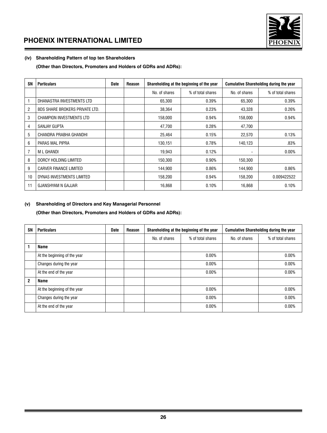

## **(iv) Shareholding Pattern of top ten Shareholders**

 **(Other than Directors, Promoters and Holders of GDRs and ADRs):**

| <b>SN</b> | <b>Particulars</b>                    | <b>Date</b> | Shareholding at the beginning of the year<br>Reason |               |                   |               | <b>Cumulative Shareholding during the year</b> |
|-----------|---------------------------------------|-------------|-----------------------------------------------------|---------------|-------------------|---------------|------------------------------------------------|
|           |                                       |             |                                                     | No. of shares | % of total shares | No. of shares | % of total shares                              |
|           | DHANASTRA INVESTMENTS LTD             |             |                                                     | 65.300        | 0.39%             | 65.300        | 0.39%                                          |
| 2         | <b>BDS SHARE BROKERS PRIVATE LTD.</b> |             |                                                     | 38.364        | 0.23%             | 43,328        | 0.26%                                          |
| 3         | <b>CHAMPION INVESTMENTS LTD</b>       |             |                                                     | 158.000       | 0.94%             | 158.000       | 0.94%                                          |
| 4         | <b>SANJAY GUPTA</b>                   |             |                                                     | 47.700        | 0.28%             | 47,700        |                                                |
| 5         | CHANDRA PRABHA GHANDHI                |             |                                                     | 25.464        | 0.15%             | 22,570        | 0.13%                                          |
| 6         | PARAS MAL PIPRA                       |             |                                                     | 130,151       | 0.78%             | 140,123       | .83%                                           |
|           | M L GHANDI                            |             |                                                     | 19,943        | 0.12%             | ٠             | $0.00\%$                                       |
| 8         | DORCY HOLDING LIMITED                 |             |                                                     | 150.300       | 0.90%             | 150,300       |                                                |
| 9         | <b>CARVER FINANCE LIMITED</b>         |             |                                                     | 144,900       | 0.86%             | 144,900       | 0.86%                                          |
| 10        | DYNAS INVESTMENTS LIMITED             |             |                                                     | 158.200       | 0.94%             | 158.200       | 0.009422522                                    |
| 11        | <b>GJANSHYAM N GAJJAR</b>             |             |                                                     | 16,868        | 0.10%             | 16,868        | 0.10%                                          |

## **(v) Shareholding of Directors and Key Managerial Personnel**

**(Other than Directors, Promoters and Holders of GDRs and ADRs):**

| SN           | <b>Particulars</b>           | <b>Date</b> | Reason |               | Shareholding at the beginning of the year |               | <b>Cumulative Shareholding during the year</b> |  |
|--------------|------------------------------|-------------|--------|---------------|-------------------------------------------|---------------|------------------------------------------------|--|
|              |                              |             |        | No. of shares | % of total shares                         | No. of shares | % of total shares                              |  |
|              | Name                         |             |        |               |                                           |               |                                                |  |
|              | At the beginning of the year |             |        |               | $0.00\%$                                  |               | 0.00%                                          |  |
|              | Changes during the year      |             |        |               | $0.00\%$                                  |               | 0.00%                                          |  |
|              | At the end of the year       |             |        |               | $0.00\%$                                  |               | 0.00%                                          |  |
| $\mathbf{2}$ | <b>Name</b>                  |             |        |               |                                           |               |                                                |  |
|              | At the beginning of the year |             |        |               | 0.00%                                     |               | 0.00%                                          |  |
|              | Changes during the year      |             |        |               | $0.00\%$                                  |               | 0.00%                                          |  |
|              | At the end of the year       |             |        |               | 0.00%                                     |               | 0.00%                                          |  |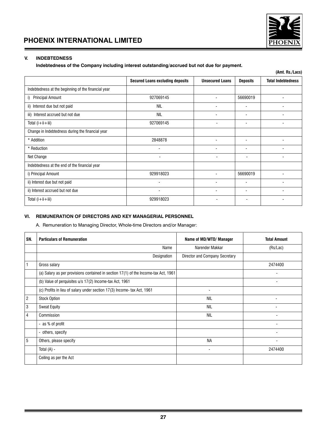

## **V. INDEBTEDNESS**

#### **Indebtedness of the Company including interest outstanding/accrued but not due for payment.**

|                                                     |                                         |                        |                 | (Amt. Rs./Lacs)           |
|-----------------------------------------------------|-----------------------------------------|------------------------|-----------------|---------------------------|
|                                                     | <b>Secured Loans excluding deposits</b> | <b>Unsecured Loans</b> | <b>Deposits</b> | <b>Total Indebtedness</b> |
| Indebtedness at the beginning of the financial year |                                         |                        |                 |                           |
| <b>Principal Amount</b><br>i)                       | 927069145                               | $\blacksquare$         | 56690019        | $\blacksquare$            |
| ii) Interest due but not paid                       | <b>NIL</b>                              |                        |                 |                           |
| iii) Interest accrued but not due                   | <b>NIL</b>                              |                        |                 |                           |
| Total $(i+ii+iii)$                                  | 927069145                               | ٠                      | -               |                           |
| Change in Indebtedness during the financial year    |                                         |                        |                 |                           |
| * Addition                                          | 2848878                                 |                        |                 |                           |
| * Reduction                                         | $\overline{\phantom{a}}$                | $\blacksquare$         | $\blacksquare$  |                           |
| Net Change                                          | $\overline{\phantom{a}}$                | ٠                      |                 |                           |
| Indebtedness at the end of the financial year       |                                         |                        |                 |                           |
| i) Principal Amount                                 | 929918023                               |                        | 56690019        |                           |
| ii) Interest due but not paid                       | $\blacksquare$                          |                        |                 |                           |
| ii) Interest accrued but not due                    | $\blacksquare$                          |                        |                 |                           |
| Total $(i+ii+iii)$                                  | 929918023                               | ٠                      |                 |                           |

## **VI. REMUNERATION OF DIRECTORS AND KEY MANAGERIAL PERSONNEL**

A. Remuneration to Managing Director, Whole-time Directors and/or Manager:

| SN.            | <b>Particulars of Remuneration</b>                                                  | Name of MD/WTD/ Manager        | <b>Total Amount</b>      |
|----------------|-------------------------------------------------------------------------------------|--------------------------------|--------------------------|
|                | Name                                                                                | Narender Makkar                | (Rs/Lac)                 |
|                | Designation                                                                         | Director and Company Secretary |                          |
|                | Gross salary                                                                        |                                | 2474400                  |
|                | (a) Salary as per provisions contained in section 17(1) of the Income-tax Act, 1961 |                                |                          |
|                | (b) Value of perquisites u/s 17(2) Income-tax Act, 1961                             |                                |                          |
|                | (c) Profits in lieu of salary under section 17(3) Income- tax Act, 1961             | ٠                              |                          |
| $\overline{2}$ | <b>Stock Option</b>                                                                 | <b>NIL</b>                     | $\overline{\phantom{a}}$ |
| 3              | <b>Sweat Equity</b>                                                                 | <b>NIL</b>                     |                          |
| 4              | Commission                                                                          | <b>NIL</b>                     |                          |
|                | - as % of profit                                                                    |                                |                          |
|                | - others, specify                                                                   |                                |                          |
| 5              | Others, please specify                                                              | <b>NA</b>                      |                          |
|                | Total (A) -                                                                         | ٠                              | 2474400                  |
|                | Ceiling as per the Act                                                              |                                |                          |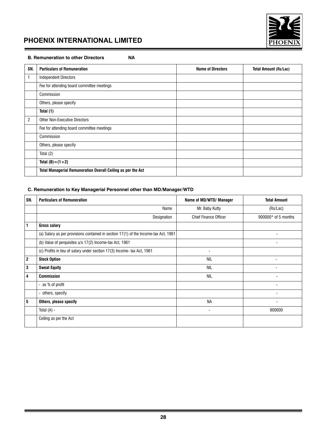

#### **B. Remuneration to other Directors NA**

| SN. | <b>Particulars of Remuneration</b>                           | <b>Name of Directors</b> | <b>Total Amount (Rs/Lac)</b> |
|-----|--------------------------------------------------------------|--------------------------|------------------------------|
|     | <b>Independent Directors</b>                                 |                          |                              |
|     | Fee for attending board committee meetings                   |                          |                              |
|     | Commission                                                   |                          |                              |
|     | Others, please specify                                       |                          |                              |
|     | Total (1)                                                    |                          |                              |
| 2   | <b>Other Non-Executive Directors</b>                         |                          |                              |
|     | Fee for attending board committee meetings                   |                          |                              |
|     | Commission                                                   |                          |                              |
|     | Others, please specify                                       |                          |                              |
|     | Total (2)                                                    |                          |                              |
|     | Total $(B) = (1 + 2)$                                        |                          |                              |
|     | Total Managerial Remuneration Overall Ceiling as per the Act |                          |                              |

## **C. Remuneration to Key Managerial Personnel other than MD/Manager/WTD**

| SN.                     | <b>Particulars of Remuneration</b>                                                  | Name of MD/WTD/ Manager      | <b>Total Amount</b> |
|-------------------------|-------------------------------------------------------------------------------------|------------------------------|---------------------|
|                         | Name                                                                                | Mr. Baby Kutty               | (Rs/Lac)            |
|                         | Designation                                                                         | <b>Chief Finance Officer</b> | 900000* of 5 months |
| $\mathbf{1}$            | <b>Gross salary</b>                                                                 |                              |                     |
|                         | (a) Salary as per provisions contained in section 17(1) of the Income-tax Act, 1961 |                              |                     |
|                         | (b) Value of perquisites u/s 17(2) Income-tax Act, 1961                             |                              |                     |
|                         | (c) Profits in lieu of salary under section 17(3) Income- tax Act, 1961             | ٠                            |                     |
| $\overline{2}$          | <b>Stock Option</b>                                                                 | <b>NIL</b>                   |                     |
| 3                       | <b>Sweat Equity</b>                                                                 | NIL                          |                     |
| $\overline{\mathbf{4}}$ | <b>Commission</b>                                                                   | <b>NIL</b>                   |                     |
|                         | - as % of profit                                                                    |                              |                     |
|                         | - others, specify                                                                   |                              |                     |
| 5                       | Others, please specify                                                              | <b>NA</b>                    |                     |
|                         | Total (A) -                                                                         | ٠                            | 900000              |
|                         | Ceiling as per the Act                                                              |                              |                     |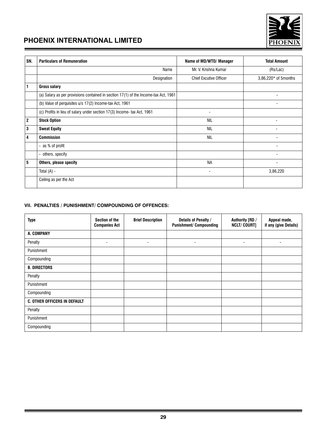

| SN.            | <b>Particulars of Remuneration</b>                                                  | Name of MD/WTD/ Manager       | <b>Total Amount</b>  |
|----------------|-------------------------------------------------------------------------------------|-------------------------------|----------------------|
|                | Name                                                                                | Mr. V. Krishna Kumar          | (Rs/Lac)             |
|                | Designation                                                                         | <b>Chief Excutive Officer</b> | 3,86,220* of 5months |
| 1              | <b>Gross salary</b>                                                                 |                               |                      |
|                | (a) Salary as per provisions contained in section 17(1) of the Income-tax Act, 1961 |                               |                      |
|                | (b) Value of perquisites u/s 17(2) Income-tax Act, 1961                             |                               |                      |
|                | (c) Profits in lieu of salary under section 17(3) Income- tax Act, 1961             | $\overline{\phantom{a}}$      |                      |
| $\overline{2}$ | <b>Stock Option</b>                                                                 | NIL                           |                      |
| 3              | <b>Sweat Equity</b>                                                                 | <b>NIL</b>                    |                      |
| 4              | <b>Commission</b>                                                                   | NIL                           |                      |
|                | - as % of profit                                                                    |                               |                      |
|                | - others, specify                                                                   |                               |                      |
| 5              | Others, please specify                                                              | <b>NA</b>                     |                      |
|                | Total (A) -                                                                         | $\overline{\phantom{a}}$      | 3,86,220             |
|                | Ceiling as per the Act                                                              |                               |                      |

## **VII. PENALTIES / PUNISHMENT/ COMPOUNDING OF OFFENCES:**

| <b>Type</b>                         | Section of the<br><b>Companies Act</b> | <b>Brief Description</b> | Details of Penalty /<br><b>Punishment/ Compounding</b> | Authority [RD /<br><b>NCLT/ COURT]</b> | Appeal made,<br>if any (give Details) |
|-------------------------------------|----------------------------------------|--------------------------|--------------------------------------------------------|----------------------------------------|---------------------------------------|
| A. COMPANY                          |                                        |                          |                                                        |                                        |                                       |
| Penalty                             | ٠                                      | ۰                        | ٠                                                      | $\blacksquare$                         |                                       |
| Punishment                          |                                        |                          |                                                        |                                        |                                       |
| Compounding                         |                                        |                          |                                                        |                                        |                                       |
| <b>B. DIRECTORS</b>                 |                                        |                          |                                                        |                                        |                                       |
| Penalty                             |                                        |                          |                                                        |                                        |                                       |
| Punishment                          |                                        |                          |                                                        |                                        |                                       |
| Compounding                         |                                        |                          |                                                        |                                        |                                       |
| <b>C. OTHER OFFICERS IN DEFAULT</b> |                                        |                          |                                                        |                                        |                                       |
| Penalty                             |                                        |                          |                                                        |                                        |                                       |
| Punishment                          |                                        |                          |                                                        |                                        |                                       |
| Compounding                         |                                        |                          |                                                        |                                        |                                       |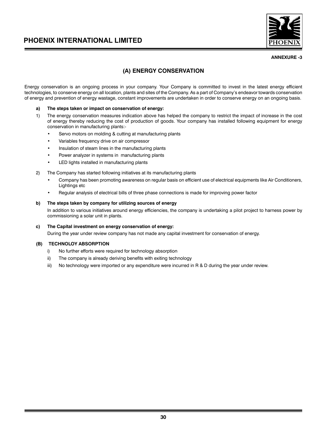

#### **ANNEXURE -3**

# **(A) ENERGY CONSERVATION**

Energy conservation is an ongoing process in your company. Your Company is committed to invest in the latest energy efficient technologies, to conserve energy on all location, plants and sites of the Company. As a part of Company's endeavor towards conservation of energy and prevention of energy wastage, constant improvements are undertaken in order to conserve energy on an ongoing basis.

#### **a) The steps taken or impact on conservation of energy:**

- 1) The energy conservation measures indication above has helped the company to restrict the impact of increase in the cost of energy thereby reducing the cost of production of goods. Your company has installed following equipment for energy conservation in manufacturing plants:-
	- Servo motors on molding & cutting at manufacturing plants
	- Variables frequency drive on air compressor
	- Insulation of steam lines in the manufacturing plants
	- Power analyzer in systems in manufacturing plants
	- LED lights installed in manufacturing plants
- 2) The Company has started following initiatives at its manufacturing plants
	- Company has been promoting awareness on regular basis on efficient use of electrical equipments like Air Conditioners, Lightings etc
	- Regular analysis of electrical bills of three phase connections is made for improving power factor

#### **b) The steps taken by company for utilizing sources of energy**

In addition to various initiatives around energy efficiencies, the company is undertaking a pilot project to harness power by commissioning a solar unit in plants.

#### **c) The Capital investment on energy conservation of energy:**

During the year under review company has not made any capital investment for conservation of energy.

#### **(B) TECHNOLOY ABSORPTION**

- i) No further efforts were required for technology absorption
- ii) The company is already deriving benefits with exiting technology
- iii) No technology were imported or any expenditure were incurred in R & D during the year under review.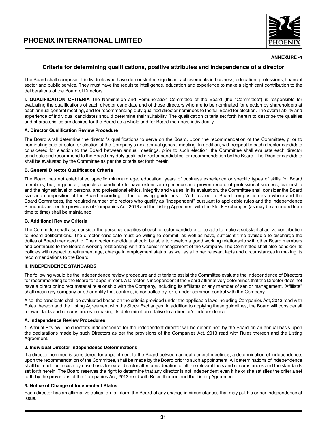

#### **ANNEXURE -4**

# **Criteria for determining qualifications, positive attributes and independence of a director**

The Board shall comprise of individuals who have demonstrated significant achievements in business, education, professions, financial sector and public service. They must have the requisite intelligence, education and experience to make a significant contribution to the deliberations of the Board of Directors.

**I. QUALIFICATION CRITERIA** The Nomination and Remuneration Committee of the Board (the "Committee") is responsible for evaluating the qualifications of each director candidate and of those directors who are to be nominated for election by shareholders at each annual general meeting, and for recommending duly qualified director nominees to the full Board for election. The overall ability and experience of individual candidates should determine their suitability. The qualification criteria set forth herein to describe the qualities and characteristics are desired for the Board as a whole and for Board members individually.

#### **A. Director Qualification Review Procedure**

The Board shall determine the director's qualifications to serve on the Board, upon the recommendation of the Committee, prior to nominating said director for election at the Company's next annual general meeting. In addition, with respect to each director candidate considered for election to the Board between annual meetings, prior to such election, the Committee shall evaluate each director candidate and recommend to the Board any duly qualified director candidates for recommendation by the Board. The Director candidate shall be evaluated by the Committee as per the criteria set forth herein.

#### **B. General Director Qualification Criteria**

The Board has not established specific minimum age, education, years of business experience or specific types of skills for Board members, but, in general, expects a candidate to have extensive experience and proven record of professional success, leadership and the highest level of personal and professional ethics, integrity and values. In its evaluation, the Committee shall consider the Board size and composition of the Board according to the following guidelines: – With respect to Board composition as a whole and the Board Committees, the required number of directors who qualify as "independent" pursuant to applicable rules and the Independence Standards as per the provisions of Companies Act, 2013 and the Listing Agreement with the Stock Exchanges (as may be amended from time to time) shall be maintained.

#### **C. Additional Review Criteria**

The Committee shall also consider the personal qualities of each director candidate to be able to make a substantial active contribution to Board deliberations. The director candidate must be willing to commit, as well as have, sufficient time available to discharge the duties of Board membership. The director candidate should be able to develop a good working relationship with other Board members and contribute to the Board's working relationship with the senior management of the Company. The Committee shall also consider its policies with respect to retirement age, change in employment status, as well as all other relevant facts and circumstances in making its recommendations to the Board.

#### **II. INDEPENDENCE STANDARDS**

The following would be the independence review procedure and criteria to assist the Committee evaluate the independence of Directors for recommending to the Board for appointment. A Director is independent if the Board affirmatively determines that the Director does not have a direct or indirect material relationship with the Company, including its affiliates or any member of senior management. "Affiliate" shall mean any company or other entity that controls, is controlled by, or is under common control with the Company.

Also, the candidate shall be evaluated based on the criteria provided under the applicable laws including Companies Act, 2013 read with Rules thereon and the Listing Agreement with the Stock Exchanges. In addition to applying these guidelines, the Board will consider all relevant facts and circumstances in making its determination relative to a director's independence.

#### **A. Independence Review Procedures**

1. Annual Review The director's independence for the independent director will be determined by the Board on an annual basis upon the declarations made by such Directors as per the provisions of the Companies Act, 2013 read with Rules thereon and the Listing Agreement.

#### **2. Individual Director Independence Determinations**

If a director nominee is considered for appointment to the Board between annual general meetings, a determination of independence, upon the recommendation of the Committee, shall be made by the Board prior to such appointment. All determinations of independence shall be made on a case-by-case basis for each director after consideration of all the relevant facts and circumstances and the standards set forth herein. The Board reserves the right to determine that any director is not independent even if he or she satisfies the criteria set forth by the provisions of the Companies Act, 2013 read with Rules thereon and the Listing Agreement.

#### **3. Notice of Change of Independent Status**

Each director has an affirmative obligation to inform the Board of any change in circumstances that may put his or her independence at issue.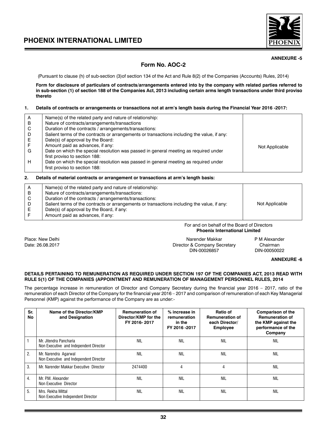

#### **ANNEXURE -5**

# **Form No. AOC-2**

(Pursuant to clause (h) of sub-section (3)of section 134 of the Act and Rule 8(2) of the Companies (Accounts) Rules, 2014)

**Form for disclosure of particulars of contracts/arrangements entered into by the company with related parties referred to in sub-section (1) of section 188 of the Companies Act, 2013 including certain arms length transactions under third proviso thereto**

#### **1. Details of contracts or arrangements or transactions not at arm's length basis during the Financial Year 2016 -2017:**

| A | Name(s) of the related party and nature of relationship:                                    |                |
|---|---------------------------------------------------------------------------------------------|----------------|
| в | Nature of contracts/arrangements/transactions                                               |                |
| С | Duration of the contracts / arrangements/transactions:                                      |                |
| D | Salient terms of the contracts or arrangements or transactions including the value, if any: |                |
|   | Date(s) of approval by the Board:                                                           |                |
|   | Amount paid as advances, if any:                                                            | Not Applicable |
| G | Date on which the special resolution was passed in general meeting as required under        |                |
|   | first proviso to section 188:                                                               |                |
| H | Date on which the special resolution was passed in general meeting as required under        |                |
|   | first proviso to section 188:                                                               |                |
|   |                                                                                             |                |

#### **2. Details of material contracts or arrangement or transactions at arm's length basis:**

| Name(s) of the related party and nature of relationship:                                    |                |
|---------------------------------------------------------------------------------------------|----------------|
| Nature of contracts/arrangements/transactions:                                              |                |
| Duration of the contracts / arrangements/transactions:                                      |                |
| Salient terms of the contracts or arrangements or transactions including the value, if any: | Not Applicable |
| Date(s) of approval by the Board, if any:                                                   |                |
| Amount paid as advances, if any:                                                            |                |
|                                                                                             |                |

For and on behalf of the Board of Directors **Phoenix International Limited**

Place: New Delhi **Place:** New Delhi **Place: New Delhi** Narender Makkar PM Alexander PM Alexander PM Alexander PM Alexander PM Alexander PM Alexander PM Alexander PM Alexander PM Alexander PM Alexander P Director & Company Secretary Chairman<br>DIN-00050022.2017 DIN-00050022 DIN-00026857

**ANNEXURE -6**

#### **DETAILS PERTAINING TO REMUNERATION AS REQUIRED UNDER SECTION 197 OF THE COMPANIES ACT, 2013 READ WITH RULE 5(1) OF THE COMPANIES (APPOINTMENT AND REMUNERATION OF MANAGEMENT PERSONNEL RULES, 2014**

The percentage increase in remuneration of Director and Company Secretary during the financial year 2016 – 2017, ratio of the remuneration of each Director of the Company for the financial year 2016 – 2017 and comparison of remuneration of each Key Managerial Personnel (KMP) against the performance of the Company are as under:-

| Sr.<br>No | Name of the Director/KMP<br>and Designation                      | <b>Remuneration of</b><br>Director/KMP for the<br>FY 2016-2017 | % increase in<br>remuneration<br>in the<br>FY 2016 -2017 | Ratio of<br><b>Remuneration of</b><br>each Director/<br><b>Employee</b> | <b>Comparison of the</b><br><b>Remuneration of</b><br>the KMP against the<br>performance of the<br>Company |
|-----------|------------------------------------------------------------------|----------------------------------------------------------------|----------------------------------------------------------|-------------------------------------------------------------------------|------------------------------------------------------------------------------------------------------------|
|           | Mr. Jitendra Pancharia<br>Non Executive and Independent Director | <b>NIL</b>                                                     | NIL                                                      | <b>NIL</b>                                                              | <b>NIL</b>                                                                                                 |
| 2.        | Mr. Narendra Agarwal<br>Non Executive and Independent Director   | <b>NIL</b>                                                     | NIL                                                      | <b>NIL</b>                                                              | <b>NIL</b>                                                                                                 |
| 3.        | Mr. Narender Makkar Executive Director                           | 2474400                                                        | 4                                                        | 4                                                                       | <b>NIL</b>                                                                                                 |
| 4.        | Mr. P.M. Alexander<br>Non Executive Director                     | <b>NIL</b>                                                     | NIL                                                      | <b>NIL</b>                                                              | <b>NIL</b>                                                                                                 |
| 5.        | Mrs. Rekha Mittal<br>Non Executive Independent Director          | <b>NIL</b>                                                     | <b>NIL</b>                                               | <b>NIL</b>                                                              | <b>NIL</b>                                                                                                 |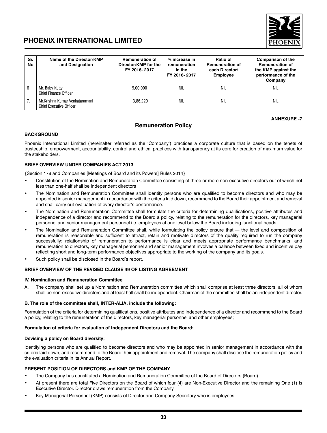

| Sr.<br>No | Name of the Director/KMP<br>and Designation                       | <b>Remuneration of</b><br>Director/KMP for the<br>FY 2016-2017 | % increase in<br>remuneration<br>in the<br>FY 2016-2017 | Ratio of<br><b>Remuneration of</b><br>each Director/<br>Employee | <b>Comparison of the</b><br><b>Remuneration of</b><br>the KMP against the<br>performance of the<br>Company |
|-----------|-------------------------------------------------------------------|----------------------------------------------------------------|---------------------------------------------------------|------------------------------------------------------------------|------------------------------------------------------------------------------------------------------------|
| 6         | Mr. Baby Kutty<br><b>Chief Finance Officer</b>                    | 9.00.000                                                       | <b>NIL</b>                                              | NIL                                                              | <b>NIL</b>                                                                                                 |
|           | Mr. Krishna Kumar Venkataramani<br><b>Chief Executive Officer</b> | 3.86.220                                                       | <b>NIL</b>                                              | NIL                                                              | <b>NIL</b>                                                                                                 |

**ANNEXURE -7**

# **Remuneration Policy**

#### **BACKGROUND**

Phoenix International Limited (hereinafter referred as the 'Company') practices a corporate culture that is based on the tenets of trusteeship, empowerment, accountability, control and ethical practices with transparency at its core for creation of maximum value for the stakeholders.

#### **BRIEF OVERVIEW UNDER COMPANIES ACT 2013**

{Section 178 and Companies [Meetings of Board and its Powers] Rules 2014}

- Constitution of the Nomination and Remuneration Committee consisting of three or more non-executive directors out of which not less than one-half shall be independent directors
- The Nomination and Remuneration Committee shall identify persons who are qualified to become directors and who may be appointed in senior management in accordance with the criteria laid down, recommend to the Board their appointment and removal and shall carry out evaluation of every director's performance.
- The Nomination and Remuneration Committee shall formulate the criteria for determining qualifications, positive attributes and independence of a director and recommend to the Board a policy, relating to the remuneration for the directors, key managerial personnel and senior management personnel i.e. employees at one level below the Board including functional heads.
- The Nomination and Remuneration Committee shall, while formulating the policy ensure that:— the level and composition of remuneration is reasonable and sufficient to attract, retain and motivate directors of the quality required to run the company successfully; relationship of remuneration to performance is clear and meets appropriate performance benchmarks; and remuneration to directors, key managerial personnel and senior management involves a balance between fixed and incentive pay reflecting short and long-term performance objectives appropriate to the working of the company and its goals.
- Such policy shall be disclosed in the Board's report.

#### **BRIEF OVERVIEW OF THE REVISED CLAUSE 49 OF LISTING AGREEMENT**

#### **IV. Nomination and Remuneration Committee**

A. The company shall set up a Nomination and Remuneration committee which shall comprise at least three directors, all of whom shall be non-executive directors and at least half shall be independent. Chairman of the committee shall be an independent director.

#### **B. The role of the committee shall, INTER-ALIA, include the following:**

Formulation of the criteria for determining qualifications, positive attributes and independence of a director and recommend to the Board a policy, relating to the remuneration of the directors, key managerial personnel and other employees;

#### **Formulation of criteria for evaluation of Independent Directors and the Board;**

#### **Devising a policy on Board diversity;**

Identifying persons who are qualified to become directors and who may be appointed in senior management in accordance with the criteria laid down, and recommend to the Board their appointment and removal. The company shall disclose the remuneration policy and the evaluation criteria in its Annual Report.

#### **PRESENT POSITION OF DIRECTORS and KMP OF THE COMPANY**

- The Company has constituted a Nomination and Remuneration Committee of the Board of Directors (Board).
- At present there are total Five Directors on the Board of which four (4) are Non-Executive Director and the remaining One (1) is Executive Director. Director draws remuneration from the Company.
- Key Managerial Personnel (KMP) consists of Director and Company Secretary who is employees.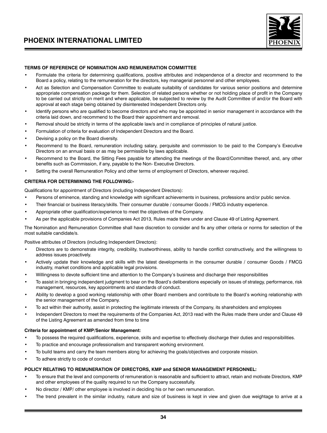

### **TERMS OF REFERENCE OF NOMINATION AND REMUNERATION COMMITTEE**

- Formulate the criteria for determining qualifications, positive attributes and independence of a director and recommend to the Board a policy, relating to the remuneration for the directors, key managerial personnel and other employees.
- Act as Selection and Compensation Committee to evaluate suitability of candidates for various senior positions and determine appropriate compensation package for them. Selection of related persons whether or not holding place of profit in the Company to be carried out strictly on merit and where applicable, be subjected to review by the Audit Committee of and/or the Board with approval at each stage being obtained by disinterested Independent Directors only.
- Identify persons who are qualified to become directors and who may be appointed in senior management in accordance with the criteria laid down, and recommend to the Board their appointment and removal.
- Removal should be strictly in terms of the applicable law/s and in compliance of principles of natural justice.
- Formulation of criteria for evaluation of Independent Directors and the Board.
- Devising a policy on the Board diversity.
- Recommend to the Board, remuneration including salary, perquisite and commission to be paid to the Company's Executive Directors on an annual basis or as may be permissible by laws applicable.
- Recommend to the Board, the Sitting Fees payable for attending the meetings of the Board/Committee thereof, and, any other benefits such as Commission, if any, payable to the Non- Executive Directors.
- Setting the overall Remuneration Policy and other terms of employment of Directors, wherever required.

#### **CRITERIA FOR DETERMINING THE FOLLOWING:-**

Qualifications for appointment of Directors (including Independent Directors):

- Persons of eminence, standing and knowledge with significant achievements in business, professions and/or public service.
- Their financial or business literacy/skills. Their consumer durable / consumer Goods / FMCG industry experience.
- Appropriate other qualification/experience to meet the objectives of the Company.
- As per the applicable provisions of Companies Act 2013, Rules made there under and Clause 49 of Listing Agreement.

The Nomination and Remuneration Committee shall have discretion to consider and fix any other criteria or norms for selection of the most suitable candidate/s.

Positive attributes of Directors (including Independent Directors):

- Directors are to demonstrate integrity, credibility, trustworthiness, ability to handle conflict constructively, and the willingness to address issues proactively.
- Actively update their knowledge and skills with the latest developments in the consumer durable / consumer Goods / FMCG industry, market conditions and applicable legal provisions.
- Willingness to devote sufficient time and attention to the Company's business and discharge their responsibilities
- To assist in bringing independent judgment to bear on the Board's deliberations especially on issues of strategy, performance, risk management, resources, key appointments and standards of conduct.
- Ability to develop a good working relationship with other Board members and contribute to the Board's working relationship with the senior management of the Company.
- To act within their authority, assist in protecting the legitimate interests of the Company, its shareholders and employees
- Independent Directors to meet the requirements of the Companies Act, 2013 read with the Rules made there under and Clause 49 of the Listing Agreement as amended from time to time

#### **Criteria for appointment of KMP/Senior Management:**

- To possess the required qualifications, experience, skills and expertise to effectively discharge their duties and responsibilities.
- To practice and encourage professionalism and transparent working environment.
- To build teams and carry the team members along for achieving the goals/objectives and corporate mission.
- To adhere strictly to code of conduct

#### **POLICY RELATING TO REMUNERATION OF DIRECTORS, KMP and SENIOR MANAGEMENT PERSONNEL:**

- To ensure that the level and components of remuneration is reasonable and sufficient to attract, retain and motivate Directors, KMP and other employees of the quality required to run the Company successfully.
- No director / KMP/ other employee is involved in deciding his or her own remuneration.
- The trend prevalent in the similar industry, nature and size of business is kept in view and given due weightage to arrive at a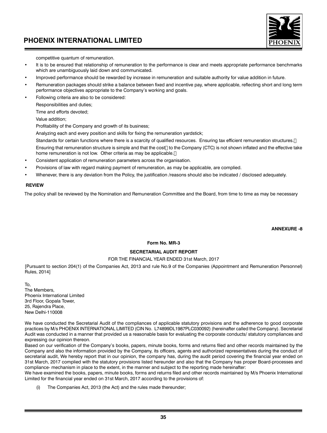

competitive quantum of remuneration.

- It is to be ensured that relationship of remuneration to the performance is clear and meets appropriate performance benchmarks which are unambiguously laid down and communicated.
- Improved performance should be rewarded by increase in remuneration and suitable authority for value addition in future.
- Remuneration packages should strike a balance between fixed and incentive pay, where applicable, reflecting short and long term performance objectives appropriate to the Company's working and goals.
- Following criteria are also to be considered:
	- Responsibilities and duties;

Time and efforts devoted;

Value addition;

Profitability of the Company and growth of its business;

Analyzing each and every position and skills for fixing the remuneration yardstick;

Standards for certain functions where there is a scarcity of qualified resources. Ensuring tax efficient remuneration structures.<sup>[]</sup>

Ensuring that remuneration structure is simple and that the cost<sup>[</sup>] to the Company (CTC) is not shown inflated and the effective take home remuneration is not low. Other criteria as may be applicable.

- Consistent application of remuneration parameters across the organisation.
- Provisions of law with regard making payment of remuneration, as may be applicable, are complied.
- Whenever, there is any deviation from the Policy, the justification /reasons should also be indicated / disclosed adequately.

#### **REVIEW**

The policy shall be reviewed by the Nomination and Remuneration Committee and the Board, from time to time as may be necessary

**ANNEXURE -8**

#### **Form No. MR-3**

### **SECRETARIAL AUDIT REPORT**

#### FOR THE FINANCIAL YEAR ENDED 31st March, 2017

[Pursuant to section 204(1) of the Companies Act, 2013 and rule No.9 of the Companies (Appointment and Remuneration Personnel) Rules, 2014]

To, The Members, Phoenix International Limited 3rd Floor, Gopala Tower, 25, Rajendra Place, New Delhi-110008

We have conducted the Secretarial Audit of the compliances of applicable statutory provisions and the adherence to good corporate practices by M/s PHOENIX INTERNATIONAL LIMITED (CIN No. L74899DL1987PLC030092) (hereinafter called the Company). Secretarial Audit was conducted in a manner that provided us a reasonable basis for evaluating the corporate conducts/ statutory compliances and expressing our opinion thereon.

Based on our verification of the Company's books, papers, minute books, forms and returns filed and other records maintained by the Company and also the information provided by the Company, its officers, agents and authorized representatives during the conduct of secretarial audit. We hereby report that in our opinion, the company has, during the audit period covering the financial year ended on 31st March, 2017 complied with the statutory provisions listed hereunder and also that the Company has proper Board-processes and compliance- mechanism in place to the extent, in the manner and subject to the reporting made hereinafter:

We have examined the books, papers, minute books, forms and returns filed and other records maintained by M/s Phoenix International Limited for the financial year ended on 31st March, 2017 according to the provisions of:

(i) The Companies Act, 2013 (the Act) and the rules made thereunder;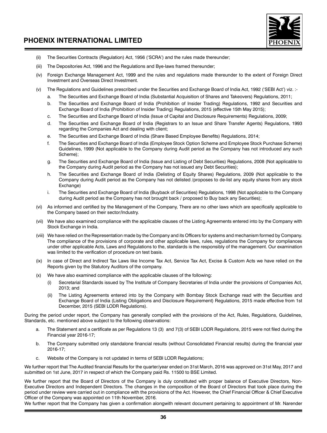

- (ii) The Securities Contracts (Regulation) Act, 1956 ('SCRA') and the rules made thereunder;
- (iii) The Depositories Act, 1996 and the Regulations and Bye-laws framed thereunder;
- (iv) Foreign Exchange Management Act, 1999 and the rules and regulations made thereunder to the extent of Foreign Direct Investment and Overseas Direct Investment.
- (v) The Regulations and Guidelines prescribed under the Securities and Exchange Board of India Act, 1992 ('SEBI Act') viz. :
	- a. The Securities and Exchange Board of India (Substantial Acquisition of Shares and Takeovers) Regulations, 2011;
	- b. The Securities and Exchange Board of India (Prohibition of Insider Trading) Regulations, 1992 and Securities and Exchange Board of India (Prohibition of Insider Trading) Regulations, 2015 (effective 15th May 2015);
	- c. The Securities and Exchange Board of India (Issue of Capital and Disclosure Requirements) Regulations, 2009;
	- d. The Securities and Exchange Board of India (Registrars to an Issue and Share Transfer Agents) Regulations, 1993 regarding the Companies Act and dealing with client;
	- e. The Securities and Exchange Board of India (Share Based Employee Benefits) Regulations, 2014;
	- f. The Securities and Exchange Board of India (Employee Stock Option Scheme and Employee Stock Purchase Scheme) Guidelines, 1999 (Not applicable to the Company during Audit period as the Company has not introduced any such Scheme);
	- g. The Securities and Exchange Board of India (Issue and Listing of Debt Securities) Regulations, 2008 (Not applicable to the Company during Audit period as the Company has not issued any Debt Securities);
	- h. The Securities and Exchange Board of India (Delisting of Equity Shares) Regulations, 2009 (Not applicable to the Company during Audit period as the Company has not delisted /proposes to de-list any equity shares from any stock Exchange)
	- i. The Securities and Exchange Board of India (Buyback of Securities) Regulations, 1998 (Not applicable to the Company during Audit period as the Company has not brought back / proposed to Buy back any Securities);
- (vi) As informed and certified by the Management of the Company, There are no other laws which are specifically applicable to the Company based on their sector/Industry.
- (vii) We have also examined compliance with the applicable clauses of the Listing Agreements entered into by the Company with Stock Exchange in India.
- (viii) We have relied on the Representation made by the Company and its Officers for systems and mechanism formed by Company. The compliance of the provisions of corporate and other applicable laws, rules, regulations the Company for compliances under other applicable Acts, Laws and Regulations to the, standards is the responsibly of the management. Our examination was limited to the verification of procedure on test basis.
- (ix) In case of Direct and Indirect Tax Laws like Income Tax Act, Service Tax Act, Excise & Custom Acts we have relied on the Reports given by the Statutory Auditors of the company.
- (x) We have also examined compliance with the applicable clauses of the following:
	- (i) Secretarial Standards issued by The Institute of Company Secretaries of India under the provisions of Companies Act, 2013; and
	- (ii) The Listing Agreements entered into by the Company with Bombay Stock Exchange read with the Securities and Exchange Board of India (Listing Obligations and Disclosure Requirement) Regulations, 2015 made effective from 1st December, 2015 (SEBI LODR Regulations).

During the period under report, the Company has generally complied with the provisions of the Act, Rules, Regulations, Guidelines, Standards, etc. mentioned above subject to the following observations:

- a. The Statement and a certificate as per Regulations 13 (3) and 7(3) of SEBI LODR Regulations, 2015 were not filed during the Financial year 2016-17;
- b. The Company submitted only standalone financial results (without Consolidated Financial results) during the financial year 2016-17;
- c. Website of the Company is not updated in terms of SEBI LODR Regulations;

We further report that The Audited financial Results for the quarter/year ended on 31st March, 2016 was approved on 31st May, 2017 and submitted on 1st June, 2017 in respect of which the Company paid Rs. 11500 to BSE Limited.

We further report that the Board of Directors of the Company is duly constituted with proper balance of Executive Directors, Non-Executive Directors and Independent Directors. The changes in the composition of the Board of Directors that took place during the period under review were carried out in compliance with the provisions of the Act. However, the Chief Financial Officer & Chief Executive Officer of the Company was appointed on 11th November, 2016.

We further report that the Company has given a confirmation alongwith relevant document pertaining to appointment of Mr. Narender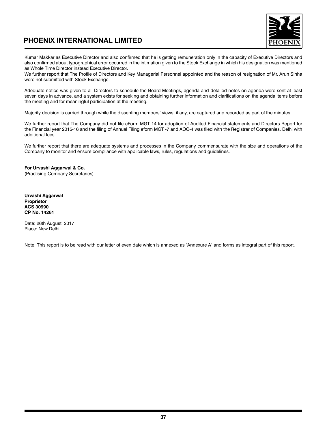

Kumar Makkar as Executive Director and also confirmed that he is getting remuneration only in the capacity of Executive Directors and also confirmed about typographical error occurred in the intimation given to the Stock Exchange in which his designation was mentioned as Whole Time Director instead Executive Director.

We further report that The Profile of Directors and Key Managerial Personnel appointed and the reason of resignation of Mr. Arun Sinha were not submitted with Stock Exchange.

Adequate notice was given to all Directors to schedule the Board Meetings, agenda and detailed notes on agenda were sent at least seven days in advance, and a system exists for seeking and obtaining further information and clarifications on the agenda items before the meeting and for meaningful participation at the meeting.

Majority decision is carried through while the dissenting members' views, if any, are captured and recorded as part of the minutes.

We further report that The Company did not file eForm MGT 14 for adoption of Audited Financial statements and Directors Report for the Financial year 2015-16 and the filing of Annual Filing eform MGT -7 and AOC-4 was filed with the Registrar of Companies, Delhi with additional fees.

We further report that there are adequate systems and processes in the Company commensurate with the size and operations of the Company to monitor and ensure compliance with applicable laws, rules, regulations and guidelines.

**For Urvashi Aggarwal & Co.** (Practising Company Secretaries)

**Urvashi Aggarwal Proprietor ACS 30990 CP No. 14261**

Date: 26th August, 2017 Place: New Delhi

Note: This report is to be read with our letter of even date which is annexed as "Annexure A" and forms as integral part of this report.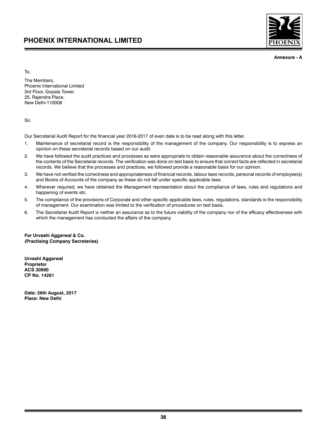

**Annexure - A**

To,

The Members, Phoenix International Limited 3rd Floor, Gopala Tower, 25, Rajendra Place, New Delhi-110008

Sir,

Our Secretarial Audit Report for the financial year 2016-2017 of even date is to be read along with this letter.

- 1. Maintenance of secretarial record is the responsibility of the management of the company. Our responsibility is to express an opinion on these secretarial records based on our audit.
- 2. We have followed the audit practices and processes as were appropriate to obtain reasonable assurance about the correctness of the contents of the Secretarial records. The verification was done on test basis to ensure that correct facts are reflected in secretarial records. We believe that the processes and practices, we followed provide a reasonable basis for our opinion.
- 3. We have not verified the correctness and appropriateness of financial records, labour laws records, personal records of employee(s) and Books of Accounts of the company as these do not fall under specific applicable laws.
- 4. Wherever required, we have obtained the Management representation about the compliance of laws, rules and regulations and happening of events etc.
- 5. The compliance of the provisions of Corporate and other specific applicable laws, rules, regulations, standards is the responsibility of management. Our examination was limited to the verification of procedures on test basis.
- 6. The Secretarial Audit Report is neither an assurance as to the future viability of the company nor of the efficacy effectiveness with which the management has conducted the affairs of the company.

**For Urvashi Aggarwal & Co. (Practising Company Secretaries)**

**Urvashi Aggarwal Proprietor ACS 30990 CP No. 14261**

**Date: 26th August, 2017 Place: New Delhi**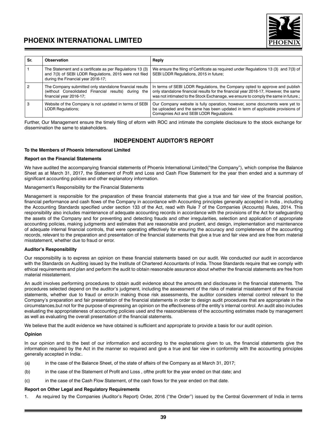

| Sr. | Observation                                                                                                                                               | Reply                                                                                                                                                                                                                                                    |
|-----|-----------------------------------------------------------------------------------------------------------------------------------------------------------|----------------------------------------------------------------------------------------------------------------------------------------------------------------------------------------------------------------------------------------------------------|
|     | The Statement and a certificate as per Regulations 13 (3)<br>and 7(3) of SEBI LODR Regulations, 2015 were not filed<br>during the Financial year 2016-17; | We ensure the filing of Certificate as required under Regulations 13 (3) and 7(3) of<br>SEBI LODR Regulations, 2015 in future;                                                                                                                           |
|     | The Company submitted only standalone financial results<br>(without Consolidated Financial results) during the<br>financial year 2016-17;                 | In terms of SEBI LODR Regulations, the Company opted to approve and publish<br>only standalone financial results for the financial year 2016-17, However, the same<br>was not intimated to the Stock Exchanage, we ensure to comply the same in future.; |
|     | Website of the Company is not updated in terms of SEBI<br><b>LODR Regulations;</b>                                                                        | Our Company website is fully operation, however, some documents were yet to<br>be uploaded and the same has been updated in term of applicable provisions of<br>Comapnies Act and SEBI LODR Regulations.                                                 |

Further, Our Management ensure the timely filing of eform with ROC and intimate the complete disclosure to the stock exchange for dissemination the same to stakeholders.

### **INDEPENDENT AUDITOR'S REPORT**

#### **To the Members of Phoenix International Limited**

#### **Report on the Financial Statements**

We have audited the accompanying financial statements of Phoenix International Limited("the Company"), which comprise the Balance Sheet as at March 31, 2017, the Statement of Profit and Loss and Cash Flow Statement for the year then ended and a summary of significant accounting policies and other explanatory information.

#### Management's Responsibility for the Financial Statements

Management is responsible for the preparation of these financial statements that give a true and fair view of the financial position, financial performance and cash flows of the Company in accordance with Accounting principles generally accepted in India , including the Accounting Standards specified under section 133 of the Act, read with Rule 7 of the Companies (Accounts) Rules, 2014. This responsibility also includes maintenance of adequate accounting records in accordance with the provisions of the Act for safeguarding the assets of the Company and for preventing and detecting frauds and other irregularities, selection and application of appropriate accounting policies, making judgments and estimates that are reasonable and prudent, and design, implementation and maintenance of adequate internal financial controls, that were operating effectively for ensuring the accuracy and completeness of the accounting records, relevant to the preparation and presentation of the financial statements that give a true and fair view and are free from material misstatement, whether due to fraud or error.

#### **Auditor's Responsibility**

Our responsibility is to express an opinion on these financial statements based on our audit. We conducted our audit in accordance with the Standards on Auditing issued by the Institute of Chartered Accountants of India. Those Standards require that we comply with ethical requirements and plan and perform the audit to obtain reasonable assurance about whether the financial statements are free from material misstatement.

An audit involves performing procedures to obtain audit evidence about the amounts and disclosures in the financial statements. The procedures selected depend on the auditor's judgment, including the assessment of the risks of material misstatement of the financial statements, whether due to fraud or error.In making those risk assessments, the auditor considers internal control relevant to the Company's preparation and fair presentation of the financial statements in order to design audit procedures that are appropriate in the circumstances,but not for the purpose of expressing an opinion on the effectiveness of the entity's internal control. An audit also includes evaluating the appropriateness of accounting policies used and the reasonableness of the accounting estimates made by management as well as evaluating the overall presentation of the financial statements.

We believe that the audit evidence we have obtained is sufficient and appropriate to provide a basis for our audit opinion.

#### **Opinion**

In our opinion and to the best of our information and according to the explanations given to us, the financial statements give the information required by the Act in the manner so required and give a true and fair view in conformity with the accounting principles generally accepted in India:.

- (a) in the case of the Balance Sheet, of the state of affairs of the Company as at March 31, 2017;
- (b) in the case of the Statement of Profit and Loss , ofthe profit for the year ended on that date; and
- (c) in the case of the Cash Flow Statement, of the cash flows for the year ended on that date.

#### **Report on Other Legal and Regulatory Requirements**

1. As required by the Companies (Auditor's Report) Order, 2016 ("the Order") issued by the Central Government of India in terms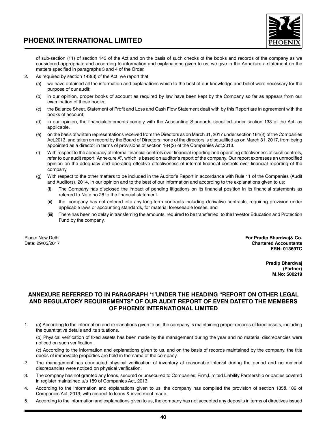

of sub-section (11) of section 143 of the Act and on the basis of such checks of the books and records of the company as we considered appropriate and according to information and explanations given to us, we give in the Annexure a statement on the matters specified in paragraphs 3 and 4 of the Order.

- 2. As required by section 143(3) of the Act, we report that:
	- (a) we have obtained all the information and explanations which to the best of our knowledge and belief were necessary for the purpose of our audit;
	- (b) in our opinion, proper books of account as required by law have been kept by the Company so far as appears from our examination of those books;
	- (c) the Balance Sheet, Statement of Profit and Loss and Cash Flow Statement dealt with by this Report are in agreement with the books of account;
	- (d) in our opinion, the financialstatements comply with the Accounting Standards specified under section 133 of the Act, as applicable.
	- (e) on the basis of written representations received from the Directors as on March 31, 2017 under section 164(2) of the Companies Act,2013, and taken on record by the Board of Directors, none of the directors is disqualified as on March 31, 2017, from being appointed as a director in terms of provisions of section 164(2) of the Companies Act,2013.
	- (f) With respect to the adequacy of internal financial controls over financial reporting and operating effectiveness of such controls, refer to our audit report "Annexure A", which is based on auditor's report of the company. Our report expresses an unmodified opinion on the adequacy and operating effective effectiveness of internal financial controls over financial reporting of the company
	- (g) With respect to the other matters to be included in the Auditor's Report in accordance with Rule 11 of the Companies (Audit and Auditors), 2014, In our opinion and to the best of our information and according to the explanations given to us;
		- The Company has disclosed the impact of pending litigations on its financial position in its financial statements as referred to Note no 28 to the financial statement.
		- (ii) the company has not entered into any long-term contracts including derivative contracts, requiring provision under applicable laws or accounting standards, for material foreseeable losses, and
		- (iii) There has been no delay in transferring the amounts, required to be transferred, to the Investor Education and Protection Fund by the company.

Place: New Delhi **For Pradip Bhardwaj& Co. Chartered Accountants FRN- 013697C**

> **Pradip Bhardwaj (Partner) M.No: 500219**

### **ANNEXURE REFERRED TO IN PARAGRAPH '1'UNDER THE HEADING "REPORT ON OTHER LEGAL AND REGULATORY REQUIREMENTS" OF OUR AUDIT REPORT OF EVEN DATETO THE MEMBERS**  *OF PHOENIX INTERNATIONAL LIMITED*

1. (a) According to the information and explanations given to us, the company is maintaining proper records of fixed assets, including the quantitative details and its situations.

(b) Physical verification of fixed assets has been made by the management during the year and no material discrepancies were noticed on such verification.

(c) According to the information and explanations given to us, and on the basis of records maintained by the company, the title deeds of immovable properties are held in the name of the company.

- 2. The management has conducted physical verification of inventory at reasonable interval during the period and no material discrepancies were noticed on physical verification.
- 3. The company has not granted any loans, secured or unsecured to Companies, Firm,Limited Liability Partnership or parties covered in register maintained u/s 189 of Companies Act, 2013.
- 4. According to the information and explanations given to us, the company has complied the provision of section 185& 186 of Companies Act, 2013, with respect to loans & investment made.
- 5. According to the information and explanations given to us, the company has not accepted any deposits in terms of directives issued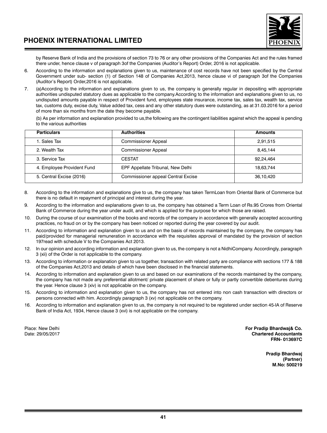

by Reserve Bank of India and the provisions of section 73 to 76 or any other provisions of the Companies Act and the rules framed there under, hence clause v of paragraph 3of the Companies (Auditor's Report) Order, 2016 is not applicable.

- 6. According to the information and explanations given to us, maintenance of cost records have not been specified by the Central Government under sub- section (1) of Section 148 of Companies Act,2013, hence clause vi of paragraph 3of the Companies (Auditor's Report) Order,2016 is not applicable.
- 7. (a)According to the information and explanations given to us, the company is generally regular in depositing with appropriate authorities undisputed statutory dues as applicable to the company.According to the information and explanations given to us, no undisputed amounts payable in respect of Provident fund, employees state insurance, income tax, sales tax, wealth tax, service tax, customs duty, excise duty, Value added tax, cess and any other statutory dues were outstanding, as at 31.03.2016 for a period of more than six months from the date they become payable.

(b) As per information and explanation provided to us,the following are the contingent liabilities against which the appeal is pending to the various authorities

| <b>Particulars</b>         | <b>Authorities</b>                 | Amounts   |
|----------------------------|------------------------------------|-----------|
| 1. Sales Tax               | <b>Commissioner Appeal</b>         | 2.91.515  |
| 2. Wealth Tax              | <b>Commissioner Appeal</b>         | 8.45.144  |
| 3. Service Tax             | <b>CESTAT</b>                      | 92.24.464 |
| 4. Employee Provident Fund | EPF Appellate Tribunal, New Delhi  | 18.63.744 |
| 5. Central Excise (2016)   | Commissioner appeal Central Excise | 36,10,420 |

- 8. According to the information and explanations give to us, the company has taken TermLoan from Oriental Bank of Commerce but there is no default in repayment of principal and interest during the year.
- 9. According to the information and explanations given to us, the company has obtained a Term Loan of Rs.95 Crores from Oriental Bank of Commerce during the year under audit, and which is applied for the purpose for which those are raised.
- 10. During the course of our examination of the books and records of the company in accordance with generally accepted accounting practices, no fraud on or by the company has been noticed or reported during the year covered by our audit.
- 11. According to information and explanation given to us and on the basis of records maintained by the company, the company has paid/provided for managerial remuneration in accordance with the requisites approval of mandated by the provision of section 197read with schedule V to the Companies Act 2013.
- 12. In our opinion and according information and explanation given to us, the company is not a NidhiCompany. Accordingly, paragraph 3 (xii) of the Order is not applicable to the company.
- 13. According to information or explanation given to us together, transaction with related party are compliance with sections 177 & 188 of the Companies Act,2013 and details of which have been disclosed in the financial statements.
- 14. According to information and explanation given to us and based on our examinations of the records maintained by the company, the company has not made any preferential allotment/ private placement of share or fully or partly convertible debentures during the year. Hence clause 3 (xiv) is not applicable on the company.
- 15. According to information and explanation given to us, the company has not entered into non cash transaction with directors or persons connected with him. Accordingly paragraph 3 (xv) not applicable on the company.
- 16. According to information and explanation given to us, the company is not required to be registered under section 45-IA of Reserve Bank of India Act, 1934, Hence clause 3 (xvi) is not applicable on the company.

Place: New Delhi **For Pradip Bhardwaj& Co.** Date: 29/05/2017 **Chartered Accountants FRN- 013697C**

> **Pradip Bhardwaj (Partner) M.No: 500219**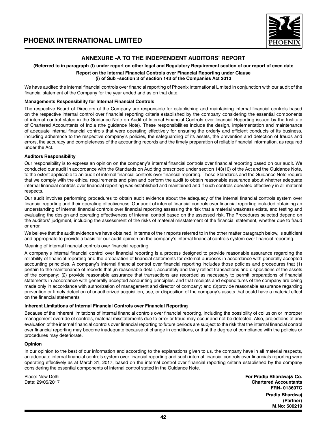

### **ANNEXURE -A TO THE INDEPENDENT AUDITORS' REPORT**

### **(Referred to in paragraph (f) under report on other legal and Regulatory Requirement section of our report of even date**

**Report on the Internal Financial Controls over Financial Reporting under Clause** 

**(i) of Sub –section 3 of section 143 of the Companies Act 2013**

We have audited the internal financial controls over financial reporting of Phoenix International Limited in conjunction with our audit of the financial statement of the Company for the year ended and as on that date.

#### **Managements Responsibility for Internal Financial Controls**

The respective Board of Directors of the Company are responsible for establishing and maintaining internal financial controls based on the respective internal control over financial reporting criteria established by the company considering the essential components of internal control stated in the Guidance Note on Audit of Internal Financial Controls over financial Reporting issued by the Institute of Chartered Accountants of India (the guidance Note). These responsibilities include the design, implementation and maintenance of adequate internal financial controls that were operating effectively for ensuring the orderly and efficient conducts of its business, including adherence to the respective company's policies, the safeguarding of its assets, the prevention and detection of frauds and errors, the accuracy and completeness of the accounting records and the timely preparation of reliable financial information, as required under the Act.

#### **Auditors Responsibility**

Our responsibility is to express an opinion on the company's internal financial controls over financial reporting based on our audit. We conducted our audit in accordance with the Standards on Auditing prescribed under section 143(10) of the Act and the Guidance Note, to the extent applicable to an audit of internal financial controls over financial reporting. Those Standards and the Guidance Note require that we comply with the ethical requirements and plan and perform the audit to obtain reasonable assurance about whether adequate internal financial controls over financial reporting was established and maintained and if such controls operated effectively in all material respects.

Our audit involves performing procedures to obtain audit evidence about the adequacy of the internal financial controls system over financial reporting and their operating effectiveness. Our audit of internal financial controls over financial reporting included obtaining an understanding of internal financial controls over financial reporting assessing the risk that a material weakness exists, and testing and evaluating the design and operating effectiveness of internal control based on the assessed risk. The Procedures selected depend on the auditors' judgment, including the assessment of the risks of material misstatement of the financial statement, whether due to fraud or error.

We believe that the audit evidence we have obtained, in terms of their reports referred to in the other matter paragraph below, is sufficient and appropriate to provide a basis for our audit opinion on the company's internal financial controls system over financial reporting.

Meaning of internal financial controls over financial reporting

A company's internal financial control over financial reporting is a process designed to provide reasonable assurance regarding the reliability of financial reporting and the preparation of financial statements for external purposes in accordance with generally accepted accounting principles. A company's internal financial control over financial reporting includes those policies and procedures that (1) pertain to the maintenance of records that ,in reasonable detail, accurately and fairly reflect transactions and dispositions of the assets of the company; (2) provide reasonable assurance that transactions are recorded as necessary to permit preparations of financial statements in accordance with generally accepted accounting principles, and that receipts and expenditures of the company are being made only in accordance with authorization of management and director of company; and (3)provide reasonable assurance regarding prevention or timely detection of unauthorized acquisition, use, or disposition of the company's assets that could have a material effect on the financial statements

#### **Inherent Limitations of Internal Financial Controls over Financial Reporting**

Because of the inherent limitations of internal financial controls over financial reporting, including the possibility of collusion or improper management override of controls, material misstatements due to error or fraud may occur and not be detected. Also, projections of any evaluation of the internal financial controls over financial reporting to future periods are subject to the risk that the internal financial control over financial reporting may become inadequate because of change in conditions, or that the degree of compliance with the policies or procedures may deteriorate.

#### **Opinion**

In our opinion to the best of our information and according to the explanations given to us, the company have in all material respects, an adequate internal financial controls system over financial reporting and such internal financial controls over financials reporting were operating effectively as at March 31, 2017, based on the internal control over financial reporting criteria established by the company considering the essential components of internal control stated in the Guidance Note.

Place: New Delhi **For Pradip Bhardwaj& Co.** Date: 29/05/2017 **Chartered Accountants FRN- 013697C**

**Pradip Bhardwaj (Partner) M.No: 500219**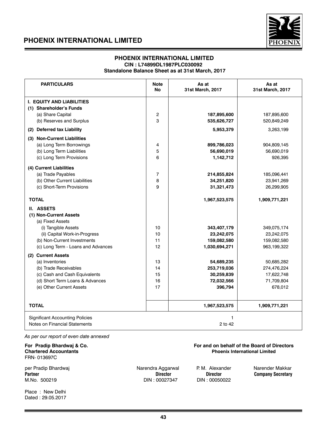

### **PHOENIX INTERNATIONAL LIMITED CIN : L74899DL1987PLC030092 Standalone Balance Sheet as at 31st March, 2017**

| <b>PARTICULARS</b>                          | <b>Note</b><br><b>No</b> | As at<br>31st March, 2017 | As at<br>31st March, 2017 |  |
|---------------------------------------------|--------------------------|---------------------------|---------------------------|--|
| <b>I. EQUITY AND LIABILITIES</b>            |                          |                           |                           |  |
| (1) Shareholder's Funds                     |                          |                           |                           |  |
| (a) Share Capital                           | $\overline{c}$           | 187,895,600               | 187,895,600               |  |
| (b) Reserves and Surplus                    | 3                        | 535,626,727               | 520,849,249               |  |
| (2) Deferred tax Liability                  |                          | 5,953,379                 | 3,263,199                 |  |
| (3) Non-Current Liabilities                 |                          |                           |                           |  |
| (a) Long Term Borrowings                    | 4                        | 899,786,023               | 904,809,145               |  |
| (b) Long Term Liabilities                   | 5                        | 56,690,019                | 56,690,019                |  |
| (c) Long Term Provisions                    | 6                        | 1,142,712                 | 926,395                   |  |
| (4) Current Liabilities                     |                          |                           |                           |  |
| (a) Trade Payables                          | $\overline{7}$           | 214,855,824               | 185,096,441               |  |
| (b) Other Current Liabilities               | 8                        | 34,251,820                | 23,941,269                |  |
| (c) Short-Term Provisions                   | 9                        | 31,321,473                | 26,299,905                |  |
| <b>TOTAL</b>                                |                          | 1,967,523,575             | 1,909,771,221             |  |
| II. ASSETS                                  |                          |                           |                           |  |
| (1) Non-Current Assets                      |                          |                           |                           |  |
| (a) Fixed Assets                            |                          |                           |                           |  |
| (i) Tangible Assets                         | 10                       | 343,407,179               | 349,075,174               |  |
| (ii) Capital Work-in-Progress               | 10                       | 23,242,075                | 23,242,075                |  |
| (b) Non-Current Investments                 | 11                       | 159,082,580               | 159,082,580               |  |
| (c) Long Term - Loans and Advances          | 12                       | 1,030,694,271             | 963,199,322               |  |
| (2) Current Assets                          |                          |                           |                           |  |
| (a) Inventories                             | 13                       | 54,689,235                | 50,685,282                |  |
| (b) Trade Receivables                       | 14                       | 253,719,036               | 274,476,224               |  |
| (c) Cash and Cash Equivalents               | 15                       | 30,259,839                | 17,622,748                |  |
| (d) Short Term Loans & Advances             | 16                       | 72,032,566                | 71,709,804                |  |
| (e) Other Current Assets                    | 17                       | 396,794                   | 678,012                   |  |
|                                             |                          |                           |                           |  |
| <b>TOTAL</b>                                |                          | 1,967,523,575             | 1,909,771,221             |  |
| <b>Significant Accounting Policies</b><br>1 |                          |                           |                           |  |
| Notes on Financial Statements               |                          | 2 to 42                   |                           |  |

*As per our report of even date annexed*

**For Pradip Bhardwaj & Co.** The School of the Board of Directors Chartered Accountants<br>
Chartered Accountants The School of Directors Accountants of the Board Of Directors Phoenix International Limited FRN- 013697C

per Pradip Bhardwaj (and the Narendra Aggarwal P. M. Alexander Narender Makkar Narender Makkar Narender Makkar<br>Partner (Director Director Director Director Director ) M.No. 500219

**Partner Director** Director **Company Secretary**<br> **PIN** : 00027347 DIN : 00050022

**Phoenix International Limited** 

Place : New Delhi Dated : 29.05.2017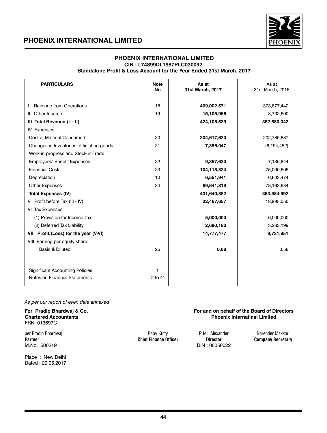

### **PHOENIX INTERNATIONAL LIMITED CIN : L74899DL1987PLC030092 Standalone Profit & Loss Account for the Year Ended 31st March, 2017**

| <b>PARTICULARS</b>                        | <b>Note</b><br><b>No</b> | As at<br>31st March, 2017 | As at<br>31st March, 2016 |
|-------------------------------------------|--------------------------|---------------------------|---------------------------|
| Revenue from Operations                   | 18                       | 409,002,571               | 373,877,442               |
| Other Income<br>Ш.                        | 19                       | 15,105,968                | 8,702,600                 |
| III Total Revenue (I +II)                 |                          | 424,108,539               | 382,580,042               |
| <b>IV Expenses</b>                        |                          |                           |                           |
| Cost of Material Consumed                 | 20                       | 204,617,620               | 202,785,887               |
| Changes in Inventories of finished goods, | 21                       | 7,356,047                 | (6, 194, 452)             |
| Work-in-progress and Stock-in-Trade       |                          |                           |                           |
| <b>Employees' Benefit Expenses</b>        | 22                       | 9,357,630                 | 7,136,844                 |
| <b>Financial Costs</b>                    | 23                       | 104,115,824               | 75,090,605                |
| Depreciation                              | 10                       | 6,551,941                 | 6,603,474                 |
| <b>Other Expenses</b>                     | 24                       | 69,641,819                | 78,162,634                |
| <b>Total Expenses (IV)</b>                |                          | 401,640,882               | 363,584,992               |
| V Profit before Tax (III - IV)            |                          | 22,467,657                | 18,995,050                |
| VI Tax Expenses                           |                          |                           |                           |
| (1) Provision for Income Tax              |                          | 5,000,000                 | 6,000,000                 |
| (2) Deferred Tax Liability                |                          | 2,690,180                 | 3,263,199                 |
| VII Profit/(Loss) for the year (V-VI)     |                          | 14,777,477                | 9,731,851                 |
| VIII Earning per equity share:            |                          |                           |                           |
| Basic & Diluted                           | 25                       | 0.88                      | 0.58                      |
|                                           |                          |                           |                           |
| <b>Significant Accounting Policies</b>    | 1                        |                           |                           |
| Notes on Financial Statements             | 2 to 41                  |                           |                           |

#### *As per our report of even date annexed*

FRN- 013697C

M.No. 500219

Place : New Delhi Dated : 29.05.2017

per Pradip Bhardwaj Baby Kutty P. M. Alexander Narender Makkar

**For Pradip Bhardwaj & Co.** The South of the Board of Directors of Directors Chartered Accountants (Separation of Directors of Directors of Directors of Directors of Directors of Directors of Directors of Directors of Dire **Phoenix Internatinal Limited** 

**Partners Company Secretary**<br> **PIN**: 00050022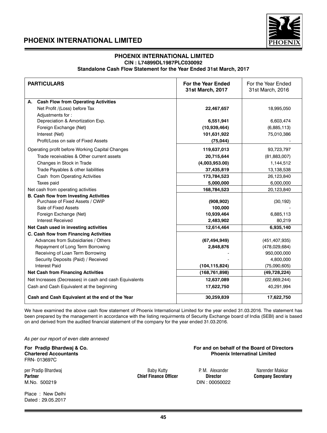

### **PHOENIX INTERNATIONAL LIMITED CIN : L74899DL1987PLC030092**

**Standalone Cash Flow Statement for the Year Ended 31st March, 2017** 

| <b>PARTICULARS</b>                                     | For the Year Ended<br>31st March, 2017 | For the Year Ended<br>31st March, 2016 |
|--------------------------------------------------------|----------------------------------------|----------------------------------------|
| A. Cash Flow from Operating Activities                 |                                        |                                        |
| Net Profit /(Loss) before Tax                          | 22,467,657                             | 18,995,050                             |
| Adiustments for:                                       |                                        |                                        |
| Depreciation & Amortization Exp.                       | 6,551,941                              | 6,603,474                              |
| Foreign Exchange (Net)                                 | (10, 939, 464)                         | (6,885,113)                            |
| Interest (Net)                                         | 101,631,922                            | 75,010,386                             |
| Profit/Loss on sale of Fixed Assets                    | (75, 044)                              |                                        |
| Operating profit before Working Capital Changes        | 119,637,013                            | 93,723,797                             |
| Trade receivables & Other current assets               | 20,715,644                             | (81, 883, 007)                         |
| Changes in Stock in Trade                              | (4,003,953.00)                         | 1,144,512                              |
| Trade Payables & other liabilities                     | 37,435,819                             | 13,138,538                             |
| Cash from Operating Activities                         | 173,784,523                            | 26,123,840                             |
| Taxes paid                                             | 5,000,000                              | 6,000,000                              |
| Net cash from operating activities                     | 168,784,523                            | 20,123,840                             |
| <b>B. Cash flow from Investing Activities</b>          |                                        |                                        |
| Purchase of Fixed Assets / CWIP                        | (908, 902)                             | (30, 192)                              |
| Sale of Fixed Assets                                   | 100,000                                |                                        |
| Foreign Exchange (Net)                                 | 10,939,464                             | 6,885,113                              |
| <b>Interest Received</b>                               | 2,483,902                              | 80,219                                 |
| Net Cash used in investing activities                  | 12,614,464                             | 6,935,140                              |
| C. Cash flow from Financing Activities                 |                                        |                                        |
| Advances from Subsidiaries / Others                    | (67, 494, 949)                         | (451,407,935)                          |
| Repayment of Long Term Borrowing                       | 2,848,876                              | (478, 029, 684)                        |
| Receiving of Loan Term Borrowing                       |                                        | 950,000,000                            |
| Security Deposits (Paid) / Received                    |                                        | 4,800,000                              |
| <b>Interest Paid</b>                                   | (104, 115, 824)                        | (75,090,605)                           |
| <b>Net Cash from Financing Activities</b>              | (168, 761, 898)                        | (49, 728, 224)                         |
| Net Increases (Decreases) in cash and cash Equivalents | 12,637,089                             | (22,669,244)                           |
| Cash and Cash Equivalent at the beginning              | 17,622,750                             | 40,291,994                             |
| Cash and Cash Equivalent at the end of the Year        | 30,259,839                             | 17,622,750                             |

We have examined the above cash flow statement of Phoenix International Limited for the year ended 31.03.2016. The statement has been prepared by the management in accordance with the listing requirments of Security Exchange board of India (SEBI) and is based on and derived from the audited financial statement of the company for the year ended 31.03.2016.

*As per our report of even date annexed*

**For Pradip Bhardwaj & Co. For and on behalf of the Board of Directors Chartered Accountants Phoenix Internatinal Limited** FRN- 013697C

per Pradip Bhardwaj Baby Kutty P. M. Alexander Narender Makkar M.No. 500219 DIN : 00050022

Place : New Delhi Dated : 29.05.2017

**Partner Chief Finance Officer Director Company Secretary**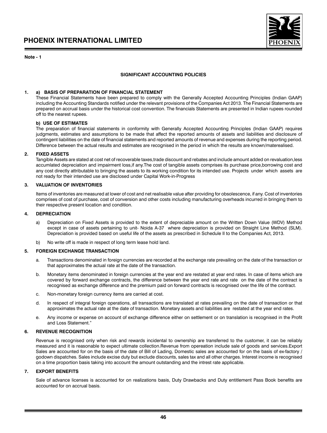#### **Note - 1**



### **SIGNIFICANT ACCOUNTING POLICIES**

#### **1. a) BASIS OF PREPARATION OF FINANCIAL STATEMENT**

These Financial Statements have been prepared to comply with the Generally Accepted Accounting Principles (Indian GAAP) including the Accounting Standards notified under the relevant provisions of the Companies Act 2013. The Financial Statements are prepared on accrual basis under the historical cost convention. The financials Statements are presented in Indian rupees rounded off to the nearest rupees.

#### **b) USE OF ESTIMATES**

The preparation of financial statements in conformity with Generally Accepted Accounting Principles (Indian GAAP) requires judgments, estimates and assumptions to be made that affect the reported amounts of assets and liabilities and disclosure of contingent liabilities on the date of financial statements and reported amounts of revenue and expenses during the reporting period. Difference between the actual results and estimates are recognised in the period in which the results are known/materealised.

#### **2. FIXED ASSETS**

Tangible Assets are stated at cost net of recoverable taxes,trade discount and rebates and include amount added on revaluation,less accumlated depreciation and impairment loss,if any.The cost of tangible assets comprises its purchase price,borrowing cost and any cost directly attributable to bringing the assets to its working condition for its intended use. Projects under which assets are not ready for their intended use are disclosed under Capital Work-in-Progress

#### **3. VALUATION OF INVENTORIES**

Items of inventories are measured at lower of cost and net realisable value after providing for obsolescence, if any. Cost of inventories comprises of cost of purchase, cost of conversion and other costs including manufacturing overheads incurred in bringing them to their respective present location and condition.

#### **4. DEPRECIATION**

- a) Depreciation on Fixed Assets is provided to the extent of depreciable amount on the Written Down Value (WDV) Method except in case of assets pertaining to unit- Noida A-37 where depreciation is provided on Straight Line Method (SLM). Depreciation is provided based on useful life of the assets as prescribed in Schedule II to the Companies Act, 2013.
- b) No write off is made in respect of long term lease hold land.

#### **5. FOREIGN EXCHANGE TRANSACTION**

- a. Transactions denominated in foreign currencies are recorded at the exchange rate prevailing on the date of the transaction or that approximates the actual rate at the date of the transaction.
- b. Monetary items denominated in foreign currencies at the year end are restated at year end rates. In case of items which are covered by forward exchange contracts, the difference between the year end rate and rate on the date of the contract is recognised as exchange difference and the premium paid on forward contracts is recognised over the life of the contract.
- c. Non-monetary foreign currency items are carried at cost.
- d. In respect of integral foreign operations, all transactions are translated at rates prevailing on the date of transaction or that approximates the actual rate at the date of transaction. Monetary assets and liabilities are restated at the year end rates.
- e. Any income or expense on account of exchange difference either on settlement or on translation is recognised in the Profit and Loss Statement."

#### **6. REVENUE RECOGNITION**

Revenue is recognised only when risk and rewards incidental to ownership are transferred to the customer, it can be reliably measured and it is reasonable to expect ultimate collection.Revenue from opereation include sale of goods and services.Export Sales are accounted for on the basis of the date of Bill of Lading, Domestic sales are accounted for on the basis of ex-factory / godown dispatches. Sales include excise duty but exclude discounts, sales tax and all other charges. Interest income is recognised on a time proportion basis taking into account the amount outstanding and the intrest rate applicable.

#### **7. EXPORT BENEFITS**

Sale of advance licenses is accounted for on realizations basis, Duty Drawbacks and Duty entitlement Pass Book benefits are accounted for on accrual basis.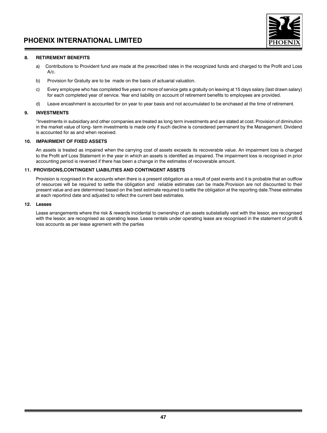

#### **8. RETIREMENT BENEFITS**

- a) Contributions to Provident fund are made at the prescribed rates in the recognized funds and charged to the Profit and Loss A/c.
- b) Provision for Gratuity are to be made on the basis of actuarial valuation.
- c) Every employee who has completed five years or more of service gets a gratuity on leaving at 15 days salary (last drawn salary) for each completed year of service. Year end liability on account of retirement benefits to employees are provided.
- d) Leave encashment is accounted for on year to year basis and not accumulated to be enchased at the time of retirement.

#### **9. INVESTMENTS**

"Investments in subsidiary and other companies are treated as long term investments and are stated at cost. Provision of diminution in the market value of long- term investments is made only if such decline is considered permanent by the Management. Dividend is accounted for as and when received.

#### **10. IMPAIRMENT OF FIXED ASSETS**

An assets is treated as impaired when the carrying cost of assets exceeds its recoverable value. An impairment loss is charged to the Profit anf Loss Statement in the year in which an assets is identified as impaired. The impairment loss is recognised in prior accounting period is reversed if there has been a change in the estimates of recoverable amount.

#### **11. PROVISIONS,CONTINGENT LIABILITIES AND CONTINGENT ASSETS**

Provision is rcognised in the accounts when there is a present obligation as a result of past events and it is probable that an outflow of resources will be required to settle the obligation and reliable estimates can be made.Provision are not discounted to their present value and are determined based on the best estimate required to settle the obligation at the reporting date.These estimates at each reportind date and adjusted to reflect the current best estimates.

#### **12. Leases**

Lease arrangements where the risk & rewards incidental to ownership of an assets substatially vest with the lessor, are recognised with the lessor, are recognised as operating lease. Lease rentals under operating lease are recognised in the statement of profit & loss accounts as per lease agrement with the parties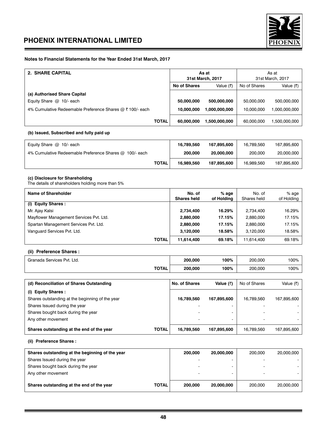

#### **Notes to Financial Statements for the Year Ended 31st March, 2017**

| 2. SHARE CAPITAL                                          |              | As at<br>31st March, 2017 |               | As at<br>31st March, 2017 |               |
|-----------------------------------------------------------|--------------|---------------------------|---------------|---------------------------|---------------|
|                                                           |              | <b>No of Shares</b>       | Value (₹)     | No of Shares              | Value $(3)$   |
| (a) Authorised Share Capital                              |              |                           |               |                           |               |
| Equity Share $@$ 10/- each                                |              | 50,000,000                | 500.000.000   | 50,000,000                | 500.000.000   |
| 4% Cumulative Redeemable Preference Shares @ ₹ 100/- each |              | 10.000.000                | 1,000,000,000 | 10.000.000                | 1,000,000,000 |
|                                                           | <b>TOTAL</b> | 60.000.000                | 1.500.000.000 | 60.000.000                | 1.500.000.000 |

#### **(b) Issued, Subscribed and fully paid up**

| Equity Share $@$ 10/- each                              |       | 16.789.560 | 167.895.600 | 16.789.560 | 167,895,600 |
|---------------------------------------------------------|-------|------------|-------------|------------|-------------|
| 4% Cumulative Redeemable Preference Shares @ 100/- each |       | 200,000    | 20,000,000  | 200,000    | 20,000,000  |
|                                                         | TOTAL | 16.989.560 | 187.895.600 | 16.989.560 | 187,895,600 |

### **(c) Disclosure for Shareholidng**

The details of shareholders holding more than 5%

| Name of Shareholder                     | No. of<br><b>Shares held</b> | $%$ age<br>of Holding | No. of<br>Shares held | $%$ age<br>of Holding |
|-----------------------------------------|------------------------------|-----------------------|-----------------------|-----------------------|
| (i) Equity Shares:                      |                              |                       |                       |                       |
| Mr. Ajay Kalsi                          | 2.734.400                    | 16.29%                | 2.734.400             | 16.29%                |
| Mayflower Management Services Pvt. Ltd. | 2,880,000                    | 17.15%                | 2,880,000             | 17.15%                |
| Spartan Management Services Pvt. Ltd.   | 2,880,000                    | 17.15%                | 2.880,000             | 17.15%                |
| Vanquard Services Pvt. Ltd.             | 3.120.000                    | 18.58%                | 3.120.000             | 18.58%                |
| <b>TOTAL</b>                            | 11,614,400                   | 69.18%                | 11,614,400            | 69.18%                |

### **(ii) Preference Shares :**

| Granada Services Pvt. Ltd. |              | 200,000 | 100% | 200.000 | 100% |
|----------------------------|--------------|---------|------|---------|------|
|                            | <b>TOTAL</b> | 200,000 | 100% | 200.000 | 100% |

| (d) Reconciliation of Shares Outstanding        |       | No. of Shares | Value (₹)   | No of Shares | Value (₹)   |
|-------------------------------------------------|-------|---------------|-------------|--------------|-------------|
| (i) Equity Shares:                              |       |               |             |              |             |
| Shares outstanding at the beginning of the year |       | 16.789.560    | 167.895.600 | 16.789.560   | 167.895.600 |
| Shares Issued during the year                   |       |               |             |              |             |
| Shares bought back during the year              |       |               |             |              |             |
| Any other movement                              |       |               |             |              |             |
| Shares outstanding at the end of the year       | TOTAL | 16.789.560    | 167,895,600 | 16.789.560   | 167.895.600 |

**(ii) Preference Shares :**

| Shares outstanding at the beginning of the year    | 200,000                  | 20,000,000 | 200,000        | 20,000,000 |
|----------------------------------------------------|--------------------------|------------|----------------|------------|
| Shares Issued during the year                      |                          |            | -              |            |
| Shares bought back during the year                 | $\overline{\phantom{a}}$ |            | $\overline{a}$ |            |
| Any other movement                                 | $\overline{\phantom{0}}$ |            | $\overline{a}$ |            |
| TOTAL<br>Shares outstanding at the end of the year | 200.000                  | 20,000,000 | 200,000        | 20,000,000 |
|                                                    |                          |            |                |            |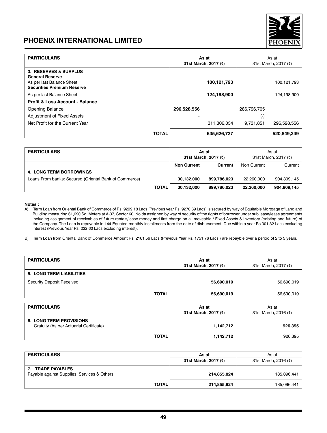

| <b>PARTICULARS</b>                | As at<br>31st March, 2017 (₹) | As at<br>31st March, 2017 (₹) |  |
|-----------------------------------|-------------------------------|-------------------------------|--|
|                                   |                               |                               |  |
| 3. RESERVES & SURPLUS             |                               |                               |  |
| <b>General Reserve</b>            |                               |                               |  |
| As per last Balance Sheet         | 100,121,793                   | 100,121,793                   |  |
| <b>Securities Premium Reserve</b> |                               |                               |  |
| As per last Balance Sheet         | 124,198,900                   | 124,198,900                   |  |
| Profit & Loss Account - Balance   |                               |                               |  |
| <b>Opening Balance</b>            | 296,528,556                   | 286,796,705                   |  |
| Adjustment of Fixed Assets        |                               | $(-)$                         |  |
| Net Profit for the Current Year   | 311,306,034                   | 9,731,851<br>296,528,556      |  |
| <b>TOTAL</b>                      | 535,626,727                   | 520,849,249                   |  |

| <b>PARTICULARS</b>                                    |              | As at<br>31st March, 2017 (₹) |             | As at<br>31st March, 2017 (₹) |             |
|-------------------------------------------------------|--------------|-------------------------------|-------------|-------------------------------|-------------|
|                                                       |              | <b>Non Current</b>            | Current     | Non Current                   | Current     |
| <b>4. LONG TERM BORROWINGS</b>                        |              |                               |             |                               |             |
| Loans From banks: Secured (Oriental Bank of Commerce) |              | 30,132,000                    | 899.786.023 | 22.260.000                    | 904,809,145 |
|                                                       | <b>TOTAL</b> | 30.132.000                    | 899.786.023 | 22.260.000                    | 904,809,145 |

#### **Notes :**

A) Term Loan from Oriental Bank of Commerce of Rs. 9299.18 Lacs (Previous year Rs. 9270.69 Lacs) is secured by way of Equitable Mortgage of Land and Building measuring 61,690 Sq. Meters at A-37, Sector 60, Noida assigned by way of security of the rights of borrower under sub lease/lease agreements including assignment of receivables of future rentals/lease money and first charge on all moveable / Fixed Assets & Inventory (existing and future) of the Company. The Loan is repayable in 144 Equated monthly installments from the date of disbursement. Due within a year Rs.301.32 Lacs excluding interest (Previous Year Rs. 222.60 Lacs excluding interest).

B) Term Loan from Oriental Bank of Commerce Amount Rs. 2161.56 Lacs (Previous Year Rs. 1751.76 Lacs ) are repayble over a period of 2 to 5 years.

| <b>PARTICULARS</b>                      | As at                | As at                |
|-----------------------------------------|----------------------|----------------------|
|                                         | 31st March, 2017 (₹) | 31st March, 2017 (₹) |
| <b>5. LONG TERM LIABILITIES</b>         |                      |                      |
| Security Deposit Received               | 56,690,019           | 56,690,019           |
| <b>TOTAL</b>                            | 56,690,019           | 56,690,019           |
|                                         |                      |                      |
| <b>PARTICULARS</b>                      | As at                | As at                |
|                                         | 31st March, 2017 (₹) | 31st March, 2016 (₹) |
| <b>6. LONG TERM PROVISIONS</b>          |                      |                      |
| Gratuity (As per Actuarial Certificate) | 1,142,712            | 926,395              |
| <b>TOTAL</b>                            | 1,142,712            | 926,395              |

| <b>PARTICULARS</b>                                                   | As at                | As at                |
|----------------------------------------------------------------------|----------------------|----------------------|
|                                                                      | 31st March, 2017 (₹) | 31st March, 2016 (₹) |
| <b>TRADE PAYABLES</b><br>Payable against Supplies, Services & Others | 214,855,824          | 185,096,441          |
| <b>TOTAL</b>                                                         | 214,855,824          | 185,096,441          |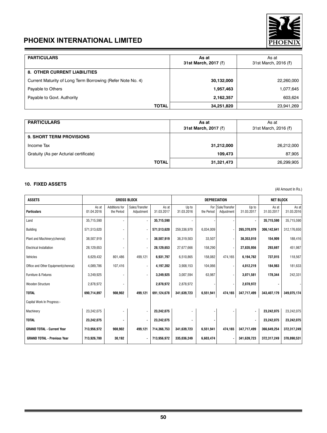

| <b>PARTICULARS</b>                                         | As at<br>31st March, 2017 (₹) | As at<br>31st March, 2016 (₹) |
|------------------------------------------------------------|-------------------------------|-------------------------------|
| <b>8. OTHER CURRENT LIABILITIES</b>                        |                               |                               |
| Current Maturity of Long Term Borrowing (Refer Note No. 4) | 30,132,000                    | 22,260,000                    |
| Payable to Others                                          | 1,957,463                     | 1,077,645                     |
| Payable to Govt. Authority                                 | 2,162,357                     | 603,624                       |
| <b>TOTAL</b>                                               | 34,251,820                    | 23,941,269                    |

| <b>PARTICULARS</b>                     | As at<br>31st March, 2017 (₹) | As at<br>31st March, 2016 (₹) |
|----------------------------------------|-------------------------------|-------------------------------|
| <b>9. SHORT TERM PROVISIONS</b>        |                               |                               |
| Income Tax                             | 31,212,000                    | 26,212,000                    |
| Gratuity (As per Acturial certificate) | 109.473                       | 87.905                        |
| <b>TOTAL</b>                           | 31,321,473                    | 26,299,905                    |

### **10. FIXED ASSETS**

(All Amount In Rs.)

-

| <b>ASSETS</b>                       |                     | <b>GROSS BLOCK</b>          |                              |                     | <b>DEPRECIATION</b> |                   |                             |                     | <b>NET BLOCK</b>    |                     |
|-------------------------------------|---------------------|-----------------------------|------------------------------|---------------------|---------------------|-------------------|-----------------------------|---------------------|---------------------|---------------------|
| <b>Particulars</b>                  | As at<br>01.04.2016 | Additions for<br>the Period | Sales/Transfer<br>Adjustment | As at<br>31.03.2017 | Up to<br>31.03.2016 | For<br>the Period | Sale/Transfer<br>Adiustment | Up to<br>31.03.2017 | As at<br>31.03.2017 | As at<br>31.03.2016 |
| Land                                | 35,715,590          |                             |                              | 35,715,590          |                     |                   |                             | ٠                   | 35,715,590          | 35,715,590          |
| Building                            | 571,513,620         |                             |                              | 571,513,620         | 259,336,970         | 6,034,009         |                             | 265.370.979         | 306,142,641         | 312,176,650         |
| Plant and Machinery (chennai)       | 38,507,919          |                             |                              | 38,507,919          | 38,319,503          | 33,507            |                             | 38,353,010          | 154,909             | 188,416             |
| <b>Electrical Installation</b>      | 28,129,653          |                             |                              | 28,129,653          | 27,677,666          | 158,290           |                             | 27,835,956          | 293,697             | 451,987             |
| Vehicles                            | 6.629.432           | 801.486                     | 499.121                      | 6.931.797           | 6,510,865           | 158.082           | 474.165                     | 6.194.782           | 737,015             | 118,567             |
| Office and Other Equipment(chennai) | 4,089,786           | 107,416                     |                              | 4,197,202           | 3,908,153           | 104,066           |                             | 4,012,219           | 184,983             | 181,633             |
| Furniture & Fixtures                | 3,249,925           |                             |                              | 3,249,925           | 3,007,594           | 63.987            |                             | 3,071,581           | 178,344             | 242,331             |
| Wooden Structure                    | 2,878,972           |                             |                              | 2,878,972           | 2,878,972           |                   |                             | 2,878,972           |                     |                     |
| <b>TOTAL</b>                        | 690,714,897         | 908,902                     | 499,121                      | 691.124.678         | 341,639,723         | 6,551,941         | 474,165                     | 347,717,499         | 343,407,179         | 349,075,174         |
| Capital Work In Progress:-          |                     |                             |                              |                     |                     |                   |                             |                     |                     |                     |
| Machinery                           | 23.242.075          |                             |                              | 23,242,075          |                     |                   |                             | ٠                   | 23,242,075          | 23,242,075          |
| <b>TOTAL</b>                        | 23,242,075          |                             |                              | 23,242,075          |                     |                   |                             |                     | 23,242,075          | 23,242,075          |
| <b>GRAND TOTAL - Current Year</b>   | 713,956,972         | 908,902                     | 499.121                      | 714,366,753         | 341,639,723         | 6,551,941         | 474,165                     | 347,717,499         | 366,649,254         | 372,317,249         |
| <b>GRAND TOTAL - Previous Year</b>  | 713,926,780         | 30,192                      |                              | 713,956,972         | 335,036,249         | 6,603,474         |                             | 341,639,723         | 372,317,249         | 378,890,531         |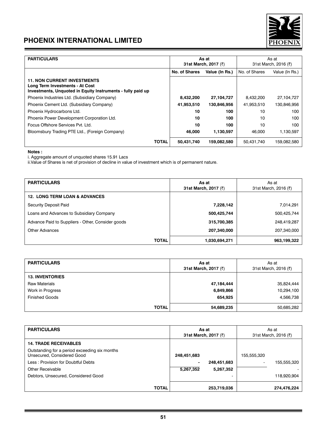

| <b>PARTICULARS</b>                                                                                                                   |               | As at<br>31st March, 2017 (₹) | As at<br>31st March, 2016 (₹) |                |
|--------------------------------------------------------------------------------------------------------------------------------------|---------------|-------------------------------|-------------------------------|----------------|
|                                                                                                                                      | No. of Shares | Value (In Rs.)                | No. of Shares                 | Value (In Rs.) |
| <b>11. NON CURRENT INVESTMENTS</b><br>Long Term Investments - At Cost<br>Investments, Unquoted in Equity Instruments - fully paid up |               |                               |                               |                |
| Phoenix Industries Ltd. (Subsidiary Company)                                                                                         | 8,432,200     | 27,104,727                    | 8.432.200                     | 27,104,727     |
| Phoenix Cement Ltd. (Subsidiary Company)                                                                                             | 41,953,510    | 130,846,956                   | 41,953,510                    | 130,846,956    |
| Phoenix Hydrocarbons Ltd.                                                                                                            | 10            | 100                           | 10                            | 100            |
| Phoenix Power Development Corporation Ltd.                                                                                           | 10            | 100                           | 10                            | 100            |
| Focus Offshore Services Pyt. I td.                                                                                                   | 10            | 100                           | 10                            | 100            |
| Bloomsbury Trading PTE Ltd., (Foreign Company)                                                                                       | 46,000        | 1,130,597                     | 46,000                        | 1,130,597      |
| <b>TOTAL</b>                                                                                                                         | 50,431,740    | 159,082,580                   | 50,431,740                    | 159,082,580    |

#### **Notes :**

i. Aggregate amount of unquoted shares 15.91 Lacs

ii.Value of Shares is net of provision of decline in value of investment which is of permanent nature.

| <b>PARTICULARS</b>                                | As at<br>31st March, 2017 (₹) | As at<br>31st March, 2016 (₹) |
|---------------------------------------------------|-------------------------------|-------------------------------|
| <b>12. LONG TERM LOAN &amp; ADVANCES</b>          |                               |                               |
| Security Deposit Paid                             | 7,228,142                     | 7,014,291                     |
| Loans and Advances to Subsidiary Company          | 500,425,744                   | 500,425,744                   |
| Advance Paid to Suppliers - Other, Consider goods | 315,700,385                   | 248,419,287                   |
| Other Advances                                    | 207,340,000                   | 207,340,000                   |
| <b>TOTAL</b>                                      | 1,030,694,271                 | 963,199,322                   |

| <b>PARTICULARS</b>     | As at<br>31st March, 2017 (₹) | As at<br>31st March, 2016 (₹) |
|------------------------|-------------------------------|-------------------------------|
| <b>13. INVENTORIES</b> |                               |                               |
| <b>Raw Materials</b>   | 47,184,444                    | 35,824,444                    |
| Work in Progress       | 6,849,866                     | 10,294,100                    |
| <b>Finished Goods</b>  | 654,925                       | 4,566,738                     |
| <b>TOTAL</b>           | 54,689,235                    | 50,685,282                    |

| <b>PARTICULARS</b>                                                          |              |             | As at<br>31st March, 2017 (₹) | As at<br>31st March, 2016 (₹) |             |
|-----------------------------------------------------------------------------|--------------|-------------|-------------------------------|-------------------------------|-------------|
| <b>14. TRADE RECEIVABLES</b>                                                |              |             |                               |                               |             |
| Outstanding for a period exceeding six months<br>Unsecured, Considered Good |              | 248,451,683 |                               | 155,555,320                   |             |
| Less: Provision for Doubtful Debts                                          |              | ۰           | 248,451,683                   | $\overline{\phantom{0}}$      | 155,555,320 |
| Other Receivable                                                            |              | 5,267,352   | 5,267,352                     |                               |             |
| Debtors, Unsecured, Considered Good                                         |              |             |                               |                               | 118,920,904 |
|                                                                             |              |             |                               |                               |             |
|                                                                             | <b>TOTAL</b> |             | 253,719,036                   |                               | 274,476,224 |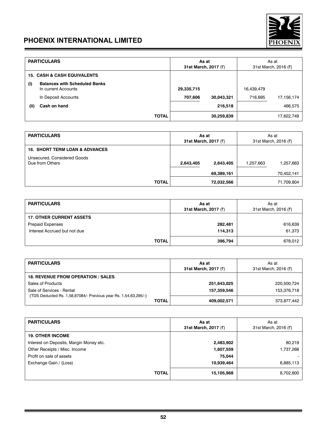

|     | <b>PARTICULARS</b>                                          |              | As at<br>31st March, 2017 (₹) |            |            | As at<br>31st March, 2016 (₹) |
|-----|-------------------------------------------------------------|--------------|-------------------------------|------------|------------|-------------------------------|
|     | <b>15. CASH &amp; CASH EQUIVALENTS</b>                      |              |                               |            |            |                               |
| (i) | <b>Balances with Scheduled Banks</b><br>In current Accounts |              | 29,335,715                    |            | 16,439,479 |                               |
|     | In Deposit Accounts                                         |              | 707,606                       | 30,043,321 | 716,695    | 17,156,174                    |
| (i) | Cash on hand                                                |              |                               | 216,518    |            | 466,575                       |
|     |                                                             | <b>TOTAL</b> |                               | 30,259,839 |            | 17,622,749                    |

| <b>PARTICULARS</b>                             | As at<br>31st March, 2017 (₹) |            | As at<br>31st March, 2016 (₹) |            |
|------------------------------------------------|-------------------------------|------------|-------------------------------|------------|
| <b>16. SHORT TERM LOAN &amp; ADVANCES</b>      |                               |            |                               |            |
| Unsecured, Considered Goods<br>Due from Others | 2,643,405                     | 2.643.405  | 1,257,663                     | 1,257,663  |
|                                                |                               | 69,389,161 |                               | 70,452,141 |
| <b>TOTAL</b>                                   |                               | 72,032,566 |                               | 71,709,804 |

| <b>PARTICULARS</b>              | As at<br>31st March, 2017 (₹) | As at<br>31st March, 2016 (₹) |
|---------------------------------|-------------------------------|-------------------------------|
| <b>17. OTHER CURRENT ASSETS</b> |                               |                               |
| <b>Prepaid Expenses</b>         | 282,481                       | 616,639                       |
| Interest Accrued but not due    | 114,313                       | 61,373                        |
| <b>TOTAL</b>                    | 396,794                       | 678,012                       |

| <b>PARTICULARS</b>                                                                           |              | As at<br>31st March, 2017 (₹) | As at<br>31st March, 2016 (₹) |
|----------------------------------------------------------------------------------------------|--------------|-------------------------------|-------------------------------|
| <b>18. REVENUE FROM OPERATION / SALES</b>                                                    |              |                               |                               |
| Sales of Products                                                                            |              | 251,643,025                   | 220.500.724                   |
| Sale of Services - Rental<br>{TDS Deducted Rs. 1,58,87084/- Previous year Rs. 1,54,63,295/-} |              | 157.359.546                   | 153,376,718                   |
|                                                                                              | <b>TOTAL</b> | 409,002,571                   | 373,877,442                   |

| <b>PARTICULARS</b>                      | As at<br>31st March, 2017 (₹) | As at<br>31st March, 2016 (₹) |
|-----------------------------------------|-------------------------------|-------------------------------|
| <b>19. OTHER INCOME</b>                 |                               |                               |
| Interest on Deposits, Margin Money etc. | 2,483,902                     | 80,219                        |
| Other Receipts / Misc. Income           | 1,607,559                     | 1,737,268                     |
| Profit on sale of assets                | 75,044                        |                               |
| Exchange Gain / (Loss)                  | 10,939,464                    | 6,885,113                     |
| <b>TOTAL</b>                            | 15,105,968                    | 8,702,600                     |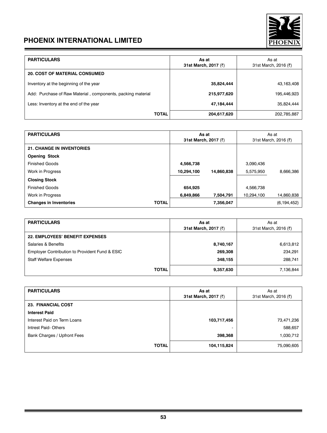

| <b>PARTICULARS</b>                                          | As at<br>31st March, 2017 (₹) | As at<br>31st March, 2016 (₹) |
|-------------------------------------------------------------|-------------------------------|-------------------------------|
| <b>20. COST OF MATERIAL CONSUMED</b>                        |                               |                               |
| Inventory at the beginning of the year                      | 35,824,444                    | 43,163,408                    |
| Add: Purchase of Raw Material, components, packing material | 215,977,620                   | 195,446,923                   |
| Less: Inventory at the end of the year                      | 47,184,444                    | 35,824,444                    |
| <b>TOTAL</b>                                                | 204,617,620                   | 202,785,887                   |

| <b>PARTICULARS</b>               |              | As at<br>31st March, 2017 (₹) |            | As at<br>31st March, 2016 (₹) |               |
|----------------------------------|--------------|-------------------------------|------------|-------------------------------|---------------|
| <b>21. CHANGE IN INVENTORIES</b> |              |                               |            |                               |               |
| <b>Opening Stock</b>             |              |                               |            |                               |               |
| <b>Finished Goods</b>            |              | 4,566,738                     |            | 3.090.436                     |               |
| Work in Progress                 |              | 10,294,100                    | 14.860.838 | 5.575.950                     | 8.666.386     |
| <b>Closing Stock</b>             |              |                               |            |                               |               |
| <b>Finished Goods</b>            |              | 654.925                       |            | 4.566.738                     |               |
| Work in Progress                 |              | 6,849,866                     | 7,504,791  | 10,294,100                    | 14,860,838    |
| <b>Changes in Inventories</b>    | <b>TOTAL</b> |                               | 7,356,047  |                               | (6, 194, 452) |

| <b>PARTICULARS</b>                             | As at<br>31st March, 2017 (₹) | As at<br>31st March, 2016 (₹) |
|------------------------------------------------|-------------------------------|-------------------------------|
| <b>22. EMPLOYEES' BENEFIT EXPENSES</b>         |                               |                               |
| Salaries & Benefits                            | 8,740,167                     | 6,613,812                     |
| Employer Contribution to Provident Fund & ESIC | 269,308                       | 234,291                       |
| <b>Staff Welfare Expenses</b>                  | 348,155                       | 288,741                       |
| TOTAL                                          | 9,357,630                     | 7,136,844                     |

| <b>PARTICULARS</b>          | As at<br>31st March, 2017 (₹) | As at<br>31st March, 2016 (₹) |
|-----------------------------|-------------------------------|-------------------------------|
| <b>23. FINANCIAL COST</b>   |                               |                               |
| <b>Interest Paid</b>        |                               |                               |
| Interest Paid on Term Loans | 103,717,456                   | 73,471,236                    |
| Intrest Paid-Others         |                               | 588,657                       |
| Bank Charges / Upfront Fees | 398,368                       | 1,030,712                     |
| <b>TOTAL</b>                | 104,115,824                   | 75,090,605                    |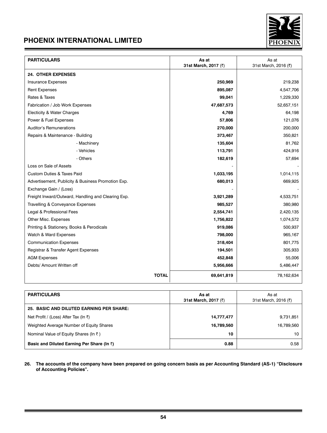

| <b>PARTICULARS</b>                                 | As at<br>31st March, 2017 (₹) | As at<br>31st March, 2016 (₹) |
|----------------------------------------------------|-------------------------------|-------------------------------|
| <b>24. OTHER EXPENSES</b>                          |                               |                               |
| <b>Insurance Expenses</b>                          | 250,969                       | 219,238                       |
| <b>Rent Expenses</b>                               | 895,087                       | 4,547,706                     |
| Rates & Taxes                                      | 99,041                        | 1,229,330                     |
| Fabrication / Job Work Expenses                    | 47,687,573                    | 52,657,151                    |
| Electicity & Water Charges                         | 4,769                         | 64,198                        |
| Power & Fuel Expenses                              | 57,806                        | 121,076                       |
| <b>Auditor's Remunerations</b>                     | 270,000                       | 200,000                       |
| Repairs & Maintenance - Building                   | 373,467                       | 350,821                       |
| - Machinery                                        | 135,604                       | 81,762                        |
| - Vehicles                                         | 113,791                       | 424,916                       |
| - Others                                           |                               |                               |
| Loss on Sale of Assets                             | 182,619                       | 57,694                        |
|                                                    |                               |                               |
| <b>Custom Duties &amp; Taxes Paid</b>              | 1,033,195                     | 1,014,115                     |
| Advertisement, Publicity & Business Promotion Exp. | 680,013                       | 669,925                       |
| Exchange Gain / (Loss)                             |                               |                               |
| Freight Inward/Outward, Handling and Clearing Exp. | 3,921,289                     | 4,533,751                     |
| Travelling & Conveyance Expenses                   | 985,527                       | 380,980                       |
| Legal & Professional Fees                          | 2,554,741                     | 2,420,135                     |
| Other Misc. Expenses                               | 1,756,822                     | 1,074,572                     |
| Printing & Stationery, Books & Perodicals          | 919,086                       | 500,937                       |
| Watch & Ward Expenses                              | 798,000                       | 965,167                       |
| <b>Communication Expenses</b>                      | 318,404                       | 801,775                       |
| Registrar & Transfer Agent Expenses                | 194,501                       | 305,933                       |
| <b>AGM Expenses</b>                                | 452,848                       | 55,006                        |
| Debts/ Amount Written off                          | 5,956,666                     | 5,486,447                     |
| <b>TOTAL</b>                                       | 69,641,819                    | 78,162,634                    |

| <b>PARTICULARS</b>                              | As at<br>31st March, 2017 (₹) | As at<br>31st March, 2016 (₹) |
|-------------------------------------------------|-------------------------------|-------------------------------|
| <b>25. BASIC AND DILUTED EARNING PER SHARE:</b> |                               |                               |
| Net Profit / (Loss) After Tax (In ₹)            | 14,777,477                    | 9,731,851                     |
| Weighted Average Number of Equity Shares        | 16,789,560                    | 16,789,560                    |
| Nominal Value of Equity Shares (In ₹)           | 10                            | 10                            |
| Basic and Diluted Earning Per Share (In ₹)      | 0.88                          | 0.58                          |

**26. The accounts of the company have been prepared on going concern basis as per Accounting Standard (AS-1) "Disclosure of Accounting Policies".**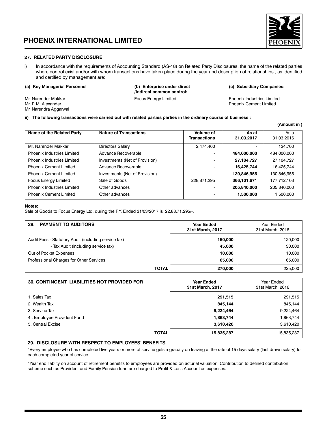

i) In accordance with the requirements of Accounting Standard (AS-18) on Related Party Disclosures, the name of the related parties where control exist and/or with whom transactions have taken place during the year and description of relationships , as identified and certified by management are:

#### **(a) Key Managerial Personnel (b) Enterprise under direct (c) Subsidiary Companies:**

**/Indirect common control:**

Mr. Narendra Aggarwal

Mr. Narender Makkar North Christianus Energy Limited Christianus Energy Limited Phoenix Industries Limited Phoenix Cement Limited Mr. P. M. Alexander Phoenix Cement Limited

#### **ii) The following transactions were carried out with related parties parties in the ordinary course of business :**

| Name of the Related Party     | <b>Nature of Transactions</b>  | <b>Volume of</b><br><b>Transactions</b> | As at<br>31.03.2017 | As a<br>31.03.2016 |
|-------------------------------|--------------------------------|-----------------------------------------|---------------------|--------------------|
| Mr. Narender Makkar           | Directors Salary               | 2,474,400                               |                     | 124.700            |
| Phoenix Industries Limited    | Advance Recoverable            |                                         | 484,000,000         | 484,000,000        |
| Phoenix Industries Limited    | Investments (Net of Provision) |                                         | 27,104,727          | 27,104,727         |
| <b>Phoenix Cement Limited</b> | Advance Recoverable            | $\overline{\phantom{0}}$                | 16,425,744          | 16,425,744         |
| <b>Phoenix Cement Limited</b> | Investments (Net of Provision) | -                                       | 130,846,956         | 130.846.956        |
| Focus Energy Limited          | Sale of Goods                  | 228.871.295                             | 366,101,671         | 177,712,103        |
| Phoenix Industries Limited    | Other advances                 |                                         | 205,840,000         | 205.840.000        |
| <b>Phoenix Cement Limited</b> | Other advances                 |                                         | 1,500,000           | 1.500.000          |

#### **Notes:**

Sale of Goods to Focus Energy Ltd. during the F.Y. Ended 31/03/2017 is 22,88,71,295/-.

| <b>PAYMENT TO AUDITORS</b><br>28.                    | <b>Year Ended</b><br>31st March, 2017 | Year Ended<br>31st March, 2016 |
|------------------------------------------------------|---------------------------------------|--------------------------------|
| Audit Fees - Statutory Audit (including service tax) | 150,000                               | 120.000                        |
| - Tax Audit (including service tax)                  | 45,000                                | 30,000                         |
| Out of Pocket Expenses                               | 10,000                                | 10.000                         |
| Professional Charges for Other Services              | 65,000                                | 65,000                         |
| <b>TOTAL</b>                                         | 270,000                               | 225,000                        |

| <b>30. CONTINGENT LIABILITIES NOT PROVIDED FOR</b> | <b>Year Ended</b><br>31st March, 2017 | Year Ended<br>31st March, 2016 |
|----------------------------------------------------|---------------------------------------|--------------------------------|
| 1. Sales Tax                                       | 291,515                               | 291,515                        |
| 2. Wealth Tax                                      | 845,144                               | 845,144                        |
| 3. Service Tax                                     | 9,224,464                             | 9,224,464                      |
| 4. Employee Provident Fund                         | 1,863,744                             | 1,863,744                      |
| 5. Central Excise                                  | 3,610,420                             | 3,610,420                      |
| <b>TOTAL</b>                                       | 15,835,287                            | 15,835,287                     |

#### **29. DISCLOSURE WITH RESPECT TO EMPLOYEES' BENEFITS**

"Every employee who has completed five years or more of service gets a gratuity on leaving at the rate of 15 days salary (last drawn salary) for each completed year of service.

"Year end liablity on account of retirement benefits to employees are provided on acturial valuation. Contribution to defined contribution scheme such as Provident and Family Pension fund are charged to Profit & Loss Account as expenses.



**(Amount in )**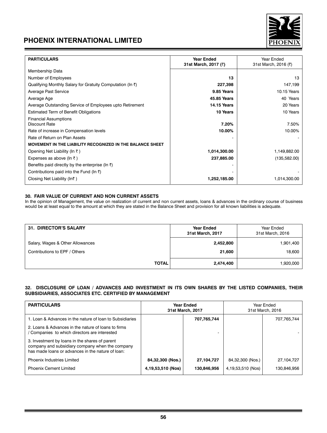

| <b>PARTICULARS</b>                                               | <b>Year Ended</b><br>31st March, 2017 (₹) | Year Ended<br>31st March, 2016 (₹) |
|------------------------------------------------------------------|-------------------------------------------|------------------------------------|
| Membership Data                                                  |                                           |                                    |
| Number of Employees                                              | 13                                        | 13                                 |
| Qualifying Monthly Salary for Gratuity Computation (In ₹)        | 227,398                                   | 147,199                            |
| Average Past Service                                             | 9.85 Years                                | <b>10.15 Years</b>                 |
| Average Age                                                      | 45.85 Years                               | 40 Years                           |
| Average Outstanding Service of Employees upto Retirement         | <b>14.15 Years</b>                        | 20 Years                           |
| <b>Estimated Term of Benefit Obligations</b>                     | 10 Years                                  | 10 Years                           |
| <b>Financial Assumptions</b><br><b>Discount Rate</b>             | 7.20%                                     | 7.50%                              |
| Rate of increase in Compensation levels                          | 10.00%                                    | 10.00%                             |
| Rate of Return on Plan Assets                                    |                                           |                                    |
| <b>MOVEMENT IN THE LIABILITY RECOGNIZED IN THE BALANCE SHEET</b> |                                           |                                    |
| Opening Net Liability (In ₹)                                     | 1,014,300.00                              | 1,149,882.00                       |
| Expenses as above ( $\ln \overline{\xi}$ )                       | 237,885.00                                | (135,582.00)                       |
| Benefits paid directly by the enterprise (In $\bar{z}$ )         |                                           |                                    |
| Contributions paid into the Fund (In $\bar{z}$ )                 |                                           |                                    |
| Closing Net Liability (In₹)                                      | 1,252,185.00                              | 1,014,300.00                       |

### **30. FAIR VALUE OF CURRENT AND NON CURRENT ASSETS**

In the opinion of Management, the value on realization of current and non current assets, loans & advances in the ordinary course of business would be at least equal to the amount at which they are stated in the Balance Sheet and provision for all known liabilities is adequate.

| <b>31. DIRECTOR'S SALARY</b>     | <b>Year Ended</b><br>31st March, 2017 | Year Ended<br>31st March, 2016 |
|----------------------------------|---------------------------------------|--------------------------------|
| Salary, Wages & Other Allowances | 2,452,800                             | 1,901,400                      |
| Contributions to EPF / Others    | 21,600                                | 18,600                         |
| <b>TOTAL</b>                     | 2,474,400                             | 1,920,000                      |

#### **32. DISCLOSURE OF LOAN / ADVANCES AND INVESTMENT IN ITS OWN SHARES BY THE LISTED COMPANIES, THEIR SUBSIDIARIES, ASSOCIATES ETC. CERTIFIED BY MANAGEMENT**

| <b>PARTICULARS</b>                                                                                                                                     | <b>Year Ended</b><br>31st March, 2017 |             | Year Ended<br>31st March, 2016 |             |
|--------------------------------------------------------------------------------------------------------------------------------------------------------|---------------------------------------|-------------|--------------------------------|-------------|
| 1. Loan & Advances in the nature of loan to Subsidiaries                                                                                               |                                       | 707,765,744 |                                | 707.765.744 |
| 2. Loans & Advances in the nature of loans to firms<br>Companies to which directors are interested                                                     |                                       |             |                                |             |
| 3. Investment by loans in the shares of parent<br>company and subsidiary company when the company<br>has made loans or advances in the nature of loan: |                                       |             |                                |             |
| Phoenix Industries Limited                                                                                                                             | 84,32,300 (Nos.)                      | 27,104,727  | 84,32,300 (Nos.)               | 27,104,727  |
| <b>Phoenix Cement Limited</b>                                                                                                                          | 4,19,53,510 (Nos)                     | 130,846,956 | 4,19,53,510 (Nos)              | 130.846.956 |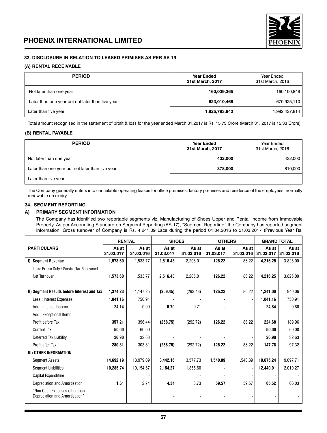

### **33. Disclosure in relation to leased primises as per AS 19**

#### **(a) Rental Receivable**

| <b>PERIOD</b>                                    | <b>Year Ended</b><br>31st March, 2017 | Year Ended<br>31st March, 2016 |  |
|--------------------------------------------------|---------------------------------------|--------------------------------|--|
| Not later than one year                          | 160,039,365                           | 160,100,848                    |  |
| Later than one year but not later than five year | 623,010,468                           | 670,925,110                    |  |
| Later than five year                             | 1,925,783,842                         | 1,992,437,814                  |  |

Total amount recognised in the statement of profit & loss for the year ended March 31,2017 is Rs. 15.73 Crore (March 31, 2017 is 15.33 Crore)

#### **(b) Rental Payable**

| <b>PERIOD</b>                                    | <b>Year Ended</b><br>31st March, 2017 | Year Ended<br>31st March, 2016 |  |
|--------------------------------------------------|---------------------------------------|--------------------------------|--|
| Not later than one year                          | 432,000                               | 432,000                        |  |
| Later than one year but not later than five year | 378,000                               | 810,000                        |  |
| Later than five year                             |                                       |                                |  |

The Company generally enters into cancelable operating leases for office premises, factory premises and residence of the employees, normally renewable on expiry.

#### **34. SEGMENT REPORTING**

#### **A) PRIMARY SEGMENT INFORMATION**

The Company has identified two reportable segments viz. Manufacturing of Shoes Upper and Rental Income from Immovable Property. As per Accounting Standard on Segment Reporting (AS-17), "Segment Reporting" the Company has reported segment information. Gross turnover of Company is Rs. 4,241.09 Lacs during the period 01.04.2016 to 31.03.2017 (Previous Year Rs.

|                                                                 | <b>RENTAL</b>      |                    | <b>SHOES</b>       |                    | <b>OTHERS</b>      |                    | <b>GRAND TOTAL</b> |                    |
|-----------------------------------------------------------------|--------------------|--------------------|--------------------|--------------------|--------------------|--------------------|--------------------|--------------------|
| <b>PARTICULARS</b>                                              | As at<br>31.03.017 | As at<br>31.03.016 | As at<br>31.03.017 | As at<br>31.03.016 | As at<br>31.03.017 | As at<br>31.03.016 | As at<br>31.03.017 | As at<br>31.03.016 |
|                                                                 |                    |                    |                    |                    |                    |                    |                    |                    |
| I) Segment Revenue                                              | 1,573.60           | 1,533.77           | 2,516.43           | 2,205.01           | 126.22             | 86.22              | 4,216.25           | 3,825.00           |
| Less: Excise Duty / Service Tax Recovered                       |                    |                    |                    |                    |                    |                    |                    |                    |
| Net Turnover                                                    | 1,573.60           | 1,533.77           | 2,516.43           | 2,205.01           | 126.22             | 86.22              | 4,216.25           | 3,825.00           |
|                                                                 |                    |                    |                    |                    |                    |                    |                    |                    |
| II) Segment Results before Interest and Tax                     | 1.374.23           | 1,147.25           | (259.45)           | (293.43)           | 126.22             | 86.22              | 1,241.00           | 940.06             |
| Less : Interest Expenses                                        | 1,041.16           | 750.91             |                    |                    |                    |                    | 1,041.16           | 750.91             |
| Add: Interest Income                                            | 24.14              | 0.09               | 0.70               | 0.71               |                    |                    | 24.84              | 0.80               |
| Add: Exceptional Items                                          |                    |                    |                    |                    |                    |                    |                    |                    |
| Profit before Tax                                               | 357.21             | 396.44             | (258.75)           | (292.72)           | 126.22             | 86.22              | 224.68             | 189.96             |
| <b>Current Tax</b>                                              | 50.00              | 60.00              |                    |                    |                    |                    | 50.00              | 60.00              |
| Deferred Tax Liability                                          | 26.90              | 32.63              |                    |                    |                    |                    | 26.90              | 32.63              |
| Profit after Tax                                                | 280.31             | 303.81             | (258.75)           | (292.72)           | 126.22             | 86.22              | 147.78             | 97.32              |
| III) OTHER INFORMATION                                          |                    |                    |                    |                    |                    |                    |                    |                    |
| <b>Seament Assets</b>                                           | 14.692.19          | 13.979.09          | 3,442.16           | 3.577.73           | 1,540.89           | 1.540.89           | 19.675.24          | 19,097.71          |
| <b>Segment Liabilities</b>                                      | 10.285.74          | 10,154.67          | 2,154.27           | 1,855.60           |                    |                    | 12,440.01          | 12,010.27          |
| <b>Capital Expenditure</b>                                      |                    |                    |                    |                    |                    |                    |                    |                    |
| Depreciation and Amortisation                                   | 1.61               | 2.74               | 4.34               | 3.73               | 59.57              | 59.57              | 65.52              | 66.03              |
| "Non Cash Expenses other than<br>Depreciation and Amortisation" |                    |                    |                    |                    |                    |                    |                    |                    |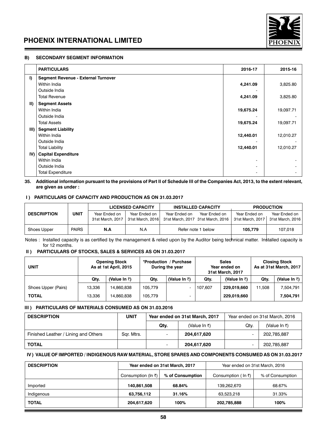

#### **B) SECONDARY SEGMENT INFORMATION**

|             | <b>PARTICULARS</b>                  | 2016-17   | 2015-16   |
|-------------|-------------------------------------|-----------|-----------|
| I)          | Segment Revenue - External Turnover |           |           |
|             | Within India                        | 4,241.09  | 3,825.80  |
|             | Outside India                       |           |           |
|             | <b>Total Revenue</b>                | 4,241.09  | 3,825.80  |
| $\vert$ II) | <b>Segment Assets</b>               |           |           |
|             | Within India                        | 19,675.24 | 19,097.71 |
|             | Outside India                       |           |           |
|             | <b>Total Assets</b>                 | 19,675.24 | 19,097.71 |
| III)        | <b>Segment Liability</b>            |           |           |
|             | Within India                        | 12,440.01 | 12,010.27 |
|             | Outside India                       |           |           |
|             | <b>Total Liability</b>              | 12,440.01 | 12,010.27 |
| IV)         | <b>Capital Expenditure</b>          |           |           |
|             | Within India                        | ٠         |           |
|             | Outside India                       | ٠         |           |
|             | <b>Total Expenditure</b>            |           |           |

#### **35. Additional information pursuant to the provisions of Part II of Schedule III of the Companies Act, 2013, to the extent relevant, are given as under :**

### **I ) PARTICULARS OF CAPACITY AND PRODUCTION AS ON 31.03.2017**

|                    |              | <b>LICENSED CAPACITY</b>          |               |                                                                     | <b>INSTALLED CAPACITY</b> | <b>PRODUCTION</b>                 |                                   |
|--------------------|--------------|-----------------------------------|---------------|---------------------------------------------------------------------|---------------------------|-----------------------------------|-----------------------------------|
| <b>DESCRIPTION</b> | UNIT         | Year Ended on<br>31st March, 2017 | Year Ended on | Year Ended on<br>31st March, 2016 31st March, 2017 31st March, 2016 | Year Ended on             | Year Ended on<br>31st March, 2017 | Year Ended on<br>31st March. 2016 |
| Shoes Upper        | <b>PAIRS</b> | N.A                               | N.A           | Refer note 1 below                                                  |                           | 105.779                           | 107.018                           |

Notes : Installed capacity is as certified by the management & relied upon by the Auditor being technical matter. Installed capacity is for 12 months.

#### **II ) PARTICULARS OF STOCKS, SALES & SERVICES AS ON 31.03.2017**

| <b>UNIT</b>         | <b>Opening Stock</b><br>As at 1st April, 2015 |              | "Production / Purchase<br>During the year |              | <b>Sales</b><br>Year ended on<br>31st March, 2017 |              | <b>Closing Stock</b><br>As at 31st March, 2017 |              |
|---------------------|-----------------------------------------------|--------------|-------------------------------------------|--------------|---------------------------------------------------|--------------|------------------------------------------------|--------------|
|                     | Qty.                                          | (Value In ₹) | Qty.                                      | (Value In ₹) | Qty.                                              | (Value In ₹) | Qtv.                                           | (Value In ₹) |
| Shoes Upper (Pairs) | 13.336                                        | 14.860.838   | 105.779                                   |              | 107.607                                           | 229.019.660  | 11.508                                         | 7.504.791    |
| <b>TOTAL</b>        | 13.336                                        | 14.860.838   | 105.779                                   | -            |                                                   | 229.019.660  |                                                | 7,504,791    |

#### **III ) PARTICULARS OF MATERIALS CONSUMED AS ON 31.03.2016**

| <b>DESCRIPTION</b>                   | <b>UNIT</b> |                          | Year ended on 31st March, 2017 | Year ended on 31st March, 2016 |              |  |
|--------------------------------------|-------------|--------------------------|--------------------------------|--------------------------------|--------------|--|
|                                      |             | Qty.                     | (Value In ₹)                   | Qtv.                           | (Value In ₹) |  |
| Finished Leather / Lining and Others | Sar. Mtrs.  | $\overline{\phantom{a}}$ | 204.617.620                    |                                | 202.785.887  |  |
| <b>TOTAL</b>                         |             | $\overline{\phantom{0}}$ | 204.617.620                    |                                | 202.785.887  |  |

### **IV ) VALUE OF IMPORTED / INDIGENOUS RAW MATERIAL, STORE SPARES AND COMPONENTS CONSUMED AS ON 31.03.2017**

| <b>DESCRIPTION</b> |                                        | Year ended on 31st March, 2017 | Year ended on 31st March, 2016 |                  |  |
|--------------------|----------------------------------------|--------------------------------|--------------------------------|------------------|--|
|                    | Consumption (In ₹)<br>% of Consumption |                                | Consumption ( In ₹)            | % of Consumption |  |
| Imported           | 140,861,508                            | 68.84%                         | 139.262.670                    | 68.67%           |  |
| Indigenous         | 63.756.112                             | 31.16%                         | 63.523.218                     | 31.33%           |  |
| <b>TOTAL</b>       | 204,617,620                            | 100%                           | 202,785,888                    | 100%             |  |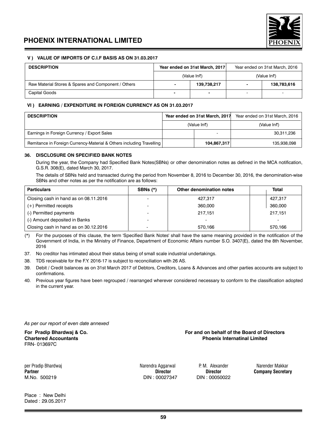

#### **V ) VALUE OF IMPORTS OF C.I.F BASIS AS ON 31.03.2017**

| <b>DESCRIPTION</b>                                  |             | Year ended on 31st March, 2017 | Year ended on 31st March, 2016 |             |  |
|-----------------------------------------------------|-------------|--------------------------------|--------------------------------|-------------|--|
|                                                     | (Value In₹) |                                | (Value In₹)                    |             |  |
| Raw Material Stores & Spares and Component / Others | ۰           | 139.738.217                    |                                | 138,783,616 |  |
| <b>Capital Goods</b>                                |             |                                |                                | -           |  |

#### **VI ) EARNING / EXPENDITURE IN FOREIGN CURRENCY AS ON 31.03.2017**

| <b>DESCRIPTION</b>                                                   | Year ended on 31st March, 2017 |             | Year ended on 31st March, 2016 |
|----------------------------------------------------------------------|--------------------------------|-------------|--------------------------------|
|                                                                      | (Value In₹)                    |             | (Value In₹)                    |
| Earnings in Foreign Currency / Export Sales                          |                                |             | 30.311.236                     |
| Remitance in Foreign Currency-Material & Others including Travelling |                                | 104,867,317 | 135,938,098                    |

#### **36. DISCLOSURE ON SPECIFIED BANK NOTES**

During the year, the Company had Specified Bank Notes(SBNs) or other denomination notes as defined in the MCA notification, G.S.R. 308(E), dated March 30, 2017.

The details of SBNs held and transacted during the period from November 8, 2016 to December 30, 2016, the denomination-wise SBNs and other notes as per the notification are as follows:

| <b>Particulars</b>                    | <b>SBNs</b> (*) | Other denomination notes | Total   |
|---------------------------------------|-----------------|--------------------------|---------|
| Closing cash in hand as on 08.11.2016 |                 | 427.317                  | 427.317 |
| (+) Permitted receipts                |                 | 360,000                  | 360,000 |
| (-) Permitted payments                |                 | 217.151                  | 217.151 |
| (-) Amount deposited in Banks         |                 |                          |         |
| Closing cash in hand as on 30.12.2016 |                 | 570.166                  | 570.166 |

(\*) For the purposes of this clause, the term 'Specified Bank Notes' shall have the same meaning provided in the notification of the Government of India, in the Ministry of Finance, Department of Economic Affairs number S.O. 3407(E), dated the 8th November, 2016

37. No creditor has intimated about their status being of small scale industrial undertakings.

38. TDS receivable for the F.Y. 2016-17 is subject to reconciliation with 26 AS.

- 39. Debit / Credit balances as on 31st March 2017 of Debtors, Creditors, Loans & Advances and other parties accounts are subject to confirmations.
- 40. Previous year figures have been regrouped / rearranged wherever considered necessary to conform to the classification adopted in the current year.

#### *As per our report of even date annexed*

**For Pradip Bhardwaj & Co. For and on behalf of the Board of Directors Chartered Accountants Phoenix Internatinal Limited** FRN- 013697C

**Partner Director Director Company Secretary**  M.No. 500219 DIN : 00027347 DIN : 00050022

per Pradip Bhardwaj Narendra Aggarwal P. M. Alexander Narender Makkar

Place : New Delhi Dated : 29.05.2017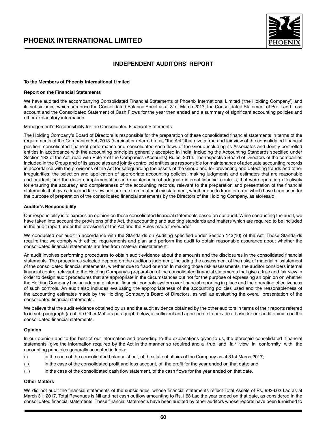

### **INDEPENDENT AUDITORS' REPORT**

#### **To the Members of Phoenix International Limited**

#### **Report on the Financial Statements**

We have audited the accompanying Consolidated Financial Statements of Phoenix International Limited ('the Holding Company') and its subsidiaries, which comprise the Consolidated Balance Sheet as at 31st March 2017, the Consolidated Statement of Profit and Loss account and the Consolidated Statement of Cash Flows for the year then ended and a summary of significant accounting policies and other explanatory information.

#### Management's Responsibility for the Consolidated Financial Statements

The Holding Company's Board of Directors is responsible for the preparation of these consolidated financial statements in terms of the requirements of the Companies Act, 2013 (hereinafter referred to as "the Act")that give a true and fair view of the consolidated financial position, consolidated financial performance and consolidated cash flows of the Group including its Associates and Jointly controlled entities in accordance with the accounting principles generally accepted in India, including the Accounting Standards specified under Section 133 of the Act, read with Rule 7 of the Companies (Accounts) Rules, 2014. The respective Board of Directors of the companies included in the Group and of its associates and jointly controlled entities are responsible for maintenance of adequate accounting records in accordance with the provisions of the Act for safeguarding the assets of the Group and for preventing and detecting frauds and other irregularities; the selection and application of appropriate accounting policies; making judgments and estimates that are reasonable and prudent; and the design, implementation and maintenance of adequate internal financial controls, that were operating effectively for ensuring the accuracy and completeness of the accounting records, relevant to the preparation and presentation of the financial statements that give a true and fair view and are free from material misstatement, whether due to fraud or error, which have been used for the purpose of preparation of the consolidated financial statements by the Directors of the Holding Company, as aforesaid.

#### **Auditor's Responsibility**

Our responsibility is to express an opinion on these consolidated financial statements based on our audit. While conducting the audit, we have taken into account the provisions of the Act, the accounting and auditing standards and matters which are required to be included in the audit report under the provisions of the Act and the Rules made thereunder.

We conducted our audit in accordance with the Standards on Auditing specified under Section 143(10) of the Act. Those Standards require that we comply with ethical requirements and plan and perform the audit to obtain reasonable assurance about whether the consolidated financial statements are free from material misstatement.

An audit involves performing procedures to obtain audit evidence about the amounts and the disclosures in the consolidated financial statements. The procedures selected depend on the auditor's judgment, including the assessment of the risks of material misstatement of the consolidated financial statements, whether due to fraud or error. In making those risk assessments, the auditor considers internal financial control relevant to the Holding Company's preparation of the consolidated financial statements that give a true and fair view in order to design audit procedures that are appropriate in the circumstances but not for the purpose of expressing an opinion on whether the Holding Company has an adequate internal financial controls system over financial reporting in place and the operating effectiveness of such controls. An audit also includes evaluating the appropriateness of the accounting policies used and the reasonableness of the accounting estimates made by the Holding Company's Board of Directors, as well as evaluating the overall presentation of the consolidated financial statements.

We believe that the audit evidence obtained by us and the audit evidence obtained by the other auditors in terms of their reports referred to in sub-paragraph (a) of the Other Matters paragraph below, is sufficient and appropriate to provide a basis for our audit opinion on the consolidated financial statements.

#### **Opinion**

In our opinion and to the best of our information and according to the explanations given to us, the aforesaid consolidated financial statements give the information required by the Act in the manner so required and a true and fair view in conformity with the accounting principles generally accepted in India:

- (i) in the case of the consolidated balance sheet, of the state of affairs of the Company as at 31st March 2017;
- (ii) in the case of the consolidated profit and loss account, of the profit for the year ended on that date; and
- (iii) in the case of the consolidated cash flow statement, of the cash flows for the year ended on that date.

#### **Other Matters**

We did not audit the financial statements of the subsidiaries, whose financial statements reflect Total Assets of Rs. 9926.02 Lac as at March 31, 2017, Total Revenues is Nil and net cash outflow amounting to Rs.1.68 Lac the year ended on that date, as considered in the consolidated financial statements. These financial statements have been audited by other auditors whose reports have been furnished to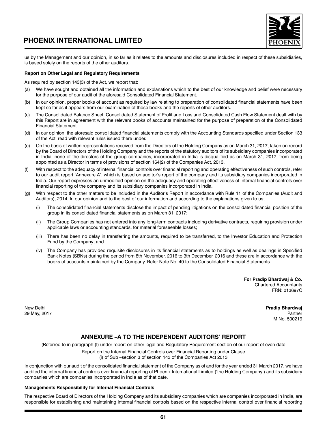

us by the Management and our opinion, in so far as it relates to the amounts and disclosures included in respect of these subsidiaries, is based solely on the reports of the other auditors.

#### **Report on Other Legal and Regulatory Requirements**

As required by section 143(3) of the Act, we report that:

- (a) We have sought and obtained all the information and explanations which to the best of our knowledge and belief were necessary for the purpose of our audit of the aforesaid Consolidated Financial Statement.
- (b) In our opinion, proper books of account as required by law relating to preparation of consolidated financial statements have been kept so far as it appears from our examination of those books and the reports of other auditors.
- (c) The Consolidated Balance Sheet, Consolidated Statement of Profit and Loss and Consolidated Cash Flow Statement dealt with by this Report are in agreement with the relevant books of accounts maintained for the purpose of preparation of the Consolidated Financial Statement.
- (d) In our opinion, the aforesaid consolidated financial statements comply with the Accounting Standards specified under Section 133 of the Act, read with relevant rules issued there under.
- (e) On the basis of written representations received from the Directors of the Holding Company as on March 31, 2017, taken on record by the Board of Directors of the Holding Company and the reports of the statutory auditors of its subsidiary companies incorporated in India, none of the directors of the group companies, incorporated in India is disqualified as on March 31, 2017, from being appointed as a Director in terms of provisions of section 164(2) of the Companies Act, 2013.
- (f) With respect to the adequacy of internal financial controls over financial reporting and operating effectiveness of such controls, refer to our audit report "Annexure A", which is based on auditor's report of the company and its subsidiary companies incorporated in India. Our report expresses an unmodified opinion on the adequacy and operating effectiveness of internal financial controls over financial reporting of the company and its subsidiary companies incorporated in India.
- (g) With respect to the other matters to be included in the Auditor's Report in accordance with Rule 11 of the Companies (Audit and Auditors), 2014, In our opinion and to the best of our information and according to the explanations given to us;
	- (i) The consolidated financial statements disclose the impact of pending litigations on the consolidated financial position of the group in its consolidated financial statements as on March 31, 2017;
	- (ii) The Group Companies has not entered into any long-term contracts including derivative contracts, requiring provision under applicable laws or accounting standards, for material foreseeable losses;
	- (iii) There has been no delay in transferring the amounts, required to be transferred, to the Investor Education and Protection Fund by the Company; and
	- (iv) The Company has provided requisite disclosures in its financial statements as to holdings as well as dealings in Specified Bank Notes (SBNs) during the period from 8th November, 2016 to 3th December, 2016 and these are in accordance with the books of accounts maintained by the Company. Refer Note No. 40 to the Consolidated Financial Statements.

 **For Pradip Bhardwaj & Co.** Chartered Accountants FRN: 013697C

New Delhi **Pradip Bhardwaj** 29 May, 2017 Partner M.No. 500219

### **ANNEXURE –A TO THE INDEPENDENT AUDITORS' REPORT**

(Referred to in paragraph (f) under report on other legal and Regulatory Requirement section of our report of even date

Report on the Internal Financial Controls over Financial Reporting under Clause

(i) of Sub –section 3 of section 143 of the Companies Act 2013

In conjunction with our audit of the consolidated financial statement of the Company as of and for the year ended 31 March 2017, we have audited the internal financial controls over financial reporting of Phoenix International Limited ('the Holding Company') and its subsidiary companies which are companies incorporated in India as of that date.

#### **Managements Responsibility for Internal Financial Controls**

The respective Board of Directors of the Holding Company and its subsidiary companies which are companies incorporated in India, are responsible for establishing and maintaining internal financial controls based on the respective internal control over financial reporting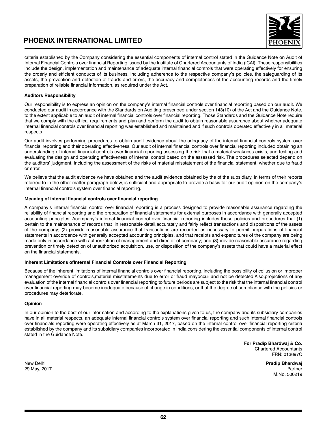

criteria established by the Company considering the essential components of internal control stated in the Guidance Note on Audit of Internal Financial Controls over financial Reporting issued by the Institute of Chartered Accountants of India (ICAI). These responsibilities include the design, implementation and maintenance of adequate internal financial controls that were operating effectively for ensuring the orderly and efficient conducts of its business, including adherence to the respective company's policies, the safeguarding of its assets, the prevention and detection of frauds and errors, the accuracy and completeness of the accounting records and the timely preparation of reliable financial information, as required under the Act.

#### **Auditors Responsibility**

Our responsibility is to express an opinion on the company's internal financial controls over financial reporting based on our audit. We conducted our audit in accordance with the Standards on Auditing prescribed under section 143(10) of the Act and the Guidance Note, to the extent applicable to an audit of internal financial controls over financial reporting. Those Standards and the Guidance Note require that we comply with the ethical requirements and plan and perform the audit to obtain reasonable assurance about whether adequate internal financial controls over financial reporting was established and maintained and if such controls operated effectively in all material respects.

Our audit involves performing procedures to obtain audit evidence about the adequacy of the internal financial controls system over financial reporting and their operating effectiveness. Our audit of internal financial controls over financial reporting included obtaining an understanding of internal financial controls over financial reporting assessing the risk that a material weakness exists, and testing and evaluating the design and operating effectiveness of internal control based on the assessed risk. The procedures selected depend on the auditors' judgment, including the assessment of the risks of material misstatement of the financial statement, whether due to fraud or error.

We believe that the audit evidence we have obtained and the audit evidence obtained by the of the subsidiary, in terms of their reports referred to in the other matter paragraph below, is sufficient and appropriate to provide a basis for our audit opinion on the company's internal financial controls system over financial reporting.

#### **Meaning of internal financial controls over financial reporting**

A company's internal financial control over financial reporting is a process designed to provide reasonable assurance regarding the reliability of financial reporting and the preparation of financial statements for external purposes in accordance with generally accepted accounting principles. Acompany's internal financial control over financial reporting includes those policies and procedures that (1) pertain to the maintenance of records that ,in reasonable detail,accurately and fairly reflect transactions and dispositions of the assets of the company; (2) provide reasonable assurance that transactions are recorded as necessary to permit preparations of financial statements in accordance with generally accepted accounting principles, and that receipts and expenditures of the company are being made only in accordance with authorization of management and director of company; and (3)provide reasonable assurance regarding prevention or timely detection of unauthorized acquisition, use, or disposition of the company's assets that could have a material effect on the financial statements.

#### **Inherent Limitations ofInternal Financial Controls over Financial Reporting**

Because of the inherent limitations of internal financial controls over financial reporting, including the possibility of collusion or improper management override of controls,material misstatements due to error or fraud mayoccur and not be detected.Also,projections of any evaluation of the internal financial controls over financial reporting to future periods are subject to the risk that the internal financial control over financial reporting may become inadequate because of change in conditions, or that the degree of compliance with the policies or procedures may deteriorate.

#### **Opinion**

In our opinion to the best of our information and according to the explanations given to us, the company and its subsidiary companies have in all material respects, an adequate internal financial controls system over financial reporting and such internal financial controls over financials reporting were operating effectively as at March 31, 2017, based on the internal control over financial reporting criteria established by the company and its subsidiary companies incorporated in India considering the essential components of internal control stated in the Guidance Note.

**For Pradip Bhardwaj & Co.** Chartered Accountants<br>FRN: 013697C FRN: 013697C

New Delhi **Pradip Bhardwaj** 29 May, 2017 Partner M.No. 500219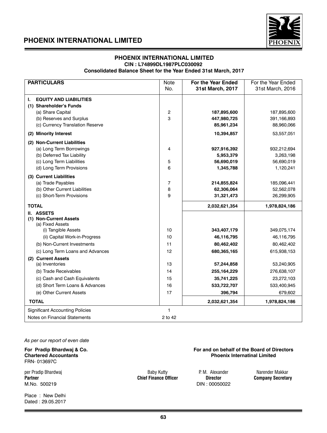

### **PHOENIX INTERNATIONAL LIMITED CIN : L74899DL1987PLC030092**

 **Consolidated Balance Sheet for the Year Ended 31st March, 2017**

|    | <b>PARTICULARS</b>                         | <b>Note</b> | For the Year Ended | For the Year Ended |
|----|--------------------------------------------|-------------|--------------------|--------------------|
|    |                                            | No.         | 31st March, 2017   | 31st March, 2016   |
| L. | <b>EQUITY AND LIABILITIES</b>              |             |                    |                    |
|    | (1) Shareholder's Funds                    |             |                    |                    |
|    | (a) Share Capital                          | 2           | 187,895,600        | 187,895,600        |
|    | (b) Reserves and Surplus                   | 3           | 447,980,725        | 391,166,893        |
|    | (c) Currency Translation Reserve           |             | 85,961,234         | 88,960,066         |
|    | (2) Minority Interest                      |             | 10,394,857         | 53,557,051         |
|    | (2) Non-Current Liabilities                |             |                    |                    |
|    | (a) Long Term Borrowings                   | 4           | 927,916,392        | 932,212,694        |
|    | (b) Deferred Tax Liability                 |             | 5,953,379          | 3,263,198          |
|    | (c) Long Term Liabilities                  | 5           | 56,690,019         | 56,690,019         |
|    | (d) Long Term Provisions                   | 6           | 1,345,788          | 1,120,241          |
|    | (3) Current Liabilities                    |             |                    |                    |
|    | (a) Trade Payables                         | 7           | 214,855,824        | 185,096,441        |
|    | (b) Other Current Liabilities              | 8           | 62,306,064         | 52,562,078         |
|    | (c) Short-Term Provisions                  | 9           | 31,321,473         | 26,299,905         |
|    | <b>TOTAL</b>                               |             | 2,032,621,354      | 1,978,824,186      |
| Н. | <b>ASSETS</b>                              |             |                    |                    |
|    | (1) Non-Current Assets<br>(a) Fixed Assets |             |                    |                    |
|    | (i) Tangible Assets                        | 10          | 343,407,179        | 349,075,174        |
|    | (ii) Capital Work-in-Progress              | 10          | 46,116,795         | 46,116,795         |
|    | (b) Non-Current Investments                | 11          | 80,462,402         | 80,462,402         |
|    | (c) Long Term Loans and Advances           | 12          | 680,365,165        | 615,938,153        |
|    | (2) Current Assets                         |             |                    |                    |
|    | (a) Inventories                            | 13          | 57,244,858         | 53,240,905         |
|    | (b) Trade Receivables                      | 14          | 255, 164, 229      | 276,638,107        |
|    | (c) Cash and Cash Equivalents              | 15          | 35,741,225         | 23,272,103         |
|    | (d) Short Term Loans & Advances            | 16          | 533,722,707        | 533,400,945        |
|    | (e) Other Current Assets                   | 17          | 396,794            | 679,602            |
|    | <b>TOTAL</b>                               |             | 2,032,621,354      | 1,978,824,186      |
|    | <b>Significant Accounting Policies</b>     | 1           |                    |                    |
|    | Notes on Financial Statements              | 2 to 42     |                    |                    |

*As per our report of even date*

FRN- 013697C

per Pradip Bhardwaj Baby Kutty P. M. Alexander Narender Makkar M.No. 500219 DIN : 00050022

Place : New Delhi Dated : 29.05.2017

**Partner Chief Finance Officer Director Company Secretary**

**For Pradip Bhardwaj & Co.** The South of the Board of Directors of Directors Chartered Accountants<br>Chartered Accountants **Chartered Accountants Phoenix Internatinal Limited**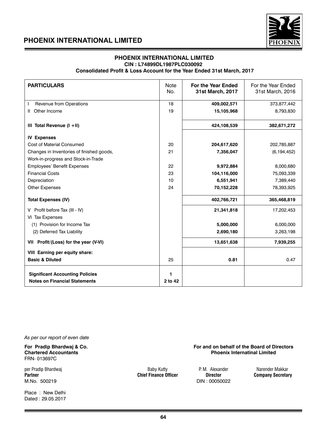

### **PHOENIX INTERNATIONAL LIMITED CIN : L74899DL1987PLC030092**

# **Consolidated Profit & Loss Account for the Year Ended 31st March, 2017**

| <b>PARTICULARS</b>                                                             | <b>Note</b><br>No. | For the Year Ended<br>31st March, 2017 | For the Year Ended<br>31st March, 2016 |
|--------------------------------------------------------------------------------|--------------------|----------------------------------------|----------------------------------------|
| Revenue from Operations                                                        | 18                 | 409,002,571                            | 373,877,442                            |
| Other Income<br>Ш.                                                             | 19                 | 15,105,968                             | 8,793,830                              |
| III Total Revenue (I +II)                                                      |                    | 424,108,539                            | 382,671,272                            |
| <b>IV Expenses</b>                                                             |                    |                                        |                                        |
| Cost of Material Consumed                                                      | 20                 | 204,617,620                            | 202,785,887                            |
| Changes in Inventories of finished goods,                                      | 21                 | 7,356,047                              | (6, 194, 452)                          |
| Work-in-progress and Stock-in-Trade                                            |                    |                                        |                                        |
| <b>Employees' Benefit Expenses</b>                                             | 22                 | 9,972,884                              | 8,000,680                              |
| <b>Financial Costs</b>                                                         | 23                 | 104,116,000                            | 75,093,339                             |
| Depreciation                                                                   | 10                 | 6,551,941                              | 7,389,440                              |
| <b>Other Expenses</b>                                                          | 24                 | 70,152,228                             | 78,393,925                             |
| <b>Total Expenses (IV)</b>                                                     |                    | 402,766,721                            | 365,468,819                            |
| V Profit before Tax (III - IV)                                                 |                    | 21,341,818                             | 17,202,453                             |
| VI Tax Expenses                                                                |                    |                                        |                                        |
| (1) Provision for Income Tax                                                   |                    | 5,000,000                              | 6,000,000                              |
| (2) Deferred Tax Liability                                                     |                    | 2,690,180                              | 3,263,198                              |
| VII Profit/(Loss) for the year (V-VI)                                          |                    | 13,651,638                             | 7,939,255                              |
| VIII Earning per equity share:                                                 |                    |                                        |                                        |
| <b>Basic &amp; Diluted</b>                                                     | 25                 | 0.81                                   | 0.47                                   |
| <b>Significant Accounting Policies</b><br><b>Notes on Financial Statements</b> | 1<br>2 to 42       |                                        |                                        |

*As per our report of even date*

# **For Pradip Bhardwaj & Co.** The Scotting of the Board of Directors Chartered Accountants<br>
Chartered Accountants The Scotting of the Board of Directors (Phoenix Internatinal Limited on behalf of the Board of Directors FRN- 013697C

per Pradip Bhardwaj Baby Kutty P. M. Alexander Narender Makkar **Partner Chief Finance Officer Director Company Secretary**

Place : New Delhi Dated : 29.05.2017

DIN : 00050022

**Phoenix Internatinal Limited**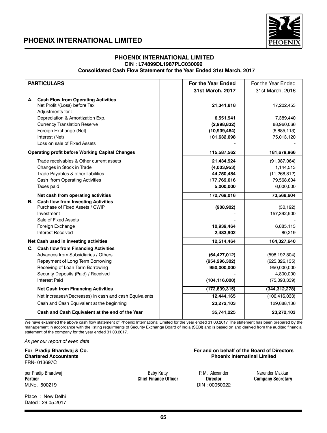

### **PHOENIX INTERNATIONAL LIMITED CIN : L74899DL1987PLC030092 Consolidated Cash Flow Statement for the Year Ended 31st March, 2017**

| For the Year Ended                                                  | For the Year Ended                                                             |
|---------------------------------------------------------------------|--------------------------------------------------------------------------------|
| 31st March, 2017                                                    | 31st March, 2016                                                               |
| 21,341,818                                                          | 17,202,453                                                                     |
| 6,551,941                                                           | 7,389,440                                                                      |
| (10, 939, 464)<br>101,632,098                                       | 88,960,066<br>(6,885,113)<br>75,013,120                                        |
|                                                                     |                                                                                |
| 115,587,562                                                         | 181,679,966                                                                    |
| 21,434,924<br>(4,003,953)<br>44,750,484                             | (91, 987, 064)<br>1,144,513<br>(11, 268, 812)                                  |
| 5,000,000                                                           | 79,568,604<br>6,000,000                                                        |
| 172,769,016<br>(908, 902)<br>10,939,464<br>2,483,902                | 73,568,604<br>(30, 192)<br>157,392,500<br>6,885,113<br>80,219                  |
| 12,514,464                                                          | 164,327,640                                                                    |
| (64, 427, 012)<br>(954, 296, 302)<br>950,000,000<br>(104, 116, 000) | (598, 192, 804)<br>(625, 826, 135)<br>950,000,000<br>4,800,000<br>(75,093,339) |
|                                                                     | (344, 312, 278)                                                                |
| 12,444,165<br>23,272,103                                            | (106, 416, 033)<br>129,688,136                                                 |
|                                                                     | (2,998,832)<br>177,769,016<br>(172, 839, 315)                                  |

We have examined the above cash flow statement of Phoenix International Limited for the year ended 31.03.2017 The statement has been prepared by the management in accordance with the listing requirments of Security Exchange Board of India (SEBI) and is based on and derived from the audited financial statement of the company for the year ended 31.03.2017.

*As per our report of even date*

**For Pradip Bhardwaj & Co. For and on behalf of the Board of Directors Chartered Accountants Phoenix Internatinal Limited** FRN- 013697C

**Partner Chief Finance Officer Director Company Secretary**<br>
M.No. 500219 **Company Secretary** 

Place : New Delhi Dated : 29.05.2017

per Pradip Bhardwaj Baby Kutty P. M. Alexander Narender Makkar

DIN: 00050022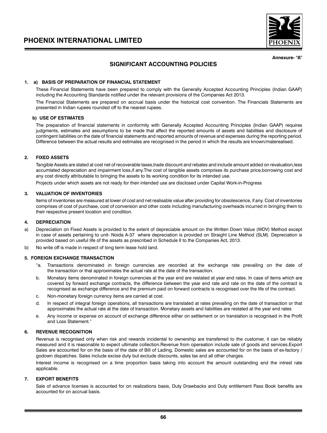

**Annexure- "A"**

### **SIGNIFICANT ACCOUNTING POLICIES**

#### **1. a) BASIS OF PREPARATION OF FINANCIAL STATEMENT**

These Financial Statements have been prepared to comply with the Generally Accepted Accounting Principles (Indian GAAP) including the Accounting Standards notified under the relevant provisions of the Companies Act 2013.

The Financial Statements are prepared on accrual basis under the historical cost convention. The Financials Statements are presented in Indian rupees rounded off to the nearest rupees.

#### **b) USE OF ESTIMATES**

The preparation of financial statements in conformity with Generally Accepted Accounting Principles (Indian GAAP) requires judgments, estimates and assumptions to be made that affect the reported amounts of assets and liabilities and disclosure of contingent liabilities on the date of financial statements and reported amounts of revenue and expenses during the reporting period. Difference between the actual results and estimates are recognised in the period in which the results are known/materealised.

#### **2. FIXED ASSETS**

Tangible Assets are stated at cost net of recoverable taxes,trade discount and rebates and include amount added on revaluation,less accumlated depreciation and impairment loss,if any.The cost of tangible assets comprises its purchase price,borrowing cost and any cost directly attributable to bringing the assets to its working condition for its intended use.

Projects under which assets are not ready for their intended use are disclosed under Capital Work-in-Progress

#### **3. VALUATION OF INVENTORIES**

Items of inventories are measured at lower of cost and net realisable value after providing for obsolescence, if any. Cost of inventories comprises of cost of purchase, cost of conversion and other costs including manufacturing overheads incurred in bringing them to their respective present location and condition.

#### **4. DEPRECIATION**

- a) Depreciation on Fixed Assets is provided to the extent of depreciable amount on the Written Down Value (WDV) Method except in case of assets pertaining to unit- Noida A-37 where depreciation is provided on Straight Line Method (SLM). Depreciation is provided based on useful life of the assets as prescribed in Schedule II to the Companies Act, 2013.
- b) No write off is made in respect of long term lease hold land.

#### **5. FOREIGN EXCHANGE TRANSACTION**

- "a. Transactions denominated in foreign currencies are recorded at the exchange rate prevailing on the date of the transaction or that approximates the actual rate at the date of the transaction.
- b. Monetary items denominated in foreign currencies at the year end are restated at year end rates. In case of items which are covered by forward exchange contracts, the difference between the year end rate and rate on the date of the contract is recognised as exchange difference and the premium paid on forward contracts is recognised over the life of the contract.
- c. Non-monetary foreign currency items are carried at cost.
- d. In respect of integral foreign operations, all transactions are translated at rates prevailing on the date of transaction or that approximates the actual rate at the date of transaction. Monetary assets and liabilities are restated at the year end rates
- e. Any income or expense on account of exchange difference either on settlement or on translation is recognised in the Profit and Loss Statement."

#### **6. REVENUE RECOGNITION**

Revenue is recognised only when risk and rewards incidental to ownership are transferred to the customer, it can be reliably measured and it is reasonable to expect ultimate collection.Revenue from opereation include sale of goods and services.Export Sales are accounted for on the basis of the date of Bill of Lading, Domestic sales are accounted for on the basis of ex-factory / godown dispatches. Sales include excise duty but exclude discounts, sales tax and all other charges.

Interest income is recognised on a time proportion basis taking into account the amount outstanding and the intrest rate applicable.

#### **7. EXPORT BENEFITS**

Sale of advance licenses is accounted for on realizations basis, Duty Drawbacks and Duty entitlement Pass Book benefits are accounted for on accrual basis.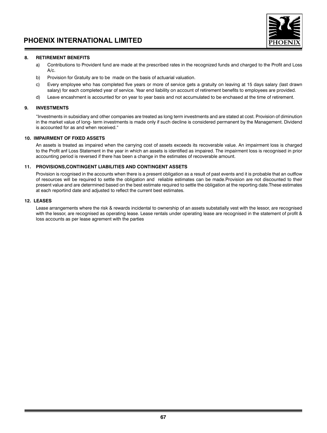

#### **8. RETIREMENT BENEFITS**

- a) Contributions to Provident fund are made at the prescribed rates in the recognized funds and charged to the Profit and Loss  $A/c$ .
- b) Provision for Gratuity are to be made on the basis of actuarial valuation.
- c) Every employee who has completed five years or more of service gets a gratuity on leaving at 15 days salary (last drawn salary) for each completed year of service. Year end liability on account of retirement benefits to employees are provided.
- d) Leave encashment is accounted for on year to year basis and not accumulated to be enchased at the time of retirement.

### **9. INVESTMENTS**

"Investments in subsidiary and other companies are treated as long term investments and are stated at cost. Provision of diminution in the market value of long- term investments is made only if such decline is considered permanent by the Management. Dividend is accounted for as and when received."

#### **10. IMPAIRMENT OF FIXED ASSETS**

An assets is treated as impaired when the carrying cost of assets exceeds its recoverable value. An impairment loss is charged to the Profit anf Loss Statement in the year in which an assets is identified as impaired. The impairment loss is recognised in prior accounting period is reversed if there has been a change in the estimates of recoverable amount.

### **11. PROVISIONS,CONTINGENT LIABILITIES AND CONTINGENT ASSETS**

Provision is rcognised in the accounts when there is a present obligation as a result of past events and it is probable that an outflow of resources will be required to settle the obligation and reliable estimates can be made.Provision are not discounted to their present value and are determined based on the best estimate required to settle the obligation at the reporting date.These estimates at each reportind date and adjusted to reflect the current best estimates.

#### **12. LEASES**

Lease arrangements where the risk & rewards incidental to ownership of an assets substatially vest with the lessor, are recognised with the lessor, are recognised as operating lease. Lease rentals under operating lease are recognised in the statement of profit & loss accounts as per lease agrement with the parties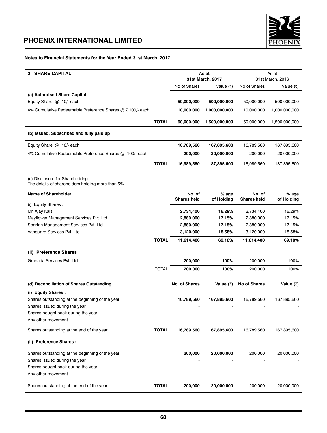

### **Notes to Financial Statements for the Year Ended 31st March, 2017**

| 2. SHARE CAPITAL                                         |              | As at<br>31st March, 2017 |              | As at<br>31st March, 2016 |
|----------------------------------------------------------|--------------|---------------------------|--------------|---------------------------|
|                                                          | No of Shares | Value (₹)                 | No of Shares | Value (₹)                 |
| (a) Authorised Share Capital                             |              |                           |              |                           |
| Equity Share $@$ 10/- each                               | 50,000,000   | 500,000,000               | 50,000,000   | 500,000,000               |
| 4% Cumulative Redeemable Preference Shares @ ₹100/- each | 10,000,000   | 1.000.000.000             | 10.000.000   | 1.000.000.000             |
| <b>TOTAL</b>                                             | 60.000.000   | 1,500,000,000             | 60.000.000   | 1.500.000.000             |
| (b) Issued, Subscribed and fully paid up                 |              |                           |              |                           |
| Equity Share $@$ 10/- each                               | 16,789,560   | 167,895,600               | 16,789,560   | 167,895,600               |
| 4% Cumulative Redeemable Preference Shares @ 100/- each  | 200,000      | 20,000,000                | 200,000      | 20,000,000                |

**TOTAL 16,989,560 187,895,600** 16,989,560 187,895,600

(c) Disclosure for Shareholidng

The details of shareholders holding more than 5%

| Name of Shareholder                     | No. of<br><b>Shares held</b> | $%$ age<br>of Holding | No. of<br><b>Shares held</b> | % age<br>of Holding |
|-----------------------------------------|------------------------------|-----------------------|------------------------------|---------------------|
| (i) Equity Shares:                      |                              |                       |                              |                     |
| Mr. Ajay Kalsi                          | 2.734.400                    | 16.29%                | 2.734.400                    | 16.29%              |
| Mayflower Management Services Pvt. Ltd. | 2,880,000                    | 17.15%                | 2,880,000                    | 17.15%              |
| Spartan Management Services Pvt. Ltd.   | 2.880,000                    | 17.15%                | 2.880.000                    | 17.15%              |
| Vanquard Services Pvt. Ltd.             | 3.120.000                    | 18.58%                | 3.120.000                    | 18.58%              |
| <b>TOTAL</b>                            | 11,614,400                   | 69.18%                | 11,614,400                   | 69.18%              |

### **(ii) Preference Shares :**

| Granada Services Pvt. Ltd. |              | 200.000 | 100% | 200.000 | 100% |
|----------------------------|--------------|---------|------|---------|------|
|                            | <b>TOTAL</b> | 200,000 | 100% | 200.000 | 100% |

| (d) Reconciliation of Shares Outstanding        |              | No. of Shares            | Value (₹)   | <b>No of Shares</b> | Value $(3)$ |
|-------------------------------------------------|--------------|--------------------------|-------------|---------------------|-------------|
| (i) Equity Shares:                              |              |                          |             |                     |             |
| Shares outstanding at the beginning of the year |              | 16.789.560               | 167.895.600 | 16.789.560          | 167.895.600 |
| Shares Issued during the year                   |              |                          |             |                     |             |
| Shares bought back during the year              |              |                          |             |                     |             |
| Any other movement                              |              | $\overline{\phantom{a}}$ |             |                     |             |
| Shares outstanding at the end of the year       | <b>TOTAL</b> | 16.789.560               | 167.895.600 | 16.789.560          | 167.895.600 |

**(ii) Preference Shares :**

| Shares outstanding at the beginning of the year |              | 200,000 | 20,000,000 | 200,000                  | 20,000,000 |
|-------------------------------------------------|--------------|---------|------------|--------------------------|------------|
| Shares Issued during the year                   |              |         |            |                          |            |
| Shares bought back during the year              |              |         |            | $\overline{\phantom{a}}$ |            |
| Any other movement                              |              |         |            |                          |            |
| Shares outstanding at the end of the year       | <b>TOTAL</b> | 200.000 | 20,000,000 | 200,000                  | 20.000.000 |
|                                                 |              |         |            |                          |            |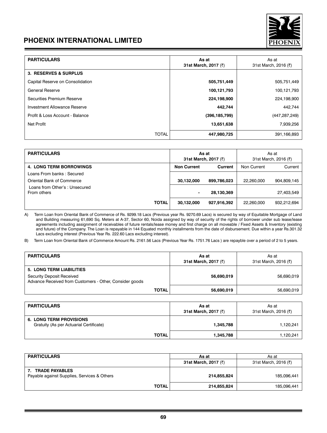

| <b>PARTICULARS</b>               | As at<br>31st March, 2017 (₹) | As at<br>31st March, 2016 (₹) |
|----------------------------------|-------------------------------|-------------------------------|
| 3. RESERVES & SURPLUS            |                               |                               |
| Capital Reserve on Consolidation | 505,751,449                   | 505,751,449                   |
| General Reserve                  | 100,121,793                   | 100,121,793                   |
| Securities Premium Reserve       | 224,198,900                   | 224,198,900                   |
| Investment Allowance Reserve     | 442,744                       | 442,744                       |
| Profit & Loss Account - Balance  | (396, 185, 799)               | (447, 287, 249)               |
| <b>Net Profit</b>                | 13,651,638                    | 7,939,256                     |
| <b>TOTAL</b>                     | 447,980,725                   | 391,166,893                   |

| <b>PARTICULARS</b>                           | As at<br>31st March, 2017 (₹) |             | As at<br>31st March, 2016 (₹) |             |
|----------------------------------------------|-------------------------------|-------------|-------------------------------|-------------|
| <b>4. LONG TERM BORROWINGS</b>               | <b>Non Current</b>            | Current     | Non Current                   | Current     |
| Loans From banks: Secured                    |                               |             |                               |             |
| Oriental Bank of Commerce                    | 30,132,000                    | 899,786,023 | 22.260.000                    | 904,809,145 |
| Loans from Other's: Unsecured<br>From others | ۰                             | 28,130,369  |                               | 27,403,549  |
| <b>TOTAL</b>                                 | 30,132,000                    | 927,916,392 | 22.260.000                    | 932,212,694 |

A) Term Loan from Oriental Bank of Commerce of Rs. 9299.18 Lacs (Previous year Rs. 9270.69 Lacs) is secured by way of Equitable Mortgage of Land and Building measuring 61,690 Sq. Meters at A-37, Sector 60, Noida assigned by way of security of the rights of borrower under sub lease/lease and Banang measuring signment of receivables of future rentals/lease money and first charge on all moveable / Fixed Assets & Inventory (existing approaching assignment of receivables of future rentals/lease money and first and future) of the Company. The Loan is repayable in 144 Equated monthly installments from the date of disbursement. Due within a year Rs.301.32 Lacs excluding interest (Previous Year Rs. 222.60 Lacs excluding interest).

B) Term Loan from Oriental Bank of Commerce Amount Rs. 2161.56 Lacs (Previous Year Rs. 1751.76 Lacs ) are repayble over a period of 2 to 5 years.

| <b>PARTICULARS</b>                                                                                               |              | As at<br>31st March, 2017 (₹) | As at<br>31st March, 2016 (₹) |
|------------------------------------------------------------------------------------------------------------------|--------------|-------------------------------|-------------------------------|
| 5. LONG TERM LIABILITIES<br>Security Deposit Received<br>Advance Received from Customers - Other, Consider goods |              | 56,690,019                    | 56.690.019                    |
|                                                                                                                  | <b>TOTAL</b> | 56,690,019                    | 56.690.019                    |

| <b>PARTICULARS</b>                                                        | As at<br>31st March, 2017 (₹) | As at<br>31st March, 2016 (₹) |
|---------------------------------------------------------------------------|-------------------------------|-------------------------------|
| <b>6. LONG TERM PROVISIONS</b><br>Gratuity (As per Actuarial Certificate) | 1,345,788                     | 1,120,241                     |
| <b>TOTAL</b>                                                              | 1,345,788                     | 1,120,241                     |

| <b>PARTICULARS</b>                                                   | As at                | As at                |  |  |
|----------------------------------------------------------------------|----------------------|----------------------|--|--|
|                                                                      | 31st March, 2017 (₹) | 31st March, 2016 (₹) |  |  |
| <b>TRADE PAYABLES</b><br>Payable against Supplies, Services & Others | 214,855,824          | 185,096,441          |  |  |
| <b>TOTAL</b>                                                         | 214,855,824          | 185,096,441          |  |  |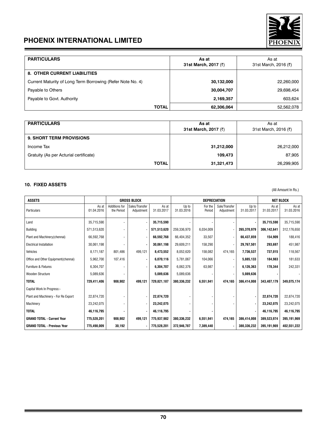

| <b>PARTICULARS</b>                                         | As at<br>31st March, 2017 (₹) | As at<br>31st March, 2016 (₹) |  |  |
|------------------------------------------------------------|-------------------------------|-------------------------------|--|--|
| <b>8. OTHER CURRENT LIABILITIES</b>                        |                               |                               |  |  |
| Current Maturity of Long Term Borrowing (Refer Note No. 4) | 30,132,000                    | 22,260,000                    |  |  |
| Payable to Others                                          | 30,004,707                    | 29,698,454                    |  |  |
| Payable to Govt. Authority                                 | 2,169,357                     | 603,624                       |  |  |
| <b>TOTAL</b>                                               | 62,306,064                    | 52,562,078                    |  |  |

| <b>PARTICULARS</b>                     | As at<br>31st March, 2017 (₹) | As at<br>31st March, 2016 (₹) |  |  |
|----------------------------------------|-------------------------------|-------------------------------|--|--|
| <b>9. SHORT TERM PROVISIONS</b>        |                               |                               |  |  |
| Income Tax                             | 31,212,000                    | 26,212,000                    |  |  |
| Gratuity (As per Acturial certificate) | 109,473                       | 87,905                        |  |  |
| <b>TOTAL</b>                           | 31,321,473                    | 26,299,905                    |  |  |

### **10. FIXED ASSETS**

(All Amount In Rs.)

-

| <b>ASSETS</b>                       |                     | <b>GROSS BLOCK</b>          |                              | <b>DEPRECIATION</b> |                          |                   |                             | <b>NET BLOCK</b>    |                     |                     |
|-------------------------------------|---------------------|-----------------------------|------------------------------|---------------------|--------------------------|-------------------|-----------------------------|---------------------|---------------------|---------------------|
| Particulars                         | As at<br>01.04.2016 | Additions for<br>the Period | Sales/Transfer<br>Adjustment | As at<br>31.03.2017 | Up to<br>31.03.2016      | For the<br>Period | Sale/Transfer<br>Adjustment | Up to<br>31.03.2017 | As at<br>31.03.2017 | As at<br>31.03.2016 |
| Land                                | 35,715,590          |                             |                              | 35.715.590          |                          |                   |                             |                     | 35,715,590          | 35,715,590          |
| Building                            | 571,513,620         |                             |                              | 571,513,620         | 259.336.970              | 6,034,009         |                             | 265,370,979         | 306,142,641         | 312,176,650         |
| Plant and Machinery (chennai)       | 66,592,768          |                             |                              | 66,592,768          | 66,404,352               | 33,507            |                             | 66.437.859          | 154,909             | 188,416             |
| <b>Electrical Installation</b>      | 30,061,198          |                             |                              | 30,061,198          | 29,609,211               | 158,290           |                             | 29,767,501          | 293,697             | 451,987             |
| Vehicles                            | 8,171,187           | 801,486                     | 499,121                      | 8,473,552           | 8,052,620                | 158,082           | 474,165                     | 7,736,537           | 737,015             | 118,567             |
| Office and Other Equipment(chennai) | 5,962,700           | 107.416                     |                              | 6.070.116           | 5,781,067                | 104,066           | $\overline{\phantom{a}}$    | 5.885.133           | 184,983             | 181,633             |
| Furniture & Fixtures                | 6,304,707           |                             |                              | 6,304,707           | 6,062,376                | 63,987            | $\overline{\phantom{a}}$    | 6,126,363           | 178,344             | 242,331             |
| <b>Wooden Structure</b>             | 5.089.636           |                             |                              | 5,089,636           | 5,089,636                |                   |                             | 5.089.636           |                     |                     |
| <b>TOTAL</b>                        | 729,411,406         | 908.902                     | 499.121                      | 729,821,187         | 380,336,232              | 6,551,941         | 474,165                     | 386,414,008         | 343,407,179         | 349.075.174         |
| Capital Work In Progress:-          |                     |                             |                              |                     |                          |                   |                             |                     |                     |                     |
| Plant and Machinery - For Re Export | 22.874.720          |                             |                              | 22.874.720          |                          |                   |                             |                     | 22,874,720          | 22,874,720          |
| Machinery                           | 23,242,075          |                             |                              | 23,242,075          | $\overline{\phantom{0}}$ |                   |                             |                     | 23,242,075          | 23,242,075          |
| <b>TOTAL</b>                        | 46,116,795          |                             |                              | 46.116.795          |                          |                   |                             |                     | 46,116,795          | 46,116,795          |
| <b>GRAND TOTAL - Current Year</b>   | 775,528,201         | 908.902                     | 499,121                      | 775,937,982         | 380,336,232              | 6,551,941         | 474,165                     | 386,414,008         | 389,523,974         | 395,191,969         |
| <b>GRAND TOTAL - Previous Year</b>  | 775,498,009         | 30,192                      |                              | 775,528,201         | 372,946,787              | 7,389,440         |                             | 380,336,232         | 395,191,969         | 402,551,222         |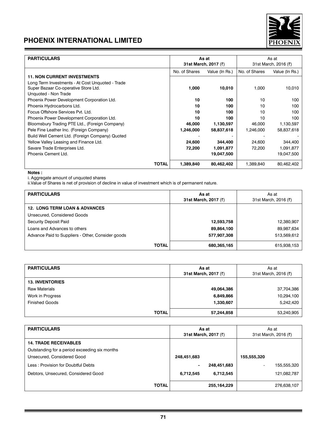

| <b>PARTICULARS</b>                               |              | As at         |                      | As at                |                |
|--------------------------------------------------|--------------|---------------|----------------------|----------------------|----------------|
|                                                  |              |               | 31st March, 2017 (₹) | 31st March, 2016 (₹) |                |
|                                                  |              | No. of Shares | Value (In Rs.)       | No. of Shares        | Value (In Rs.) |
| <b>11. NON CURRENT INVESTMENTS</b>               |              |               |                      |                      |                |
| Long Term Investments - At Cost Unquoted - Trade |              |               |                      |                      |                |
| Super Bazaar Co-operative Store Ltd.             |              | 1,000         | 10,010               | 1,000                | 10,010         |
| Unquoted - Non Trade                             |              |               |                      |                      |                |
| Phoenix Power Development Corporation Ltd.       |              | 10            | 100                  | 10                   | 100            |
| Phoenix Hydrocarbons Ltd.                        |              | 10            | 100                  | 10                   | 100            |
| Focus Offshore Services Pvt. Ltd.                |              | 10            | 100                  | 10                   | 100            |
| Phoenix Power Development Corporation Ltd.       |              | 10            | 100                  | 10                   | 100            |
| Bloomsbury Trading PTE Ltd., (Foreign Company)   |              | 46,000        | 1,130,597            | 46,000               | 1,130,597      |
| Pele Fine Leather Inc. (Foreign Company)         |              | 1,246,000     | 58,837,618           | 1,246,000            | 58,837,618     |
| Build Well Cement Ltd. (Foreign Company) Quoted  |              |               |                      |                      |                |
| Yellow Valley Leasing and Finance Ltd.           |              | 24,600        | 344,400              | 24.600               | 344.400        |
| Savare Trade Enterprises Ltd.                    |              | 72,200        | 1,091,877            | 72,200               | 1,091,877      |
| Phoenix Cement Ltd.                              |              |               | 19,047,500           |                      | 19,047,500     |
|                                                  | <b>TOTAL</b> | 1,389,840     | 80,462,402           | 1,389,840            | 80,462,402     |

#### **Notes :**

i. Aggregate amount of unquoted shares

ii.Value of Shares is net of provision of decline in value of investment which is of permanent nature.

| <b>PARTICULARS</b>                                | As at<br>31st March, 2017 (₹) | As at<br>31st March, 2016 (₹) |
|---------------------------------------------------|-------------------------------|-------------------------------|
| <b>12. LONG TERM LOAN &amp; ADVANCES</b>          |                               |                               |
| Unsecured, Considered Goods                       |                               |                               |
| Security Deposit Paid                             | 12,593,758                    | 12,380,907                    |
| Loans and Advances to others                      | 89,864,100                    | 89,987,634                    |
| Advance Paid to Suppliers - Other, Consider goods | 577,907,308                   | 513,569,612                   |
| <b>TOTAL</b>                                      | 680,365,165                   | 615,938,153                   |

| <b>PARTICULARS</b>     | As at<br>31st March, 2017 (₹) | As at<br>31st March, 2016 (₹) |
|------------------------|-------------------------------|-------------------------------|
| <b>13. INVENTORIES</b> |                               |                               |
| <b>Raw Materials</b>   | 49,064,386                    | 37,704,386                    |
| Work in Progress       | 6,849,866                     | 10,294,100                    |
| <b>Finished Goods</b>  | 1,330,607                     | 5,242,420                     |
| <b>TOTAL</b>           | 57,244,858                    | 53,240,905                    |

| <b>PARTICULARS</b>                            |             | As at<br>31st March, 2017 (₹) |             | As at<br>31st March, 2016 (₹) |  |
|-----------------------------------------------|-------------|-------------------------------|-------------|-------------------------------|--|
| <b>14. TRADE RECEIVABLES</b>                  |             |                               |             |                               |  |
| Outstanding for a period exceeding six months |             |                               |             |                               |  |
| Unsecured, Considered Good                    | 248,451,683 |                               | 155,555,320 |                               |  |
| Less: Provision for Doubtful Debts            | ۰           | 248,451,683                   | ٠           | 155,555,320                   |  |
| Debtors, Unsecured, Considered Good           | 6,712,545   | 6,712,545                     |             | 121,082,787                   |  |
|                                               |             |                               |             |                               |  |
| <b>TOTAL</b>                                  |             | 255,164,229                   |             | 276,638,107                   |  |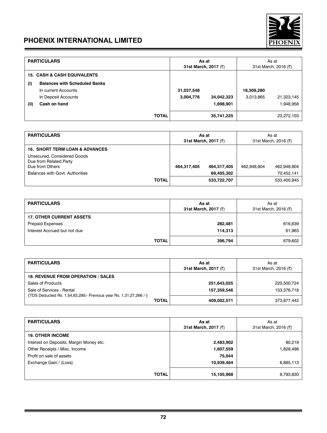

|     | <b>PARTICULARS</b>                     |              | As at<br>31st March, 2017 (₹) |            | As at<br>31st March, 2016 (₹) |            |
|-----|----------------------------------------|--------------|-------------------------------|------------|-------------------------------|------------|
|     | <b>15. CASH &amp; CASH EQUIVALENTS</b> |              |                               |            |                               |            |
| (i) | <b>Balances with Scheduled Banks</b>   |              |                               |            |                               |            |
|     | In current Accounts                    |              | 31,037,548                    |            | 18,309,280                    |            |
|     | In Deposit Accounts                    |              | 3,004,776                     | 34,042,323 | 3,013,865                     | 21,323,145 |
| (i) | Cash on hand                           |              |                               | 1,698,901  |                               | 1,948,958  |
|     |                                        | <b>TOTAL</b> |                               |            |                               |            |
|     |                                        |              |                               | 35,741,225 |                               | 23,272,103 |

| <b>PARTICULARS</b>                                                       | As at<br>31st March, 2017 (₹) |             | As at<br>31st March, 2016 (₹) |             |
|--------------------------------------------------------------------------|-------------------------------|-------------|-------------------------------|-------------|
| <b>16. SHORT TERM LOAN &amp; ADVANCES</b>                                |                               |             |                               |             |
| Unsecured. Considered Goods<br>Due from Related Party<br>Due from Others | 464,317,405                   | 464,317,405 | 462.948.804                   | 462,948,804 |
| Balances with Govt. Authorities                                          |                               | 69,405,302  |                               | 70,452,141  |
| <b>TOTAL</b>                                                             |                               | 533.722.707 |                               | 533.400.945 |

| <b>PARTICULARS</b>              | As at<br>31st March, 2017 (₹) | As at<br>31st March, 2016 (₹) |
|---------------------------------|-------------------------------|-------------------------------|
| <b>17. OTHER CURRENT ASSETS</b> |                               |                               |
| <b>Prepaid Expenses</b>         | 282,481                       | 616,639                       |
| Interest Accrued but not due    | 114,313                       | 61,963                        |
| <b>TOTAL</b>                    | 396,794                       | 679,602                       |

| <b>PARTICULARS</b>                                                |              | As at<br>31st March, 2017 (₹) | As at<br>31st March, 2016 (₹) |
|-------------------------------------------------------------------|--------------|-------------------------------|-------------------------------|
| <b>18. REVENUE FROM OPERATION / SALES</b>                         |              |                               |                               |
| Sales of Products                                                 |              | 251,643,025                   | 220.500.724                   |
| Sale of Services - Rental                                         |              | 157.359.546                   | 153,376,718                   |
| {TDS Deducted Rs. 1,54,63,295/- Previous year Rs. 1,31,27,266 /-} | <b>TOTAL</b> | 409,002,571                   | 373,877,442                   |

| <b>PARTICULARS</b>                      | As at<br>31st March, 2017 (₹) | As at<br>31st March, 2016 (₹) |
|-----------------------------------------|-------------------------------|-------------------------------|
| <b>19. OTHER INCOME</b>                 |                               |                               |
| Interest on Deposits, Margin Money etc. | 2,483,902                     | 80,219                        |
| Other Receipts / Misc. Income           | 1,607,559                     | 1,828,498                     |
| Profit on sale of assets                | 75,044                        |                               |
| Exchange Gain / (Loss)                  | 10,939,464                    | 6,885,113                     |
| <b>TOTAL</b>                            | 15,105,968                    | 8,793,830                     |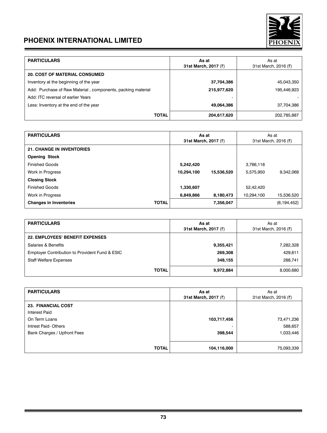

| <b>PARTICULARS</b>                                          | As at<br>31st March, 2017 (₹) | As at<br>31st March, 2016 (₹) |
|-------------------------------------------------------------|-------------------------------|-------------------------------|
| <b>20. COST OF MATERIAL CONSUMED</b>                        |                               |                               |
| Inventory at the beginning of the year                      | 37,704,386                    | 45,043,350                    |
| Add: Purchase of Raw Material, components, packing material | 215,977,620                   | 195,446,923                   |
| Add: ITC reversal of earlier Years                          |                               |                               |
| Less: Inventory at the end of the year                      | 49,064,386                    | 37,704,386                    |
| <b>TOTAL</b>                                                | 204,617,620                   | 202,785,887                   |

| <b>PARTICULARS</b>               |              | As at<br>31st March, 2017 (₹) |            | As at<br>31st March, 2016 (₹) |               |
|----------------------------------|--------------|-------------------------------|------------|-------------------------------|---------------|
| <b>21. CHANGE IN INVENTORIES</b> |              |                               |            |                               |               |
| <b>Opening Stock</b>             |              |                               |            |                               |               |
| <b>Finished Goods</b>            |              | 5,242,420                     |            | 3,766,118                     |               |
| Work in Progress                 |              | 10,294,100                    | 15,536,520 | 5.575.950                     | 9.342.068     |
| <b>Closing Stock</b>             |              |                               |            |                               |               |
| <b>Finished Goods</b>            |              | 1,330,607                     |            | 52.42.420                     |               |
| Work in Progress                 |              | 6,849,866                     | 8,180,473  | 10,294,100                    | 15,536,520    |
| <b>Changes in Inventories</b>    | <b>TOTAL</b> |                               | 7,356,047  |                               | (6, 194, 452) |

| <b>PARTICULARS</b>                             | As at<br>31st March, 2017 (₹) | As at<br>31st March, 2016 (₹) |
|------------------------------------------------|-------------------------------|-------------------------------|
| <b>22. EMPLOYEES' BENEFIT EXPENSES</b>         |                               |                               |
| Salaries & Benefits                            | 9,355,421                     | 7,282,328                     |
| Employer Contribution to Provident Fund & ESIC | 269,308                       | 429,611                       |
| <b>Staff Welfare Expenses</b>                  | 348,155                       | 288,741                       |
| <b>TOTAL</b>                                   | 9,972,884                     | 8,000,680                     |

| <b>PARTICULARS</b>          | As at<br>31st March, 2017 (₹) | As at<br>31st March, 2016 (₹) |
|-----------------------------|-------------------------------|-------------------------------|
| <b>23. FINANCIAL COST</b>   |                               |                               |
| <b>Interest Paid</b>        |                               |                               |
| On Term Loans               | 103,717,456                   | 73,471,236                    |
| Intrest Paid-Others         |                               | 588,657                       |
| Bank Charges / Upfront Fees | 398,544                       | 1,033,446                     |
|                             |                               |                               |
| <b>TOTAL</b>                | 104,116,000                   | 75,093,339                    |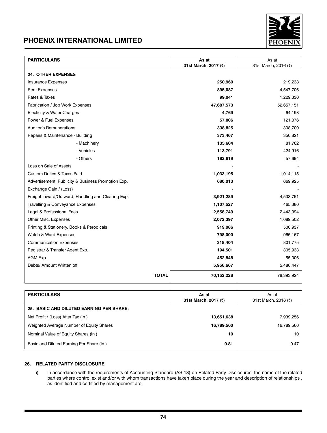

| <b>PARTICULARS</b>                                 | As at<br>31st March, 2017 (₹) | As at<br>31st March, 2016 (₹) |
|----------------------------------------------------|-------------------------------|-------------------------------|
| <b>24. OTHER EXPENSES</b>                          |                               |                               |
| <b>Insurance Expenses</b>                          | 250,969                       | 219,238                       |
| <b>Rent Expenses</b>                               | 895,087                       | 4,547,706                     |
| Rates & Taxes                                      | 99,041                        | 1,229,330                     |
| Fabrication / Job Work Expenses                    | 47,687,573                    | 52,657,151                    |
| <b>Electicity &amp; Water Charges</b>              | 4,769                         | 64,198                        |
| Power & Fuel Expenses                              | 57,806                        | 121,076                       |
| <b>Auditor's Remunerations</b>                     | 338,825                       | 308,700                       |
| Repairs & Maintenance - Building                   | 373,467                       | 350,821                       |
| - Machinery                                        | 135,604                       | 81,762                        |
| - Vehicles                                         | 113,791                       | 424,916                       |
| - Others                                           | 182,619                       | 57,694                        |
| Loss on Sale of Assets                             |                               |                               |
| <b>Custom Duties &amp; Taxes Paid</b>              | 1,033,195                     | 1,014,115                     |
| Advertisement, Publicity & Business Promotion Exp. | 680,013                       | 669,925                       |
| Exchange Gain / (Loss)                             |                               |                               |
| Freight Inward/Outward, Handling and Clearing Exp. | 3,921,289                     | 4,533,751                     |
| Travelling & Conveyance Expenses                   | 1,107,527                     | 465,380                       |
| Legal & Professional Fees                          | 2,558,749                     | 2,443,394                     |
| Other Misc. Expenses                               | 2,072,397                     | 1,089,502                     |
| Printing & Stationery, Books & Perodicals          | 919,086                       | 500,937                       |
| Watch & Ward Expenses                              | 798,000                       | 965,167                       |
| <b>Communication Expenses</b>                      | 318,404                       | 801,775                       |
| Registrar & Transfer Agent Exp.                    | 194,501                       | 305,933                       |
| AGM Exp.                                           | 452,848                       | 55,006                        |
| Debts/ Amount Written off                          | 5,956,667                     | 5,486,447                     |
| <b>TOTAL</b>                                       | 70,152,228                    | 78,393,924                    |

| <b>PARTICULARS</b>                              | As at<br>31st March, 2017 (₹) | As at<br>31st March, 2016 (₹) |
|-------------------------------------------------|-------------------------------|-------------------------------|
| <b>25. BASIC AND DILUTED EARNING PER SHARE:</b> |                               |                               |
| Net Profit / (Loss) After Tax (In)              | 13,651,638                    | 7,939,256                     |
| Weighted Average Number of Equity Shares        | 16,789,560                    | 16,789,560                    |
| Nominal Value of Equity Shares (In)             | 10                            | 10                            |
| Basic and Diluted Earning Per Share (In)        | 0.81                          | 0.47                          |

## **26. RELATED PARTY DISCLOSURE**

i) In accordance with the requirements of Accounting Standard (AS-18) on Related Party Disclosures, the name of the related parties where control exist and/or with whom transactions have taken place during the year and description of relationships , as identified and certified by management are: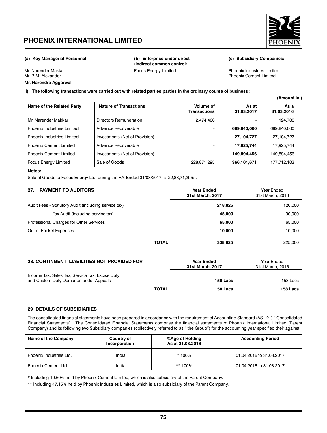

**(Amount in )**

**Mr. Narendra Aggarwal** 

**(a) Key Managerial Personnel (b) Enterprise under direct (c) Subsidiary Companies: /Indirect common control:**

Mr. Narender Makkar **Focus Energy Limited** Mr. Narender Makkar Focus Energy Limited Phoenix Industries Limited Mr. P. M. Alexander Phoenix Cement Limited

**ii) The following transactions were carried out with related parties parties in the ordinary course of business :**

|                               |                                |                                         |                          | ,,,,,,,,,,,,,,,,   |
|-------------------------------|--------------------------------|-----------------------------------------|--------------------------|--------------------|
| Name of the Related Party     | <b>Nature of Transactions</b>  | <b>Volume of</b><br><b>Transactions</b> | As at<br>31.03.2017      | As a<br>31.03.2016 |
| Mr. Narender Makkar           | Directors Remuneration         | 2,474,400                               | $\overline{\phantom{a}}$ | 124,700            |
| Phoenix Industries Limited    | Advance Recoverable            |                                         | 689,840,000              | 689,840,000        |
| Phoenix Industries Limited    | Investments (Net of Provision) |                                         | 27,104,727               | 27,104,727         |
| <b>Phoenix Cement Limited</b> | Advance Recoverable            |                                         | 17,925,744               | 17,925,744         |
| <b>Phoenix Cement Limited</b> | Investments (Net of Provision) | -                                       | 149,894,456              | 149,894,456        |
| <b>Focus Energy Limited</b>   | Sale of Goods                  | 228,871,295                             | 366,101,671              | 177.712.103        |

### **Notes:**

Sale of Goods to Focus Energy Ltd. during the F.Y. Ended 31/03/2017 is 22,88,71,295/-.

| <b>PAYMENT TO AUDITORS</b><br>27.                    | <b>Year Ended</b><br>31st March, 2017 | Year Ended<br>31st March, 2016 |
|------------------------------------------------------|---------------------------------------|--------------------------------|
| Audit Fees - Statutory Audit (including service tax) | 218,825                               | 120,000                        |
| - Tax Audit (including service tax)                  | 45,000                                | 30,000                         |
| Professional Charges for Other Services              | 65,000                                | 65,000                         |
| Out of Pocket Expenses                               | 10.000                                | 10.000                         |
| <b>TOTAL</b>                                         | 338,825                               | 225,000                        |

| <b>28. CONTINGENT LIABILITIES NOT PROVIDED FOR</b>                                       | <b>Year Ended</b><br>31st March, 2017 | Year Ended<br>31st March, 2016 |
|------------------------------------------------------------------------------------------|---------------------------------------|--------------------------------|
| Income Tax, Sales Tax, Service Tax, Excise Duty<br>and Custom Duty Demands under Appeals | 158 Lacs                              | 158 Lacs                       |
| <b>TOTAL</b>                                                                             | 158 Lacs                              | 158 Lacs                       |

#### **29 DETAILS OF SUBSIDIARIES**

The consolidated financial statements have been prepared in accordance with the requirement of Accounting Standard (AS - 21) " Consolidated Financial Statements" . The Consolidated Financial Statements comprise the financial statements of Phoenix International Limited (Parent Company) and its following two Subsidiary companies (collectively referred to as " the Group") for the accounting year specified their against.

| Name of the Company     | Country of<br>Incorporation | %Age of Holding<br>As at 31.03.2016 | <b>Accounting Period</b> |
|-------------------------|-----------------------------|-------------------------------------|--------------------------|
| Phoenix Industries Ltd. | India                       | * 100%                              | 01.04.2016 to 31.03.2017 |
| Phoenix Cement Ltd.     | India                       | ** 100%                             | 01.04.2016 to 31.03.2017 |

\* Including 10.60% held by Phoenix Cement Limited, which is also subsidiary of the Parent Company.

\*\* Including 47.15% held by Phoenix Industries Limited, which is also subsidiary of the Parent Company.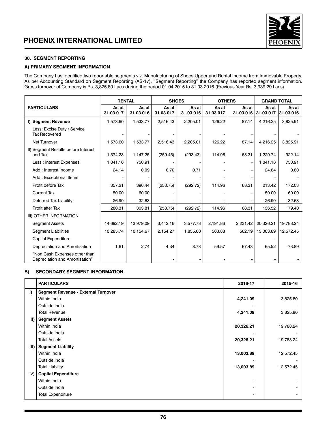

## **30. SEGMENT REPORTING**

## **A) PRIMARY SEGMENT INFORMATION**

The Company has identified two reportable segments viz. Manufacturing of Shoes Upper and Rental Income from Immovable Property. As per Accounting Standard on Segment Reporting (AS-17), "Segment Reporting" the Company has reported segment information. Gross turnover of Company is Rs. 3,825.80 Lacs during the period 01.04.2015 to 31.03.2016 (Previous Year Rs. 3,939.29 Lacs).

|                                                                 | <b>RENTAL</b>      |                    | <b>SHOES</b>       |                    | <b>OTHERS</b>      |          | <b>GRAND TOTAL</b>           |                    |
|-----------------------------------------------------------------|--------------------|--------------------|--------------------|--------------------|--------------------|----------|------------------------------|--------------------|
| <b>PARTICULARS</b>                                              | As at<br>31.03.017 | As at<br>31.03.016 | As at<br>31.03.017 | As at<br>31.03.016 | As at<br>31.03.017 | As at    | As at<br>31.03.016 31.03.017 | As at<br>31.03.016 |
| I) Segment Revenue                                              | 1,573.60           | 1,533.77           | 2,516.43           | 2,205.01           | 126.22             | 87.14    | 4,216.25                     | 3,825.91           |
| Less: Excise Duty / Service<br><b>Tax Recovered</b>             |                    |                    |                    |                    |                    |          |                              |                    |
| Net Turnover                                                    | 1,573.60           | 1,533.77           | 2,516.43           | 2,205.01           | 126.22             | 87.14    | 4.216.25                     | 3,825.91           |
| II) Segment Results before Interest<br>and Tax                  | 1.374.23           | 1,147.25           | (259.45)           | (293.43)           | 114.96             | 68.31    | 1.229.74                     | 922.14             |
| Less : Interest Expenses                                        | 1.041.16           | 750.91             |                    |                    |                    |          | 1.041.16                     | 750.91             |
| Add: Interest Income                                            | 24.14              | 0.09               | 0.70               | 0.71               |                    |          | 24.84                        | 0.80               |
| Add: Exceptional Items                                          |                    |                    |                    |                    |                    |          |                              |                    |
| Profit before Tax                                               | 357.21             | 396.44             | (258.75)           | (292.72)           | 114.96             | 68.31    | 213.42                       | 172.03             |
| <b>Current Tax</b>                                              | 50.00              | 60.00              |                    |                    |                    |          | 50.00                        | 60.00              |
| Deferred Tax Liability                                          | 26.90              | 32.63              |                    |                    |                    |          | 26.90                        | 32.63              |
| Profit after Tax                                                | 280.31             | 303.81             | (258.75)           | (292.72)           | 114.96             | 68.31    | 136.52                       | 79.40              |
| III) OTHER INFORMATION                                          |                    |                    |                    |                    |                    |          |                              |                    |
| <b>Segment Assets</b>                                           | 14,692.19          | 13,979.09          | 3,442.16           | 3,577.73           | 2,191.86           | 2,231.42 | 20,326.21                    | 19,788.24          |
| <b>Segment Liabilities</b>                                      | 10,285.74          | 10,154.67          | 2,154.27           | 1,855.60           | 563.88             | 562.19   | 13,003.89                    | 12,572.45          |
| Capital Expenditure                                             |                    |                    |                    |                    |                    |          |                              |                    |
| Depreciation and Amortisation                                   | 1.61               | 2.74               | 4.34               | 3.73               | 59.57              | 67.43    | 65.52                        | 73.89              |
| "Non Cash Expenses other than<br>Depreciation and Amortisation" |                    |                    |                    |                    |                    |          |                              |                    |

## **B) SECONDARY SEGMENT INFORMATION**

| 3,825.80  |
|-----------|
|           |
| 3,825.80  |
|           |
| 19,788.24 |
|           |
| 19,788.24 |
|           |
| 12,572.45 |
|           |
| 12,572.45 |
|           |
|           |
|           |
|           |
|           |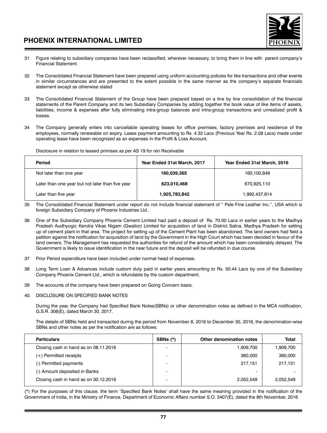

- 31 Figure relating to subsidiary companies have been reclassified, wherever necessary, to bring them in line with parent company's Financial Statement.
- 32 The Consolidated Financial Statement have been prepared using uniform accounting policies for like transactions and other events in similar circumstances and are presented to the extent possible in the same manner as the company's separate financials statement except as otherwise stated
- 33 The Consolidated Financial Statement of the Group have been prepared based on a line by line consolidation of the financial statements of the Parent Company and its two Subsidiary Companies by adding together the book value of like items of assets, liabilities, income & expenses after fully eliminating intra-group balances and intra-group transactions and unrealized profit & losses.
- 34 The Company generally enters into cancellable operating leases for office premises, factory premises and residence of the employees, normally renewable on expiry. Lease payment amounting to Rs. 4.32 Lacs (Previous Year Rs. 2.08 Lacs) made under operating lease have been recognized as an expenses in the Profit & Loss Account.

Disclosure in relation to leased primises as per AS 19 for ren Receivable

| Period                                           | Year Ended 31st March, 2017 | Year Ended 31st March, 2016 |
|--------------------------------------------------|-----------------------------|-----------------------------|
| Not later than one year                          | 160,039,365                 | 160,100,848                 |
| Later than one year but not later than five year | 623,010,468                 | 670,925,110                 |
| Later than five year                             | 1,925,783,842               | 1,992,437,814               |

- 35 The Consolidated Financial Statement under report do not include financial statement of " Pele Fine Leather Inc.", USA which is foreign Subsidiary Company of Phoenix Industries Ltd..
- 36 One of the Subsidiary Company Phoenix Cement Limited had paid a deposit of Rs. 70.00 Lacs in earlier years to the Madhya Pradesh Audhyogic Kendra Vikas Nigam (Gwalior) Limited for acquisition of land in District Satna, Madhya Pradesh for setting up of cement plant in that area. The project for setting up of the Cement Plant has been abandoned. The land owners had field a petition against the notification for acquisition of land by the Government in the High Court which has been decided in favour of the land owners. The Management has requested the authorities for refund of the amount which has been considerably delayed. The Government is likely to issue identification in the near future and the deposit will be refunded in due course.
- 37 Prior Period expenditure have been included under normal head of expenses.
- 38 Long Term Loan & Advances include custom duty paid in earlier years amounting to Rs. 50.44 Lacs by one of the Subsidiary Company Phoenix Cement Ltd., which is refundable by the custom department.
- 39 The accounts of the company have been prepared on Going Concern basis.
- 40. DISCLOSURE ON SPECIFIED BANK NOTES

During the year, the Company had Specified Bank Notes(SBNs) or other denomination notes as defined in the MCA notification, G.S.R. 308(E), dated March 30, 2017.

The details of SBNs held and transacted during the period from November 8, 2016 to December 30, 2016, the denomination-wise SBNs and other notes as per the notification are as follows:

| <b>Particulars</b>                    | <b>SBNs (*)</b>          | Other denomination notes | <b>Total</b> |
|---------------------------------------|--------------------------|--------------------------|--------------|
| Closing cash in hand as on 08.11.2016 | $\overline{\phantom{a}}$ | 1.909.700                | 1,909,700    |
| $(+)$ Permitted receipts              | $\overline{\phantom{a}}$ | 360,000                  | 360,000      |
| (-) Permitted payments                | $\overline{\phantom{a}}$ | 217.151                  | 217,151      |
| (-) Amount deposited in Banks         | $\overline{\phantom{a}}$ |                          |              |
| Closing cash in hand as on 30.12.2016 | $\overline{\phantom{a}}$ | 2.052.549                | 2.052.549    |

(\*) For the purposes of this clause, the term 'Specified Bank Notes' shall have the same meaning provided in the notification of the Government of India, in the Ministry of Finance, Department of Economic Affairs number S.O. 3407(E), dated the 8th November, 2016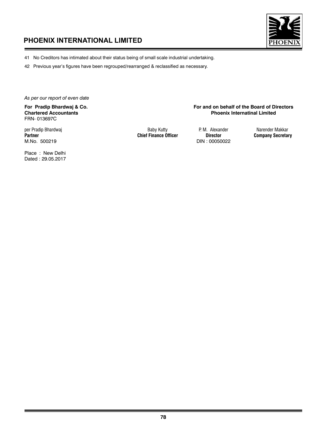

41 No Creditors has intimated about their status being of small scale industrial undertaking.

42 Previous year's figures have been regrouped/rearranged & reclassified as necessary.

*As per our report of even date*

For Pradip Bhardwaj & Co. **For and on behalf of the Board of Directors**<br>Chartered Accountants **For and on the Board of Directors**<br>Phoenix Internatinal Limited FRN- 013697C

**Partner Chief Finance Officer Director Company Secretary**<br>M.No. 500219 **M.No.** 20050022

Place : New Delhi Dated : 29.05.2017

per Pradip Bhardwaj Baby Kutty P. M. Alexander Narender Makkar

DIN : 00050022

**Phoenix Internatinal Limited**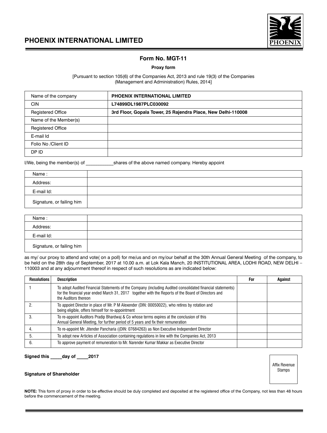



## **Form No. MGT-11**

#### **Proxy form**

[Pursuant to section 105(6) of the Companies Act, 2013 and rule 19(3) of the Companies (Management and Administration) Rules, 2014]

| Name of the company      | PHOENIX INTERNATIONAL LIMITED                                |
|--------------------------|--------------------------------------------------------------|
| <b>CIN</b>               | L74899DL1987PLC030092                                        |
| <b>Registered Office</b> | 3rd Floor, Gopala Tower, 25 Rajendra Place, New Delhi-110008 |
| Name of the Member(s)    |                                                              |
| <b>Registered Office</b> |                                                              |
| E-mail Id                |                                                              |
| Folio No /Client ID      |                                                              |
| DP ID                    |                                                              |

I/We, being the member(s) of  $\qquad \qquad$  shares of the above named company. Hereby appoint

| Name :                    |  |
|---------------------------|--|
| Address:                  |  |
| E-mail Id:                |  |
| Signature, or failing him |  |

| Name:                     |  |
|---------------------------|--|
| Address:                  |  |
| E-mail Id:                |  |
| Signature, or failing him |  |

as my/ our proxy to attend and vote( on a poll) for me/us and on my/our behalf at the 30th Annual General Meeting of the company, to be held on the 28th day of September, 2017 at 10.00 a.m. at Lok Kala Manch, 20 INSTITUTIONAL AREA, LODHI ROAD, NEW DELHI – 110003 and at any adjournment thereof in respect of such resolutions as are indicated below:

| <b>Resolutions</b> | <b>Description</b>                                                                                                                                                                                                                        | <b>For</b> | Against |
|--------------------|-------------------------------------------------------------------------------------------------------------------------------------------------------------------------------------------------------------------------------------------|------------|---------|
|                    | To adopt Audited Financial Statements of the Company (including Audited consolidated financial statements)<br>for the financial year ended March 31, 2017 together with the Reports of the Board of Directors and<br>the Auditors thereon |            |         |
|                    | To appoint Director in place of Mr. P M Alexender (DIN: 00050022), who retires by rotation and<br>being eligible, offers himself for re-appointment                                                                                       |            |         |
|                    | To re-appoint Auditors Pradip Bhardwaj & Co whose terms expires at the conclusion of this<br>Annual General Meeting, for further period of 5 years and fix their remuneration                                                             |            |         |
|                    | To re-appoint Mr. Jitender Pancharia ((DIN: 07684263) as Non Executive Independent Director                                                                                                                                               |            |         |
|                    | To adopt new Articles of Association containing regulations in line with the Companies Act, 2013                                                                                                                                          |            |         |
| 6.                 | To approve payment of remuneration to Mr. Narender Kumar Makkar as Executive Director                                                                                                                                                     |            |         |

Signed this day of 2017

### **Signature of Shareholder**

Affix Revenue Stamps

**NOTE:** This form of proxy in order to be effective should be duly completed and deposited at the registered office of the Company, not less than 48 hours before the commencement of the meeting.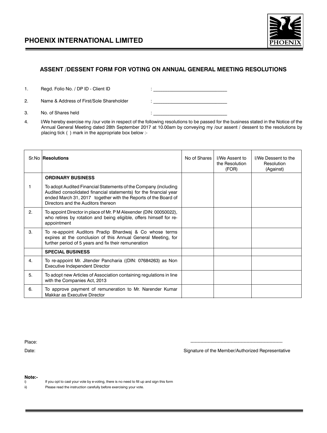

## **ASSENT /DESSENT FORM FOR VOTING ON ANNUAL GENERAL MEETING RESOLUTIONS**

1. Regd. Folio No. / DP ID - Client ID

2. Name & Address of First/Sole Shareholder

- 3. No. of Shares held  $\vdots$
- 4. I/We hereby exercise my /our vote in respect of the following resolutions to be passed for the business stated in the Notice of the Annual General Meeting dated 28th September 2017 at 10.00am by conveying my /our assent / dessent to the resolutions by placing tick ( ) mark in the appropriate box below :-

|    | Sr.No Resolutions                                                                                                                                                                                                                            | No of Shares | I/We Assent to<br>the Resolution<br>(FOR) | I/We Dessent to the<br>Resolution<br>(Against) |
|----|----------------------------------------------------------------------------------------------------------------------------------------------------------------------------------------------------------------------------------------------|--------------|-------------------------------------------|------------------------------------------------|
|    | <b>ORDINARY BUSINESS</b>                                                                                                                                                                                                                     |              |                                           |                                                |
|    | To adopt Audited Financial Statements of the Company (including<br>Audited consolidated financial statements) for the financial year<br>ended March 31, 2017 together with the Reports of the Board of<br>Directors and the Auditors thereon |              |                                           |                                                |
| 2. | To appoint Director in place of Mr. P M Alexender (DIN: 00050022),<br>who retires by rotation and being eligible, offers himself for re-<br>appointment                                                                                      |              |                                           |                                                |
| 3. | To re-appoint Auditors Pradip Bhardwaj & Co whose terms<br>expires at the conclusion of this Annual General Meeting, for<br>further period of 5 years and fix their remuneration                                                             |              |                                           |                                                |
|    | <b>SPECIAL BUSINESS</b>                                                                                                                                                                                                                      |              |                                           |                                                |
| 4. | To re-appoint Mr. Jitender Pancharia ((DIN: 07684263) as Non<br>Executive Independent Director                                                                                                                                               |              |                                           |                                                |
| 5. | To adopt new Articles of Association containing regulations in line<br>with the Companies Act, 2013                                                                                                                                          |              |                                           |                                                |
| 6. | To approve payment of remuneration to Mr. Narender Kumar<br>Makkar as Executive Director                                                                                                                                                     |              |                                           |                                                |

Place: ---------------------------------------------------------------- Date: Signature of the Member/Authorized Representative

**Note:-**

i) If you opt to cast your vote by e-voting, there is no need to fill up and sign this form

ii) Please read the instruction carefully before exercising your vote.